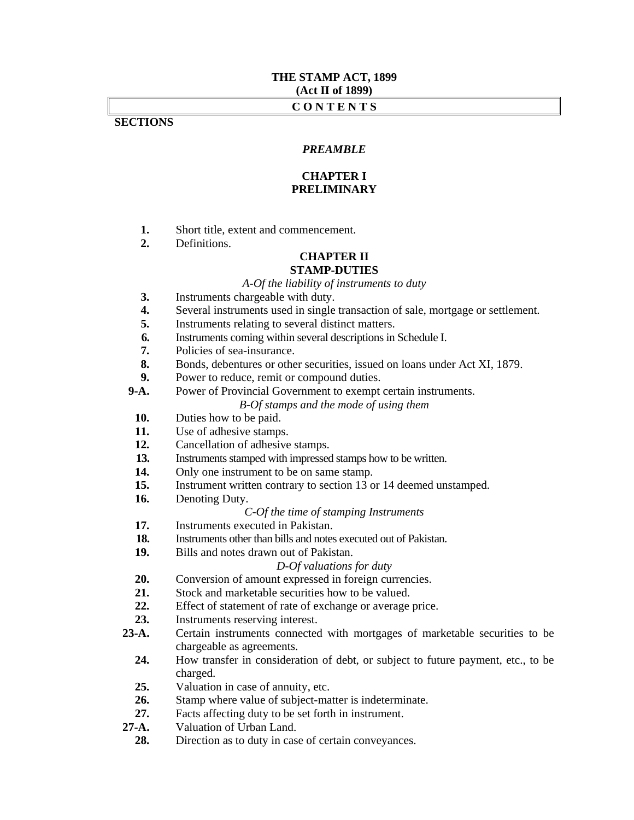## **THE STAMP ACT, 1899 (Act II of 1899)**

## **C O N T E N T S**

## **SECTIONS**

## *PREAMBLE*

## **CHAPTER I PRELIMINARY**

- **1.** Short title, extent and commencement.
- **2.** Definitions.

## **CHAPTER II STAMP-DUTIES**

*A-Of the liability of instruments to duty* 

- **3.** Instruments chargeable with duty.
- **4.** Several instruments used in single transaction of sale, mortgage or settlement.
- **5.** Instruments relating to several distinct matters.
- **6.** Instruments coming within several descriptions in Schedule I.
- **7.** Policies of sea-insurance.
- **8.** Bonds, debentures or other securities, issued on loans under Act XI, 1879.
- **9.** Power to reduce, remit or compound duties.
- **9-A.** Power of Provincial Government to exempt certain instruments. *B-Of stamps and the mode of using them* 
	- **10.** Duties how to be paid.
	- **11.** Use of adhesive stamps.
	- **12.** Cancellation of adhesive stamps.
	- **13.** Instruments stamped with impressed stamps how to be written.
	- 14. Only one instrument to be on same stamp.
	- **15.** Instrument written contrary to section 13 or 14 deemed unstamped.
	- **16.** Denoting Duty.

#### *C-Of the time of stamping Instruments*

- **17.** Instruments executed in Pakistan.
- **18.** Instruments other than bills and notes executed out of Pakistan.
- **19.** Bills and notes drawn out of Pakistan.

#### *D-Of valuations for duty*

- **20.** Conversion of amount expressed in foreign currencies.
- **21.** Stock and marketable securities how to be valued.
- **22.** Effect of statement of rate of exchange or average price.
- **23.** Instruments reserving interest.
- **23-A.** Certain instruments connected with mortgages of marketable securities to be chargeable as agreements.
	- **24.** How transfer in consideration of debt, or subject to future payment, etc., to be charged.
	- **25.** Valuation in case of annuity, etc.
	- **26.** Stamp where value of subject-matter is indeterminate.
- 27. Facts affecting duty to be set forth in instrument.<br>27-A. Valuation of Urban Land.
- Valuation of Urban Land.
- **28.** Direction as to duty in case of certain conveyances.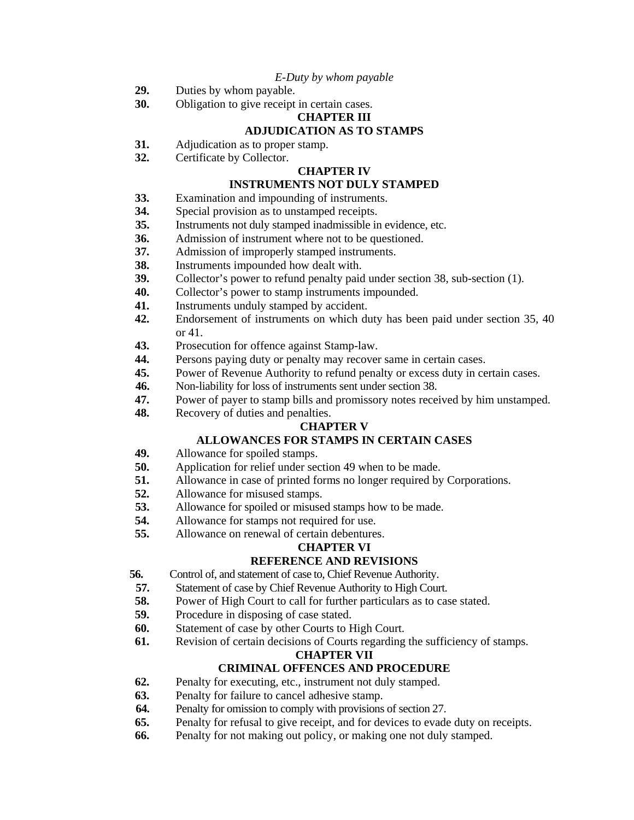## *E-Duty by whom payable*

- **29.** Duties by whom payable.
- **30.** Obligation to give receipt in certain cases.

# **CHAPTER III**

# **ADJUDICATION AS TO STAMPS**

- **31.** Adjudication as to proper stamp.
- **32.** Certificate by Collector.

## **CHAPTER IV**

# **INSTRUMENTS NOT DULY STAMPED**

- **33.** Examination and impounding of instruments.
- **34.** Special provision as to unstamped receipts.
- **35.** Instruments not duly stamped inadmissible in evidence, etc.
- **36.** Admission of instrument where not to be questioned.
- **37.** Admission of improperly stamped instruments.
- **38.** Instruments impounded how dealt with.
- **39.** Collector's power to refund penalty paid under section 38, sub-section (1).
- **40.** Collector's power to stamp instruments impounded.
- **41.** Instruments unduly stamped by accident.
- **42.** Endorsement of instruments on which duty has been paid under section 35, 40 or 41.
- **43.** Prosecution for offence against Stamp-law.
- **44.** Persons paying duty or penalty may recover same in certain cases.
- **45.** Power of Revenue Authority to refund penalty or excess duty in certain cases.
- **46.** Non-liability for loss of instruments sent under section 38.
- **47.** Power of payer to stamp bills and promissory notes received by him unstamped.
- **48.** Recovery of duties and penalties.

## **CHAPTER V**

# **ALLOWANCES FOR STAMPS IN CERTAIN CASES**

- **49.** Allowance for spoiled stamps.
- **50.** Application for relief under section 49 when to be made.
- **51.** Allowance in case of printed forms no longer required by Corporations.
- **52.** Allowance for misused stamps.
- **53.** Allowance for spoiled or misused stamps how to be made.
- **54.** Allowance for stamps not required for use.
- **55.** Allowance on renewal of certain debentures.

## **CHAPTER VI**

## **REFERENCE AND REVISIONS**

- **56.** Control of, and statement of case to, Chief Revenue Authority.
- **57.** Statement of case by Chief Revenue Authority to High Court.
- **58.** Power of High Court to call for further particulars as to case stated.
- **59.** Procedure in disposing of case stated.
- **60.** Statement of case by other Courts to High Court.
- **61.** Revision of certain decisions of Courts regarding the sufficiency of stamps.

## **CHAPTER VII**

## **CRIMINAL OFFENCES AND PROCEDURE**

- **62.** Penalty for executing, etc., instrument not duly stamped.
- **63.** Penalty for failure to cancel adhesive stamp.
- **64.** Penalty for omission to comply with provisions of section 27.
- **65.** Penalty for refusal to give receipt, and for devices to evade duty on receipts.
- **66.** Penalty for not making out policy, or making one not duly stamped.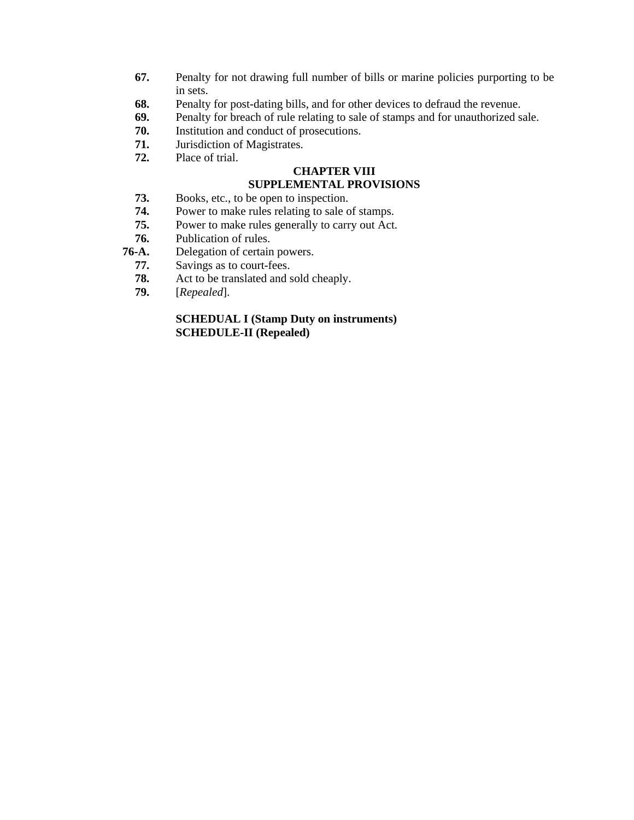- **67.** Penalty for not drawing full number of bills or marine policies purporting to be in sets.
- **68.** Penalty for post-dating bills, and for other devices to defraud the revenue.
- **69.** Penalty for breach of rule relating to sale of stamps and for unauthorized sale.
- **70.** Institution and conduct of prosecutions.
- **71.** Jurisdiction of Magistrates.
- **72.** Place of trial.

# **CHAPTER VIII**

# **SUPPLEMENTAL PROVISIONS**

- **73.** Books, etc., to be open to inspection.
- **74.** Power to make rules relating to sale of stamps.
- **75.** Power to make rules generally to carry out Act.
- **76.** Publication of rules.
- **76-A.** Delegation of certain powers.
	- **77.** Savings as to court-fees.
	- **78.** Act to be translated and sold cheaply.
	- **79.** [*Repealed*].

# **SCHEDUAL I (Stamp Duty on instruments) SCHEDULE-II (Repealed)**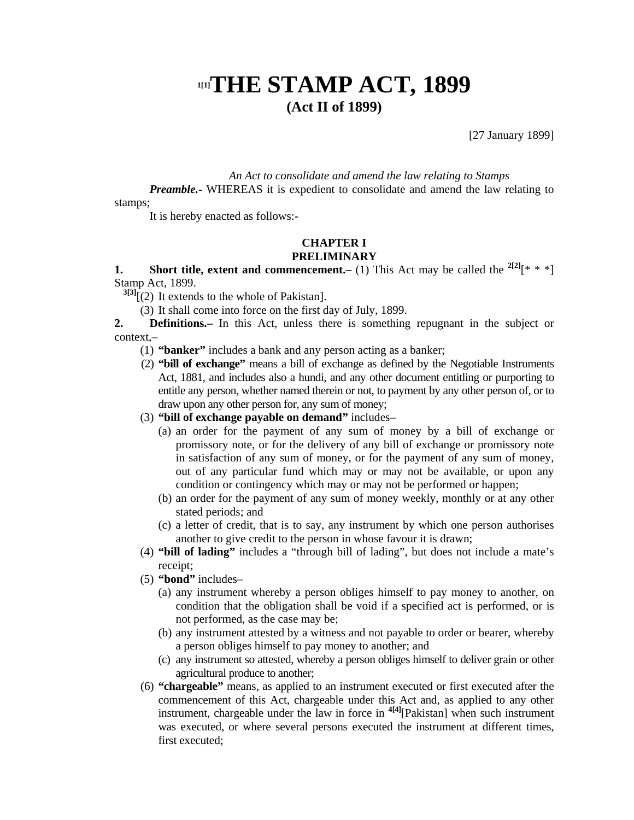# **1[1]THE STAMP ACT, 1899 (Act II of 1899)**

[27 January 1899]

*An Act to consolidate and amend the law relating to Stamps* 

*Preamble.* WHEREAS it is expedient to consolidate and amend the law relating to stamps;

It is hereby enacted as follows:-

#### **CHAPTER I PRELIMINARY**

**1.** Short title, extent and commencement.– (1) This Act may be called the  $2^{[2]}[**!]$ Stamp Act, 1899.

**3[3]**[(2) It extends to the whole of Pakistan].

(3) It shall come into force on the first day of July, 1899.

**2. Definitions.–** In this Act, unless there is something repugnant in the subject or context,–

- (1) **"banker"** includes a bank and any person acting as a banker;
- (2) **"bill of exchange"** means a bill of exchange as defined by the Negotiable Instruments Act, 1881, and includes also a hundi, and any other document entitling or purporting to entitle any person, whether named therein or not, to payment by any other person of, or to draw upon any other person for, any sum of money;

## (3) **"bill of exchange payable on demand"** includes–

- (a) an order for the payment of any sum of money by a bill of exchange or promissory note, or for the delivery of any bill of exchange or promissory note in satisfaction of any sum of money, or for the payment of any sum of money, out of any particular fund which may or may not be available, or upon any condition or contingency which may or may not be performed or happen;
- (b) an order for the payment of any sum of money weekly, monthly or at any other stated periods; and
- (c) a letter of credit, that is to say, any instrument by which one person authorises another to give credit to the person in whose favour it is drawn;
- (4) **"bill of lading"** includes a "through bill of lading", but does not include a mate's receipt;
- (5) **"bond"** includes–
	- (a) any instrument whereby a person obliges himself to pay money to another, on condition that the obligation shall be void if a specified act is performed, or is not performed, as the case may be;
	- (b) any instrument attested by a witness and not payable to order or bearer, whereby a person obliges himself to pay money to another; and
	- (c) any instrument so attested, whereby a person obliges himself to deliver grain or other agricultural produce to another;
- (6) **"chargeable"** means, as applied to an instrument executed or first executed after the commencement of this Act, chargeable under this Act and, as applied to any other instrument, chargeable under the law in force in **4[4]**[Pakistan] when such instrument was executed, or where several persons executed the instrument at different times, first executed;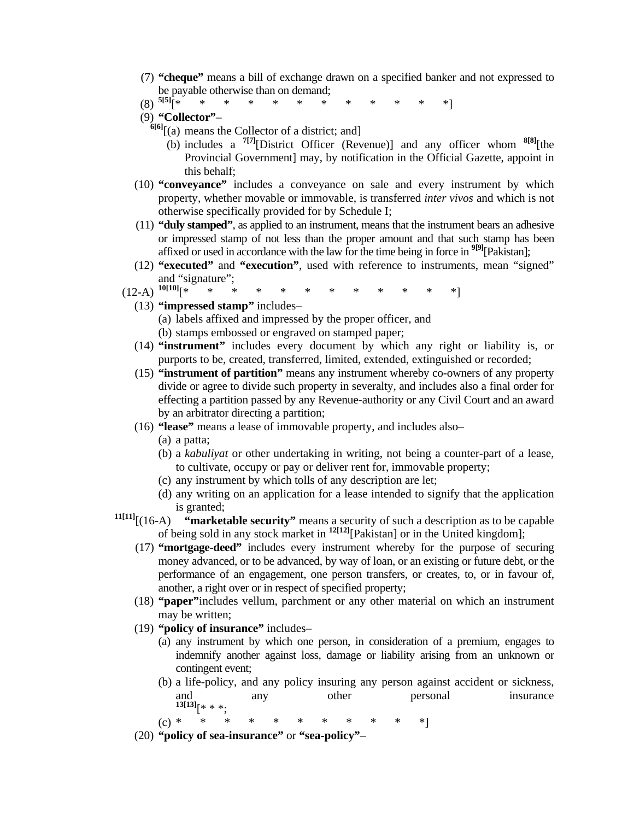- (7) **"cheque"** means a bill of exchange drawn on a specified banker and not expressed to be payable otherwise than on demand;
- (8) **5[5]**[\* \* \* \* \* \* \* \* \* \* \* \*]
- 
- (9) **"Collector" 6[6]**[(a) means the Collector of a district; and]
	- (b) includes a **7[7]**[District Officer (Revenue)] and any officer whom **8[8]**[the Provincial Government] may, by notification in the Official Gazette, appoint in this behalf;
- (10) **"conveyance"** includes a conveyance on sale and every instrument by which property, whether movable or immovable, is transferred *inter vivos* and which is not otherwise specifically provided for by Schedule I;
- (11) **"duly stamped"**, as applied to an instrument, means that the instrument bears an adhesive or impressed stamp of not less than the proper amount and that such stamp has been affixed or used in accordance with the law for the time being in force in **9[9]**[Pakistan];
- (12) **"executed"** and **"execution"**, used with reference to instruments, mean "signed" and "signature";
- $(12-A)^{10[10]}$ [\* \* \* \* \* \* \* \* \* \* \* \*]
	- (13) **"impressed stamp"** includes–
		- (a) labels affixed and impressed by the proper officer, and
		- (b) stamps embossed or engraved on stamped paper;
	- (14) **"instrument"** includes every document by which any right or liability is, or purports to be, created, transferred, limited, extended, extinguished or recorded;
	- (15) **"instrument of partition"** means any instrument whereby co-owners of any property divide or agree to divide such property in severalty, and includes also a final order for effecting a partition passed by any Revenue-authority or any Civil Court and an award by an arbitrator directing a partition;
	- (16) **"lease"** means a lease of immovable property, and includes also–
		- (a) a patta;
		- (b) a *kabuliyat* or other undertaking in writing, not being a counter-part of a lease, to cultivate, occupy or pay or deliver rent for, immovable property;
		- (c) any instrument by which tolls of any description are let;
		- (d) any writing on an application for a lease intended to signify that the application is granted;
- **11[11]**[(16-A) **"marketable security"** means a security of such a description as to be capable of being sold in any stock market in **12[12]**[Pakistan] or in the United kingdom];
	- (17) **"mortgage-deed"** includes every instrument whereby for the purpose of securing money advanced, or to be advanced, by way of loan, or an existing or future debt, or the performance of an engagement, one person transfers, or creates, to, or in favour of, another, a right over or in respect of specified property;
	- (18) **"paper"**includes vellum, parchment or any other material on which an instrument may be written;
	- (19) **"policy of insurance"** includes–
		- (a) any instrument by which one person, in consideration of a premium, engages to indemnify another against loss, damage or liability arising from an unknown or contingent event;
		- (b) a life-policy, and any policy insuring any person against accident or sickness, and any other personal insurance **13[13]**[\* \* \*;
- (c) \* \* \* \* \* \* \* \* \* \* \*]
	- (20) **"policy of sea-insurance"** or **"sea-policy"**–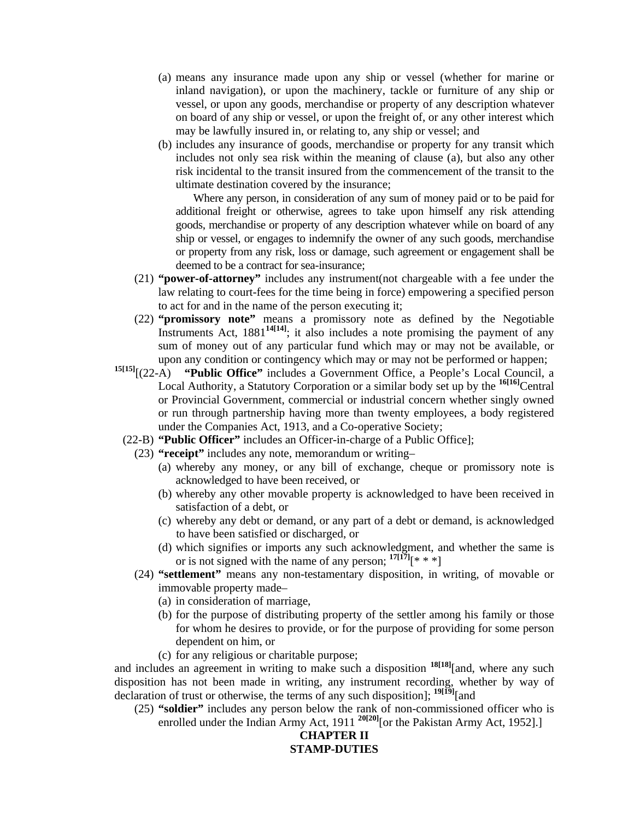- (a) means any insurance made upon any ship or vessel (whether for marine or inland navigation), or upon the machinery, tackle or furniture of any ship or vessel, or upon any goods, merchandise or property of any description whatever on board of any ship or vessel, or upon the freight of, or any other interest which may be lawfully insured in, or relating to, any ship or vessel; and
- (b) includes any insurance of goods, merchandise or property for any transit which includes not only sea risk within the meaning of clause (a), but also any other risk incidental to the transit insured from the commencement of the transit to the ultimate destination covered by the insurance;

 Where any person, in consideration of any sum of money paid or to be paid for additional freight or otherwise, agrees to take upon himself any risk attending goods, merchandise or property of any description whatever while on board of any ship or vessel, or engages to indemnify the owner of any such goods, merchandise or property from any risk, loss or damage, such agreement or engagement shall be deemed to be a contract for sea-insurance;

- (21) **"power-of-attorney"** includes any instrument(not chargeable with a fee under the law relating to court-fees for the time being in force) empowering a specified person to act for and in the name of the person executing it;
- (22) **"promissory note"** means a promissory note as defined by the Negotiable Instruments Act, 1881**14[14]**; it also includes a note promising the payment of any sum of money out of any particular fund which may or may not be available, or
- upon any condition or contingency which may or may not be performed or happen;<br><sup>15[15]</sup>[(22-A) **"Public Office"** includes a Government Office, a People's Local Council, a "Public Office" includes a Government Office, a People's Local Council, a Local Authority, a Statutory Corporation or a similar body set up by the **16[16]**Central or Provincial Government, commercial or industrial concern whether singly owned or run through partnership having more than twenty employees, a body registered under the Companies Act, 1913, and a Co-operative Society;
	- (22-B) **"Public Officer"** includes an Officer-in-charge of a Public Office];
		- (23) **"receipt"** includes any note, memorandum or writing–
			- (a) whereby any money, or any bill of exchange, cheque or promissory note is acknowledged to have been received, or
			- (b) whereby any other movable property is acknowledged to have been received in satisfaction of a debt, or
			- (c) whereby any debt or demand, or any part of a debt or demand, is acknowledged to have been satisfied or discharged, or
			- (d) which signifies or imports any such acknowledgment, and whether the same is or is not signed with the name of any person:  $17[17]$ <sup>[\*</sup> \* \*]
		- (24) **"settlement"** means any non-testamentary disposition, in writing, of movable or immovable property made–
			- (a) in consideration of marriage,
			- (b) for the purpose of distributing property of the settler among his family or those for whom he desires to provide, or for the purpose of providing for some person dependent on him, or
			- (c) for any religious or charitable purpose;

and includes an agreement in writing to make such a disposition **18[18]**[and, where any such disposition has not been made in writing, any instrument recording, whether by way of declaration of trust or otherwise, the terms of any such disposition]; **19[19]**[and

 (25) **"soldier"** includes any person below the rank of non-commissioned officer who is enrolled under the Indian Army Act, 1911<sup>20[20]</sup>[or the Pakistan Army Act, 1952].]

# **CHAPTER II STAMP-DUTIES**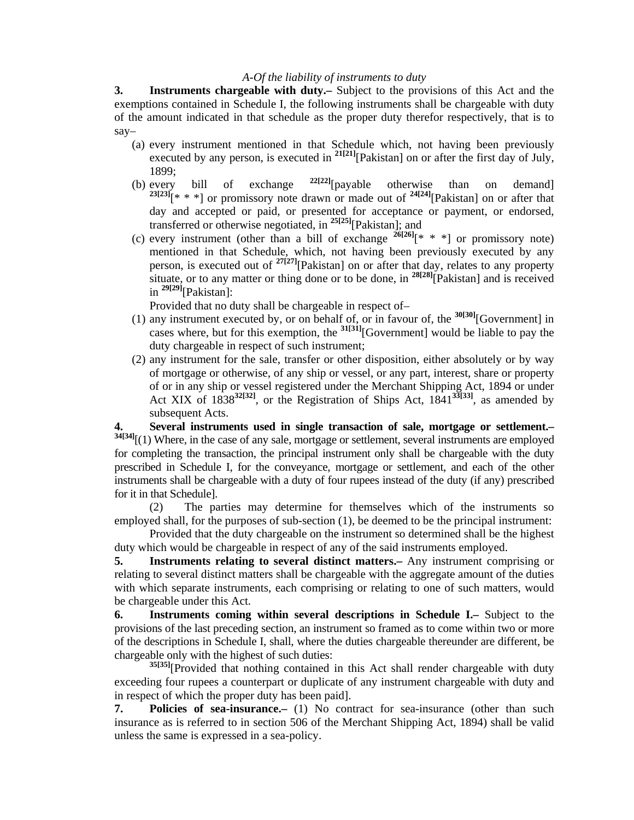## *A-Of the liability of instruments to duty*

**3. Instruments chargeable with duty.–** Subject to the provisions of this Act and the exemptions contained in Schedule I, the following instruments shall be chargeable with duty of the amount indicated in that schedule as the proper duty therefor respectively, that is to say–

- (a) every instrument mentioned in that Schedule which, not having been previously executed by any person, is executed in <sup>21[21]</sup>[Pakistan] on or after the first day of July, 1899;
- (b) every bill of exchange **22[22]**[payable otherwise than on demand]  $23[23]$ [\* \* \*] or promissory note drawn or made out of  $24[24]$ [Pakistan] on or after that day and accepted or paid, or presented for acceptance or payment, or endorsed, transferred or otherwise negotiated, in **25[25]**[Pakistan]; and
- (c) every instrument (other than a bill of exchange **26[26]**[\* \* \*] or promissory note) mentioned in that Schedule, which, not having been previously executed by any person, is executed out of  $\frac{27[27]}{Pakistan}$  on or after that day, relates to any property situate, or to any matter or thing done or to be done, in **28[28]**[Pakistan] and is received in **29[29]**[Pakistan]:

Provided that no duty shall be chargeable in respect of–

- (1) any instrument executed by, or on behalf of, or in favour of, the **30[30]**[Government] in cases where, but for this exemption, the <sup>31[31]</sup>[Government] would be liable to pay the duty chargeable in respect of such instrument;
- (2) any instrument for the sale, transfer or other disposition, either absolutely or by way of mortgage or otherwise, of any ship or vessel, or any part, interest, share or property of or in any ship or vessel registered under the Merchant Shipping Act, 1894 or under Act XIX of 1838**32[32]**, or the Registration of Ships Act, 1841**33[33]**, as amended by subsequent Acts.

**4. Several instruments used in single transaction of sale, mortgage or settlement.– 34[34]**[(1) Where, in the case of any sale, mortgage or settlement, several instruments are employed for completing the transaction, the principal instrument only shall be chargeable with the duty prescribed in Schedule I, for the conveyance, mortgage or settlement, and each of the other instruments shall be chargeable with a duty of four rupees instead of the duty (if any) prescribed for it in that Schedule].

 (2) The parties may determine for themselves which of the instruments so employed shall, for the purposes of sub-section (1), be deemed to be the principal instrument:

 Provided that the duty chargeable on the instrument so determined shall be the highest duty which would be chargeable in respect of any of the said instruments employed.

**5. Instruments relating to several distinct matters.–** Any instrument comprising or relating to several distinct matters shall be chargeable with the aggregate amount of the duties with which separate instruments, each comprising or relating to one of such matters, would be chargeable under this Act.

**6. Instruments coming within several descriptions in Schedule I.–** Subject to the provisions of the last preceding section, an instrument so framed as to come within two or more of the descriptions in Schedule I, shall, where the duties chargeable thereunder are different, be chargeable only with the highest of such duties:

**35[35]**[Provided that nothing contained in this Act shall render chargeable with duty exceeding four rupees a counterpart or duplicate of any instrument chargeable with duty and in respect of which the proper duty has been paid].

**7. Policies of sea-insurance.–** (1) No contract for sea-insurance (other than such insurance as is referred to in section 506 of the Merchant Shipping Act, 1894) shall be valid unless the same is expressed in a sea-policy.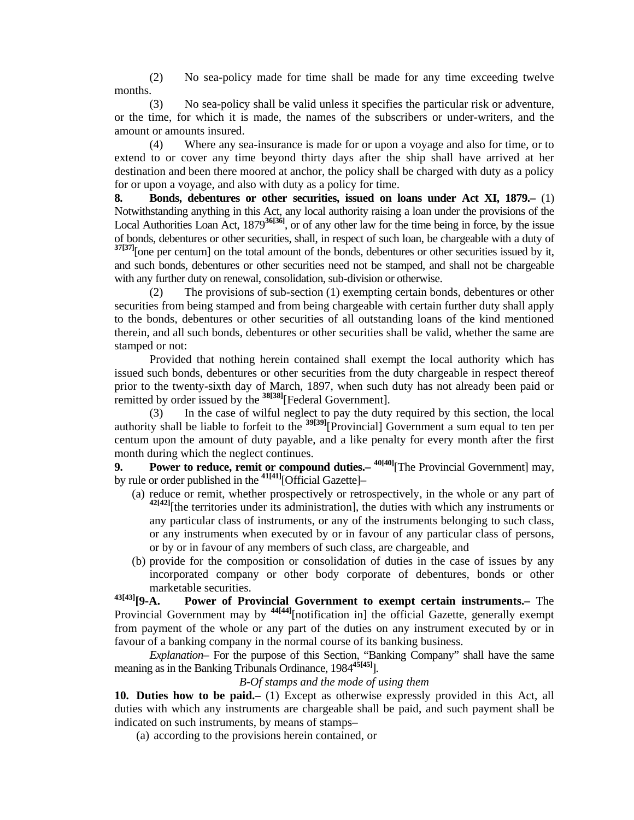(2) No sea-policy made for time shall be made for any time exceeding twelve months.

 (3) No sea-policy shall be valid unless it specifies the particular risk or adventure, or the time, for which it is made, the names of the subscribers or under-writers, and the amount or amounts insured.

 (4) Where any sea-insurance is made for or upon a voyage and also for time, or to extend to or cover any time beyond thirty days after the ship shall have arrived at her destination and been there moored at anchor, the policy shall be charged with duty as a policy for or upon a voyage, and also with duty as a policy for time.

**8. Bonds, debentures or other securities, issued on loans under Act XI, 1879.–** (1) Notwithstanding anything in this Act, any local authority raising a loan under the provisions of the Local Authorities Loan Act, 1879**36[36]**, or of any other law for the time being in force, by the issue of bonds, debentures or other securities, shall, in respect of such loan, be chargeable with a duty of **37[37]**[one per centum] on the total amount of the bonds, debentures or other securities issued by it, and such bonds, debentures or other securities need not be stamped, and shall not be chargeable with any further duty on renewal, consolidation, sub-division or otherwise.

 (2) The provisions of sub-section (1) exempting certain bonds, debentures or other securities from being stamped and from being chargeable with certain further duty shall apply to the bonds, debentures or other securities of all outstanding loans of the kind mentioned therein, and all such bonds, debentures or other securities shall be valid, whether the same are stamped or not:

 Provided that nothing herein contained shall exempt the local authority which has issued such bonds, debentures or other securities from the duty chargeable in respect thereof prior to the twenty-sixth day of March, 1897, when such duty has not already been paid or remitted by order issued by the **38[38]**[Federal Government].

 (3) In the case of wilful neglect to pay the duty required by this section, the local authority shall be liable to forfeit to the **39[39]**[Provincial] Government a sum equal to ten per centum upon the amount of duty payable, and a like penalty for every month after the first month during which the neglect continues.

**9.** Power to reduce, remit or compound duties.  $40[40]$ <sup>[The Provincial Government] may,</sup> by rule or order published in the **41[41]**[Official Gazette]–

- (a) reduce or remit, whether prospectively or retrospectively, in the whole or any part of **42[42]**[the territories under its administration], the duties with which any instruments or any particular class of instruments, or any of the instruments belonging to such class, or any instruments when executed by or in favour of any particular class of persons, or by or in favour of any members of such class, are chargeable, and
- (b) provide for the composition or consolidation of duties in the case of issues by any incorporated company or other body corporate of debentures, bonds or other

marketable securities.<br>43[43] **r**Q-A. Power of Pro **Power of Provincial Government to exempt certain instruments.**– The Provincial Government may by <sup>44[44]</sup>[notification in] the official Gazette, generally exempt from payment of the whole or any part of the duties on any instrument executed by or in favour of a banking company in the normal course of its banking business.

 *Explanation–* For the purpose of this Section, "Banking Company" shall have the same meaning as in the Banking Tribunals Ordinance, 1984**45[45]**].

*B-Of stamps and the mode of using them* 

**10. Duties how to be paid.–** (1) Except as otherwise expressly provided in this Act, all duties with which any instruments are chargeable shall be paid, and such payment shall be indicated on such instruments, by means of stamps–

(a) according to the provisions herein contained, or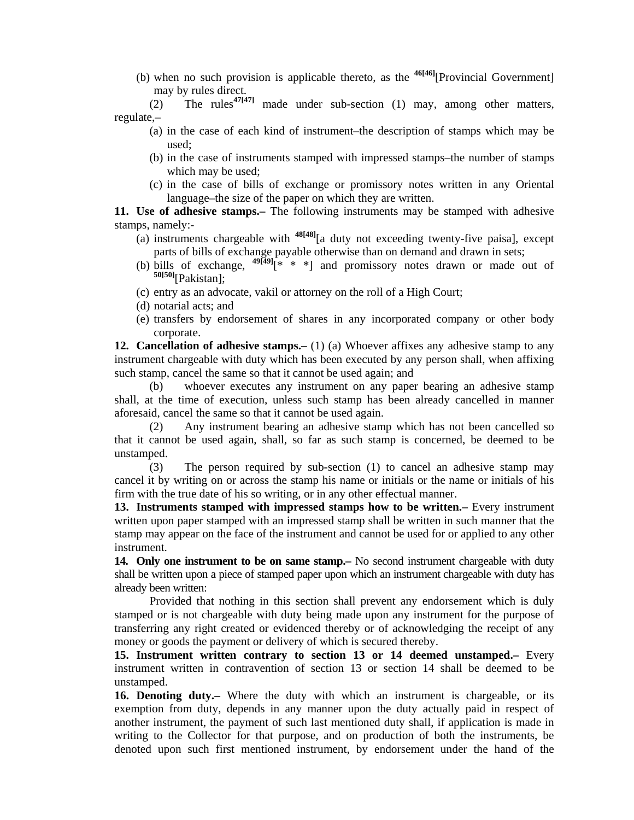(b) when no such provision is applicable thereto, as the **46[46]**[Provincial Government] may by rules direct.

(2) The rules<sup> $47[47]$ </sup> made under sub-section (1) may, among other matters, regulate,–

- (a) in the case of each kind of instrument–the description of stamps which may be used;
- (b) in the case of instruments stamped with impressed stamps–the number of stamps which may be used;
- (c) in the case of bills of exchange or promissory notes written in any Oriental language–the size of the paper on which they are written.

**11. Use of adhesive stamps.–** The following instruments may be stamped with adhesive stamps, namely:-

- (a) instruments chargeable with **48[48]**[a duty not exceeding twenty-five paisa], except parts of bills of exchange payable otherwise than on demand and drawn in sets;
- (b) bills of exchange,  $49[49]^{*\times}$  \* \*] and promissory notes drawn or made out of **50[50]**[Pakistan];
- (c) entry as an advocate, vakil or attorney on the roll of a High Court;
- (d) notarial acts; and
- (e) transfers by endorsement of shares in any incorporated company or other body corporate.

**12. Cancellation of adhesive stamps.**– (1) (a) Whoever affixes any adhesive stamp to any instrument chargeable with duty which has been executed by any person shall, when affixing such stamp, cancel the same so that it cannot be used again; and

 (b) whoever executes any instrument on any paper bearing an adhesive stamp shall, at the time of execution, unless such stamp has been already cancelled in manner aforesaid, cancel the same so that it cannot be used again.

 (2) Any instrument bearing an adhesive stamp which has not been cancelled so that it cannot be used again, shall, so far as such stamp is concerned, be deemed to be unstamped.

 (3) The person required by sub-section (1) to cancel an adhesive stamp may cancel it by writing on or across the stamp his name or initials or the name or initials of his firm with the true date of his so writing, or in any other effectual manner.

**13. Instruments stamped with impressed stamps how to be written.–** Every instrument written upon paper stamped with an impressed stamp shall be written in such manner that the stamp may appear on the face of the instrument and cannot be used for or applied to any other instrument.

**14. Only one instrument to be on same stamp.**— No second instrument chargeable with duty shall be written upon a piece of stamped paper upon which an instrument chargeable with duty has already been written:

 Provided that nothing in this section shall prevent any endorsement which is duly stamped or is not chargeable with duty being made upon any instrument for the purpose of transferring any right created or evidenced thereby or of acknowledging the receipt of any money or goods the payment or delivery of which is secured thereby.

**15. Instrument written contrary to section 13 or 14 deemed unstamped.–** Every instrument written in contravention of section 13 or section 14 shall be deemed to be unstamped.

**16. Denoting duty.–** Where the duty with which an instrument is chargeable, or its exemption from duty, depends in any manner upon the duty actually paid in respect of another instrument, the payment of such last mentioned duty shall, if application is made in writing to the Collector for that purpose, and on production of both the instruments, be denoted upon such first mentioned instrument, by endorsement under the hand of the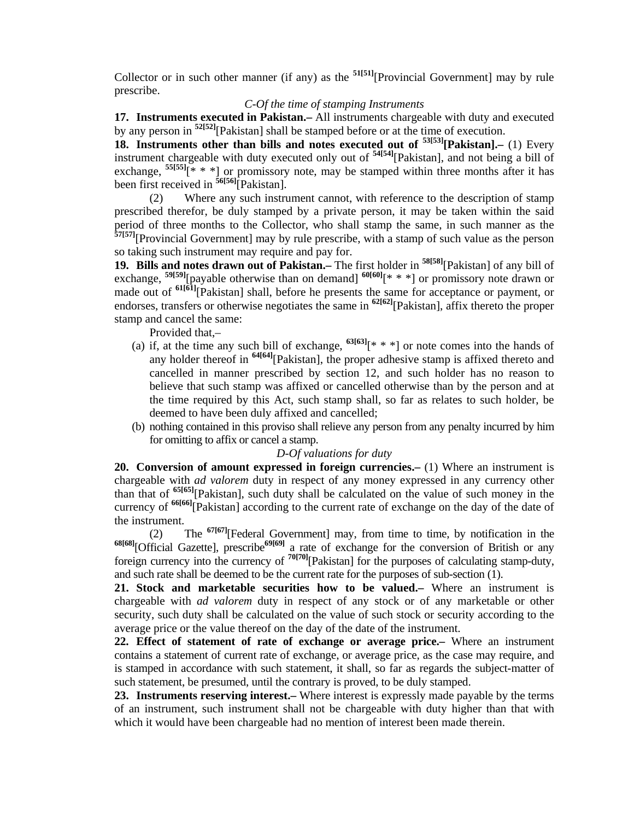Collector or in such other manner (if any) as the **51[51]**[Provincial Government] may by rule prescribe.

## *C-Of the time of stamping Instruments*

**17. Instruments executed in Pakistan.–** All instruments chargeable with duty and executed by any person in **52[52]**[Pakistan] shall be stamped before or at the time of execution.

**18. Instruments other than bills and notes executed out of <sup>53[53]</sup>[Pakistan].– (1) Every** instrument chargeable with duty executed only out of **54[54]**[Pakistan], and not being a bill of exchange,  $\frac{55[55]}{[* * *]}$  or promissory note, may be stamped within three months after it has been first received in **56[56]**[Pakistan].

 (2) Where any such instrument cannot, with reference to the description of stamp prescribed therefor, be duly stamped by a private person, it may be taken within the said period of three months to the Collector, who shall stamp the same, in such manner as the **57[57]**[Provincial Government] may by rule prescribe, with a stamp of such value as the person so taking such instrument may require and pay for.

**19. Bills and notes drawn out of Pakistan.–** The first holder in **58[58]**[Pakistan] of any bill of exchange, **59[59]**[payable otherwise than on demand] **60[60]**[\* \* \*] or promissory note drawn or made out of **61[61]**[Pakistan] shall, before he presents the same for acceptance or payment, or endorses, transfers or otherwise negotiates the same in **62[62]**[Pakistan], affix thereto the proper stamp and cancel the same:

Provided that,–

- (a) if, at the time any such bill of exchange,  $63[63]$ <sup>[\*</sup> \* \*] or note comes into the hands of any holder thereof in **64[64]**[Pakistan], the proper adhesive stamp is affixed thereto and cancelled in manner prescribed by section 12, and such holder has no reason to believe that such stamp was affixed or cancelled otherwise than by the person and at the time required by this Act, such stamp shall, so far as relates to such holder, be deemed to have been duly affixed and cancelled;
- (b) nothing contained in this proviso shall relieve any person from any penalty incurred by him for omitting to affix or cancel a stamp.

## *D-Of valuations for duty*

**20. Conversion of amount expressed in foreign currencies.–** (1) Where an instrument is chargeable with *ad valorem* duty in respect of any money expressed in any currency other than that of **65[65]**[Pakistan], such duty shall be calculated on the value of such money in the currency of **66[66]**[Pakistan] according to the current rate of exchange on the day of the date of the instrument.

 (2) The **67[67]**[Federal Government] may, from time to time, by notification in the **68[68]**[Official Gazette], prescribe**69[69]** a rate of exchange for the conversion of British or any foreign currency into the currency of **70[70]**[Pakistan] for the purposes of calculating stamp-duty, and such rate shall be deemed to be the current rate for the purposes of sub-section (1).

**21. Stock and marketable securities how to be valued.–** Where an instrument is chargeable with *ad valorem* duty in respect of any stock or of any marketable or other security, such duty shall be calculated on the value of such stock or security according to the average price or the value thereof on the day of the date of the instrument.

**22. Effect of statement of rate of exchange or average price.–** Where an instrument contains a statement of current rate of exchange, or average price, as the case may require, and is stamped in accordance with such statement, it shall, so far as regards the subject-matter of such statement, be presumed, until the contrary is proved, to be duly stamped.

**23. Instruments reserving interest.–** Where interest is expressly made payable by the terms of an instrument, such instrument shall not be chargeable with duty higher than that with which it would have been chargeable had no mention of interest been made therein.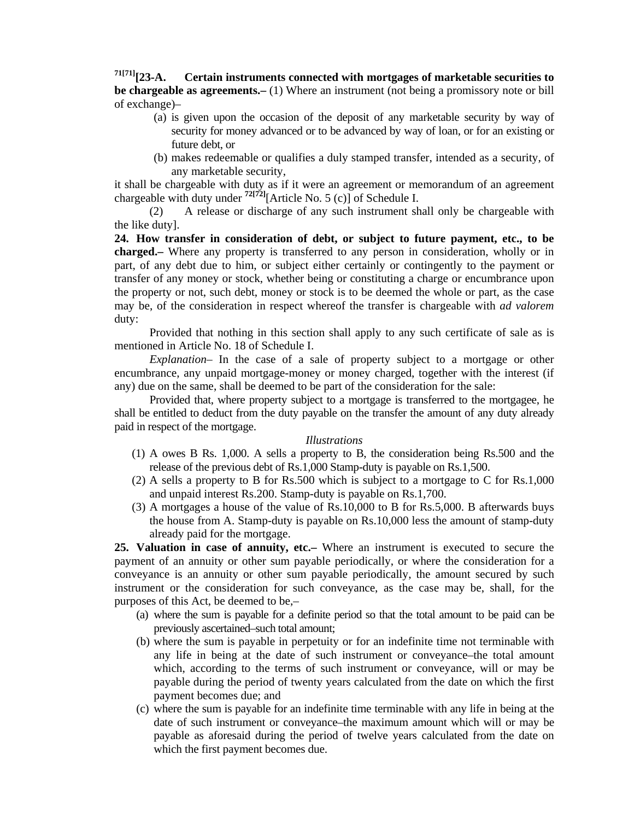# **71[71][23-A. Certain instruments connected with mortgages of marketable securities to be chargeable as agreements.–** (1) Where an instrument (not being a promissory note or bill of exchange)–

- (a) is given upon the occasion of the deposit of any marketable security by way of security for money advanced or to be advanced by way of loan, or for an existing or future debt, or
- (b) makes redeemable or qualifies a duly stamped transfer, intended as a security, of any marketable security,

it shall be chargeable with duty as if it were an agreement or memorandum of an agreement chargeable with duty under  $\frac{72[72]}{2}$ [Article No. 5 (c)] of Schedule I.

 (2) A release or discharge of any such instrument shall only be chargeable with the like duty].

**24. How transfer in consideration of debt, or subject to future payment, etc., to be charged.–** Where any property is transferred to any person in consideration, wholly or in part, of any debt due to him, or subject either certainly or contingently to the payment or transfer of any money or stock, whether being or constituting a charge or encumbrance upon the property or not, such debt, money or stock is to be deemed the whole or part, as the case may be, of the consideration in respect whereof the transfer is chargeable with *ad valorem*  duty:

 Provided that nothing in this section shall apply to any such certificate of sale as is mentioned in Article No. 18 of Schedule I.

 *Explanation–* In the case of a sale of property subject to a mortgage or other encumbrance, any unpaid mortgage-money or money charged, together with the interest (if any) due on the same, shall be deemed to be part of the consideration for the sale:

 Provided that, where property subject to a mortgage is transferred to the mortgagee, he shall be entitled to deduct from the duty payable on the transfer the amount of any duty already paid in respect of the mortgage.

## *Illustrations*

- (1) A owes B Rs. 1,000. A sells a property to B, the consideration being Rs.500 and the release of the previous debt of Rs.1,000 Stamp-duty is payable on Rs.1,500.
- (2) A sells a property to B for Rs.500 which is subject to a mortgage to C for Rs.1,000 and unpaid interest Rs.200. Stamp-duty is payable on Rs.1,700.
- (3) A mortgages a house of the value of Rs.10,000 to B for Rs.5,000. B afterwards buys the house from A. Stamp-duty is payable on Rs.10,000 less the amount of stamp-duty already paid for the mortgage.

**25. Valuation in case of annuity, etc.–** Where an instrument is executed to secure the payment of an annuity or other sum payable periodically, or where the consideration for a conveyance is an annuity or other sum payable periodically, the amount secured by such instrument or the consideration for such conveyance, as the case may be, shall, for the purposes of this Act, be deemed to be,–

- (a) where the sum is payable for a definite period so that the total amount to be paid can be previously ascertained–such total amount;
- (b) where the sum is payable in perpetuity or for an indefinite time not terminable with any life in being at the date of such instrument or conveyance–the total amount which, according to the terms of such instrument or conveyance, will or may be payable during the period of twenty years calculated from the date on which the first payment becomes due; and
- (c) where the sum is payable for an indefinite time terminable with any life in being at the date of such instrument or conveyance–the maximum amount which will or may be payable as aforesaid during the period of twelve years calculated from the date on which the first payment becomes due.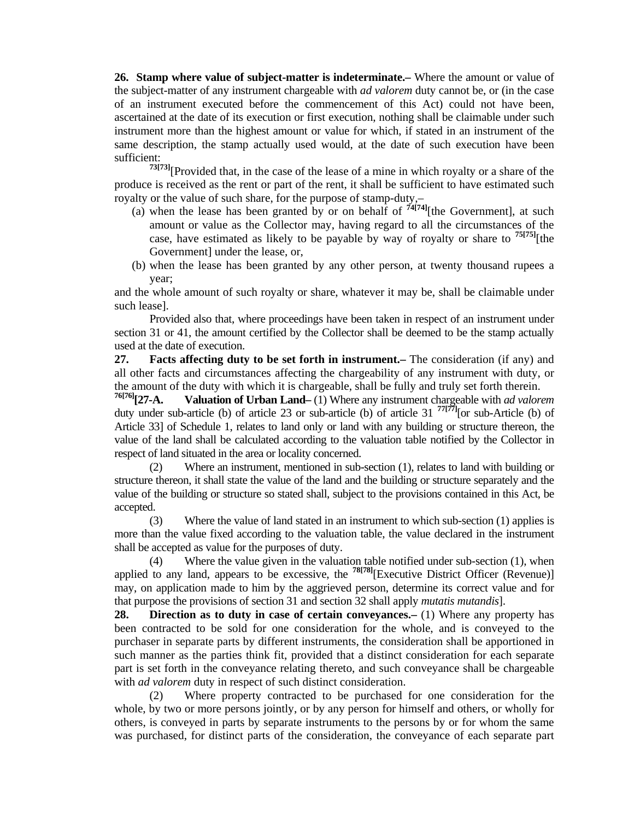**26. Stamp where value of subject-matter is indeterminate.–** Where the amount or value of the subject-matter of any instrument chargeable with *ad valorem* duty cannot be, or (in the case of an instrument executed before the commencement of this Act) could not have been, ascertained at the date of its execution or first execution, nothing shall be claimable under such instrument more than the highest amount or value for which, if stated in an instrument of the same description, the stamp actually used would, at the date of such execution have been sufficient:

**73[73]**[Provided that, in the case of the lease of a mine in which royalty or a share of the produce is received as the rent or part of the rent, it shall be sufficient to have estimated such royalty or the value of such share, for the purpose of stamp-duty,–

- (a) when the lease has been granted by or on behalf of **74[74]**[the Government], at such amount or value as the Collector may, having regard to all the circumstances of the case, have estimated as likely to be payable by way of royalty or share to **75[75]**[the Government] under the lease, or,
- (b) when the lease has been granted by any other person, at twenty thousand rupees a year;

and the whole amount of such royalty or share, whatever it may be, shall be claimable under such lease].

 Provided also that, where proceedings have been taken in respect of an instrument under section 31 or 41, the amount certified by the Collector shall be deemed to be the stamp actually used at the date of execution.

**27. Facts affecting duty to be set forth in instrument.–** The consideration (if any) and all other facts and circumstances affecting the chargeability of any instrument with duty, or

the amount of the duty with which it is chargeable, shall be fully and truly set forth therein.<br><sup>76[76]</sup>[27-A. **Valuation of Urban Land**–(1) Where any instrument chargeable with *ad valore* Valuation of Urban Land– (1) Where any instrument chargeable with *ad valorem* duty under sub-article (b) of article 23 or sub-article (b) of article 31 **77[77]**[or sub-Article (b) of Article 33] of Schedule 1, relates to land only or land with any building or structure thereon, the value of the land shall be calculated according to the valuation table notified by the Collector in respect of land situated in the area or locality concerned.

 (2) Where an instrument, mentioned in sub-section (1), relates to land with building or structure thereon, it shall state the value of the land and the building or structure separately and the value of the building or structure so stated shall, subject to the provisions contained in this Act, be accepted.

 (3) Where the value of land stated in an instrument to which sub-section (1) applies is more than the value fixed according to the valuation table, the value declared in the instrument shall be accepted as value for the purposes of duty.

 (4) Where the value given in the valuation table notified under sub-section (1), when applied to any land, appears to be excessive, the **78[78]**[Executive District Officer (Revenue)] may, on application made to him by the aggrieved person, determine its correct value and for that purpose the provisions of section 31 and section 32 shall apply *mutatis mutandis*].

**28. Direction as to duty in case of certain conveyances.** (1) Where any property has been contracted to be sold for one consideration for the whole, and is conveyed to the purchaser in separate parts by different instruments, the consideration shall be apportioned in such manner as the parties think fit, provided that a distinct consideration for each separate part is set forth in the conveyance relating thereto, and such conveyance shall be chargeable with *ad valorem* duty in respect of such distinct consideration.

 (2) Where property contracted to be purchased for one consideration for the whole, by two or more persons jointly, or by any person for himself and others, or wholly for others, is conveyed in parts by separate instruments to the persons by or for whom the same was purchased, for distinct parts of the consideration, the conveyance of each separate part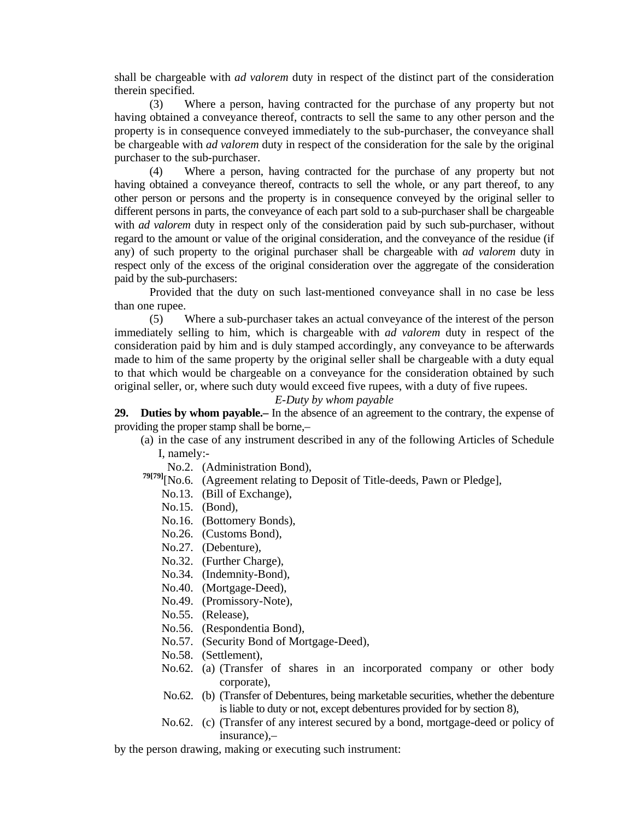shall be chargeable with *ad valorem* duty in respect of the distinct part of the consideration therein specified.

 (3) Where a person, having contracted for the purchase of any property but not having obtained a conveyance thereof, contracts to sell the same to any other person and the property is in consequence conveyed immediately to the sub-purchaser, the conveyance shall be chargeable with *ad valorem* duty in respect of the consideration for the sale by the original purchaser to the sub-purchaser.

 (4) Where a person, having contracted for the purchase of any property but not having obtained a conveyance thereof, contracts to sell the whole, or any part thereof, to any other person or persons and the property is in consequence conveyed by the original seller to different persons in parts, the conveyance of each part sold to a sub-purchaser shall be chargeable with *ad valorem* duty in respect only of the consideration paid by such sub-purchaser, without regard to the amount or value of the original consideration, and the conveyance of the residue (if any) of such property to the original purchaser shall be chargeable with *ad valorem* duty in respect only of the excess of the original consideration over the aggregate of the consideration paid by the sub-purchasers:

 Provided that the duty on such last-mentioned conveyance shall in no case be less than one rupee.

 (5) Where a sub-purchaser takes an actual conveyance of the interest of the person immediately selling to him, which is chargeable with *ad valorem* duty in respect of the consideration paid by him and is duly stamped accordingly, any conveyance to be afterwards made to him of the same property by the original seller shall be chargeable with a duty equal to that which would be chargeable on a conveyance for the consideration obtained by such original seller, or, where such duty would exceed five rupees, with a duty of five rupees.

## *E-Duty by whom payable*

**29. Duties by whom payable.–** In the absence of an agreement to the contrary, the expense of providing the proper stamp shall be borne,–

- (a) in the case of any instrument described in any of the following Articles of Schedule I, namely:-
	- No.2. (Administration Bond),
- **79[79]**[No.6. (Agreement relating to Deposit of Title-deeds, Pawn or Pledge],
	- No.13. (Bill of Exchange),
	- No.15. (Bond),
	- No.16. (Bottomery Bonds),
	- No.26. (Customs Bond),
	- No.27. (Debenture),
	- No.32. (Further Charge),
	- No.34. (Indemnity-Bond),
	- No.40. (Mortgage-Deed),
	- No.49. (Promissory-Note),
	- No.55. (Release),
	- No.56. (Respondentia Bond),
	- No.57. (Security Bond of Mortgage-Deed),
	- No.58. (Settlement),
	- No.62. (a) (Transfer of shares in an incorporated company or other body corporate),
	- No.62. (b) (Transfer of Debentures, being marketable securities, whether the debenture is liable to duty or not, except debentures provided for by section 8),
	- No.62. (c) (Transfer of any interest secured by a bond, mortgage-deed or policy of insurance),–

by the person drawing, making or executing such instrument: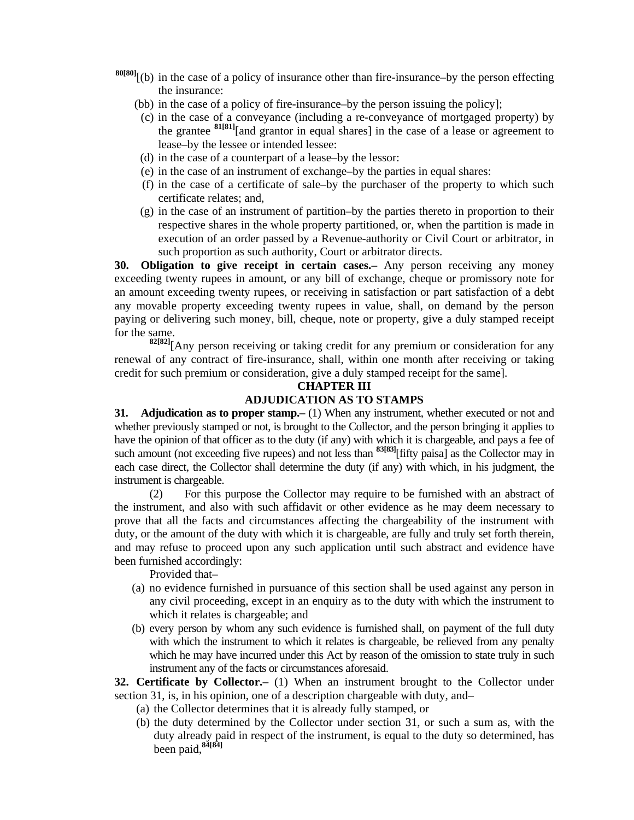- **80[80]**[(b) in the case of a policy of insurance other than fire-insurance–by the person effecting the insurance:
	- (bb) in the case of a policy of fire-insurance–by the person issuing the policy];
	- (c) in the case of a conveyance (including a re-conveyance of mortgaged property) by the grantee **81[81]**[and grantor in equal shares] in the case of a lease or agreement to lease–by the lessee or intended lessee:
	- (d) in the case of a counterpart of a lease–by the lessor:
	- (e) in the case of an instrument of exchange–by the parties in equal shares:
	- (f) in the case of a certificate of sale–by the purchaser of the property to which such certificate relates; and,
	- (g) in the case of an instrument of partition–by the parties thereto in proportion to their respective shares in the whole property partitioned, or, when the partition is made in execution of an order passed by a Revenue-authority or Civil Court or arbitrator, in such proportion as such authority, Court or arbitrator directs.

**30. Obligation to give receipt in certain cases.–** Any person receiving any money exceeding twenty rupees in amount, or any bill of exchange, cheque or promissory note for an amount exceeding twenty rupees, or receiving in satisfaction or part satisfaction of a debt any movable property exceeding twenty rupees in value, shall, on demand by the person paying or delivering such money, bill, cheque, note or property, give a duly stamped receipt for the same.

**82[82]**[Any person receiving or taking credit for any premium or consideration for any renewal of any contract of fire-insurance, shall, within one month after receiving or taking credit for such premium or consideration, give a duly stamped receipt for the same].

## **CHAPTER III ADJUDICATION AS TO STAMPS**

**31.** Adjudication as to proper stamp. (1) When any instrument, whether executed or not and whether previously stamped or not, is brought to the Collector, and the person bringing it applies to have the opinion of that officer as to the duty (if any) with which it is chargeable, and pays a fee of such amount (not exceeding five rupees) and not less than <sup>83[83]</sup>[fifty paisa] as the Collector may in each case direct, the Collector shall determine the duty (if any) with which, in his judgment, the instrument is chargeable.

 (2) For this purpose the Collector may require to be furnished with an abstract of the instrument, and also with such affidavit or other evidence as he may deem necessary to prove that all the facts and circumstances affecting the chargeability of the instrument with duty, or the amount of the duty with which it is chargeable, are fully and truly set forth therein, and may refuse to proceed upon any such application until such abstract and evidence have been furnished accordingly:

Provided that–

- (a) no evidence furnished in pursuance of this section shall be used against any person in any civil proceeding, except in an enquiry as to the duty with which the instrument to which it relates is chargeable; and
- (b) every person by whom any such evidence is furnished shall, on payment of the full duty with which the instrument to which it relates is chargeable, be relieved from any penalty which he may have incurred under this Act by reason of the omission to state truly in such instrument any of the facts or circumstances aforesaid.

**32. Certificate by Collector.–** (1) When an instrument brought to the Collector under section 31, is, in his opinion, one of a description chargeable with duty, and–

- (a) the Collector determines that it is already fully stamped, or
- (b) the duty determined by the Collector under section 31, or such a sum as, with the duty already paid in respect of the instrument, is equal to the duty so determined, has been paid,**84[84]**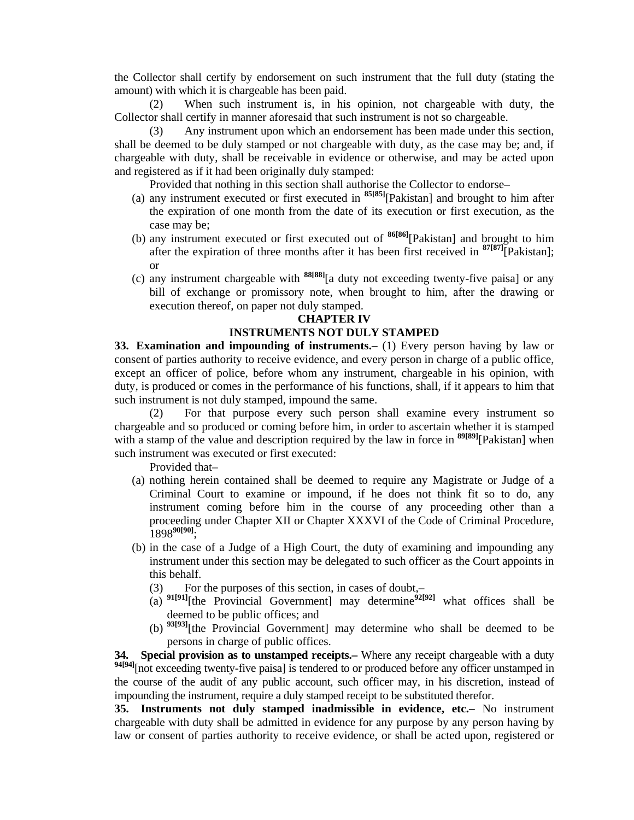the Collector shall certify by endorsement on such instrument that the full duty (stating the amount) with which it is chargeable has been paid.

 (2) When such instrument is, in his opinion, not chargeable with duty, the Collector shall certify in manner aforesaid that such instrument is not so chargeable.

 (3) Any instrument upon which an endorsement has been made under this section, shall be deemed to be duly stamped or not chargeable with duty, as the case may be; and, if chargeable with duty, shall be receivable in evidence or otherwise, and may be acted upon and registered as if it had been originally duly stamped:

Provided that nothing in this section shall authorise the Collector to endorse–

- (a) any instrument executed or first executed in **85[85]**[Pakistan] and brought to him after the expiration of one month from the date of its execution or first execution, as the case may be;
- (b) any instrument executed or first executed out of **86[86]**[Pakistan] and brought to him after the expiration of three months after it has been first received in **87[87]**[Pakistan]; or
	- (c) any instrument chargeable with **88[88]**[a duty not exceeding twenty-five paisa] or any bill of exchange or promissory note, when brought to him, after the drawing or execution thereof, on paper not duly stamped.

## **CHAPTER IV**

# **INSTRUMENTS NOT DULY STAMPED**

**33. Examination and impounding of instruments.–** (1) Every person having by law or consent of parties authority to receive evidence, and every person in charge of a public office, except an officer of police, before whom any instrument, chargeable in his opinion, with duty, is produced or comes in the performance of his functions, shall, if it appears to him that such instrument is not duly stamped, impound the same.

 (2) For that purpose every such person shall examine every instrument so chargeable and so produced or coming before him, in order to ascertain whether it is stamped with a stamp of the value and description required by the law in force in <sup>89[89]</sup>[Pakistan] when such instrument was executed or first executed:

Provided that–

- (a) nothing herein contained shall be deemed to require any Magistrate or Judge of a Criminal Court to examine or impound, if he does not think fit so to do, any instrument coming before him in the course of any proceeding other than a proceeding under Chapter XII or Chapter XXXVI of the Code of Criminal Procedure, 1898**90[90]**;
- (b) in the case of a Judge of a High Court, the duty of examining and impounding any instrument under this section may be delegated to such officer as the Court appoints in this behalf.
	- (3) For the purposes of this section, in cases of doubt,–
	- (a)  $91[91]$ [the Provincial Government] may determine<sup>92[92]</sup> what offices shall be deemed to be public offices; and
	- (b) **93[93]**[the Provincial Government] may determine who shall be deemed to be persons in charge of public offices.

**34. Special provision as to unstamped receipts.–** Where any receipt chargeable with a duty <sup>94[94]</sup>[not exceeding twenty-five paisa] is tendered to or produced before any officer unstamped in the course of the audit of any public account, such officer may, in his discretion, instead of impounding the instrument, require a duly stamped receipt to be substituted therefor.

**35. Instruments not duly stamped inadmissible in evidence, etc.–** No instrument chargeable with duty shall be admitted in evidence for any purpose by any person having by law or consent of parties authority to receive evidence, or shall be acted upon, registered or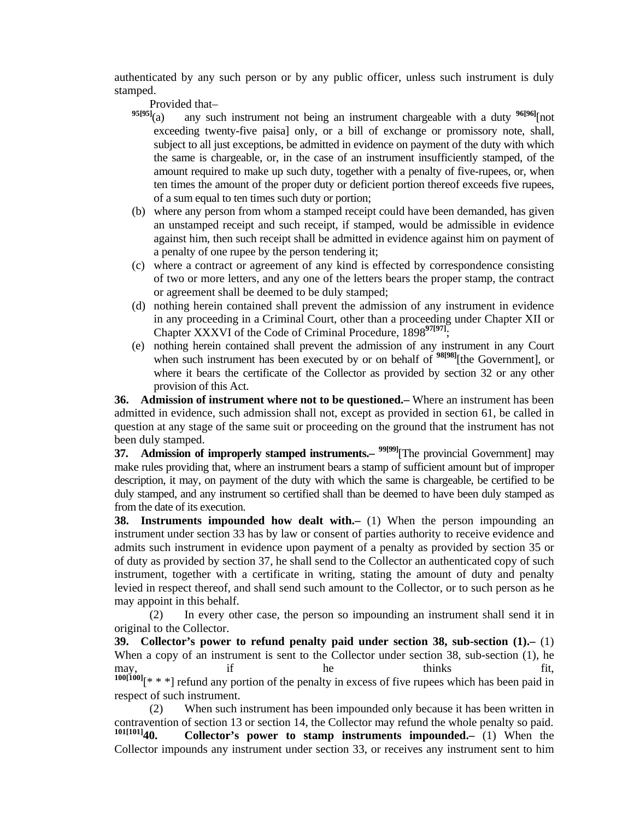authenticated by any such person or by any public officer, unless such instrument is duly stamped.

Provided that—<br>95[95]<sub>(a)</sub> any suc-

- any such instrument not being an instrument chargeable with a duty <sup>96[96]</sup>[not exceeding twenty-five paisa] only, or a bill of exchange or promissory note, shall, subject to all just exceptions, be admitted in evidence on payment of the duty with which the same is chargeable, or, in the case of an instrument insufficiently stamped, of the amount required to make up such duty, together with a penalty of five-rupees, or, when ten times the amount of the proper duty or deficient portion thereof exceeds five rupees, of a sum equal to ten times such duty or portion;
- (b) where any person from whom a stamped receipt could have been demanded, has given an unstamped receipt and such receipt, if stamped, would be admissible in evidence against him, then such receipt shall be admitted in evidence against him on payment of a penalty of one rupee by the person tendering it;
- (c) where a contract or agreement of any kind is effected by correspondence consisting of two or more letters, and any one of the letters bears the proper stamp, the contract or agreement shall be deemed to be duly stamped;
- (d) nothing herein contained shall prevent the admission of any instrument in evidence in any proceeding in a Criminal Court, other than a proceeding under Chapter XII or Chapter XXXVI of the Code of Criminal Procedure, 1898**97[97]**;
- (e) nothing herein contained shall prevent the admission of any instrument in any Court when such instrument has been executed by or on behalf of <sup>98[98]</sup>[the Government], or where it bears the certificate of the Collector as provided by section 32 or any other provision of this Act.

**36. Admission of instrument where not to be questioned.–** Where an instrument has been admitted in evidence, such admission shall not, except as provided in section 61, be called in question at any stage of the same suit or proceeding on the ground that the instrument has not been duly stamped.

**37.** Admission of improperly stamped instruments. <sup>99[99]</sup>[The provincial Government] may make rules providing that, where an instrument bears a stamp of sufficient amount but of improper description, it may, on payment of the duty with which the same is chargeable, be certified to be duly stamped, and any instrument so certified shall than be deemed to have been duly stamped as from the date of its execution.

**38. Instruments impounded how dealt with.** (1) When the person impounding an instrument under section 33 has by law or consent of parties authority to receive evidence and admits such instrument in evidence upon payment of a penalty as provided by section 35 or of duty as provided by section 37, he shall send to the Collector an authenticated copy of such instrument, together with a certificate in writing, stating the amount of duty and penalty levied in respect thereof, and shall send such amount to the Collector, or to such person as he may appoint in this behalf.

 (2) In every other case, the person so impounding an instrument shall send it in original to the Collector.

**39. Collector's power to refund penalty paid under section 38, sub-section (1).–** (1) When a copy of an instrument is sent to the Collector under section 38, sub-section (1), he may, if he thinks fit, **100[100]**[\* \* \*] refund any portion of the penalty in excess of five rupees which has been paid in respect of such instrument.

 (2) When such instrument has been impounded only because it has been written in contravention of section 13 or section 14, the Collector may refund the whole penalty so paid.<br> $101[101]$ An Collector's nower to stamp instruments impounded. (1) When the **1011 101 101 101 101 101 101 101 101 101 101 101 101 101 101 101 101 101 101 101 101 101 101 101 101 101 101 101 101 101 101 101 101 101 101 101 101** Collector impounds any instrument under section 33, or receives any instrument sent to him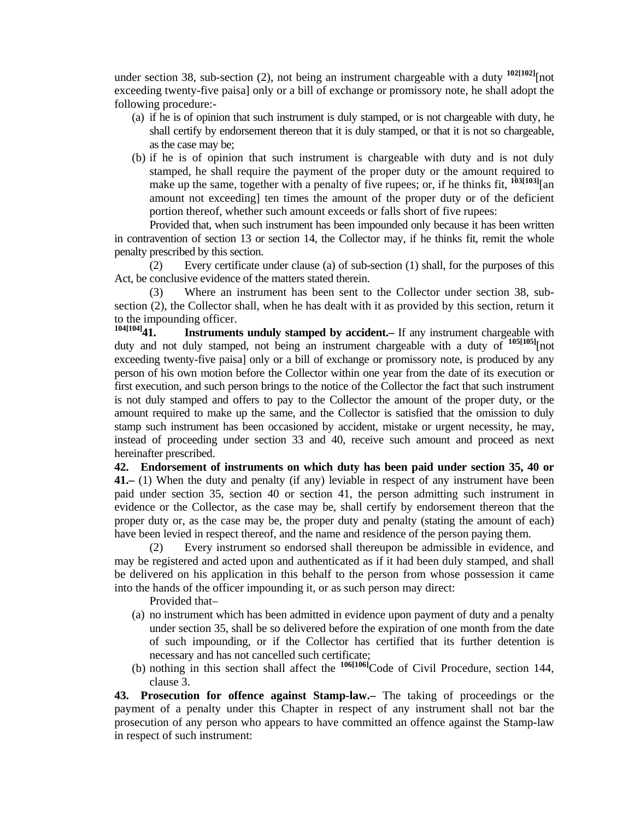under section 38, sub-section (2), not being an instrument chargeable with a duty <sup>102[102]</sup>[not exceeding twenty-five paisa] only or a bill of exchange or promissory note, he shall adopt the following procedure:-

- (a) if he is of opinion that such instrument is duly stamped, or is not chargeable with duty, he shall certify by endorsement thereon that it is duly stamped, or that it is not so chargeable, as the case may be;
- (b) if he is of opinion that such instrument is chargeable with duty and is not duly stamped, he shall require the payment of the proper duty or the amount required to make up the same, together with a penalty of five rupees; or, if he thinks fit,  $^{103[103]}$ [an amount not exceeding] ten times the amount of the proper duty or of the deficient portion thereof, whether such amount exceeds or falls short of five rupees:

 Provided that, when such instrument has been impounded only because it has been written in contravention of section 13 or section 14, the Collector may, if he thinks fit, remit the whole penalty prescribed by this section.

 (2) Every certificate under clause (a) of sub-section (1) shall, for the purposes of this Act, be conclusive evidence of the matters stated therein.

 (3) Where an instrument has been sent to the Collector under section 38, subsection (2), the Collector shall, when he has dealt with it as provided by this section, return it to the impounding officer.<br> $104[104]$ **11 Instrument** 

**Instruments unduly stamped by accident.**— If any instrument chargeable with duty and not duly stamped, not being an instrument chargeable with a duty of **105[105]**[not exceeding twenty-five paisa] only or a bill of exchange or promissory note, is produced by any person of his own motion before the Collector within one year from the date of its execution or first execution, and such person brings to the notice of the Collector the fact that such instrument is not duly stamped and offers to pay to the Collector the amount of the proper duty, or the amount required to make up the same, and the Collector is satisfied that the omission to duly stamp such instrument has been occasioned by accident, mistake or urgent necessity, he may, instead of proceeding under section 33 and 40, receive such amount and proceed as next hereinafter prescribed.

**42. Endorsement of instruments on which duty has been paid under section 35, 40 or 41.–** (1) When the duty and penalty (if any) leviable in respect of any instrument have been paid under section 35, section 40 or section 41, the person admitting such instrument in evidence or the Collector, as the case may be, shall certify by endorsement thereon that the proper duty or, as the case may be, the proper duty and penalty (stating the amount of each) have been levied in respect thereof, and the name and residence of the person paying them.

 (2) Every instrument so endorsed shall thereupon be admissible in evidence, and may be registered and acted upon and authenticated as if it had been duly stamped, and shall be delivered on his application in this behalf to the person from whose possession it came into the hands of the officer impounding it, or as such person may direct:

Provided that–

- (a) no instrument which has been admitted in evidence upon payment of duty and a penalty under section 35, shall be so delivered before the expiration of one month from the date of such impounding, or if the Collector has certified that its further detention is necessary and has not cancelled such certificate;
- (b) nothing in this section shall affect the <sup>106[106]</sup>Code of Civil Procedure, section 144, clause 3.

**43. Prosecution for offence against Stamp-law.–** The taking of proceedings or the payment of a penalty under this Chapter in respect of any instrument shall not bar the prosecution of any person who appears to have committed an offence against the Stamp-law in respect of such instrument: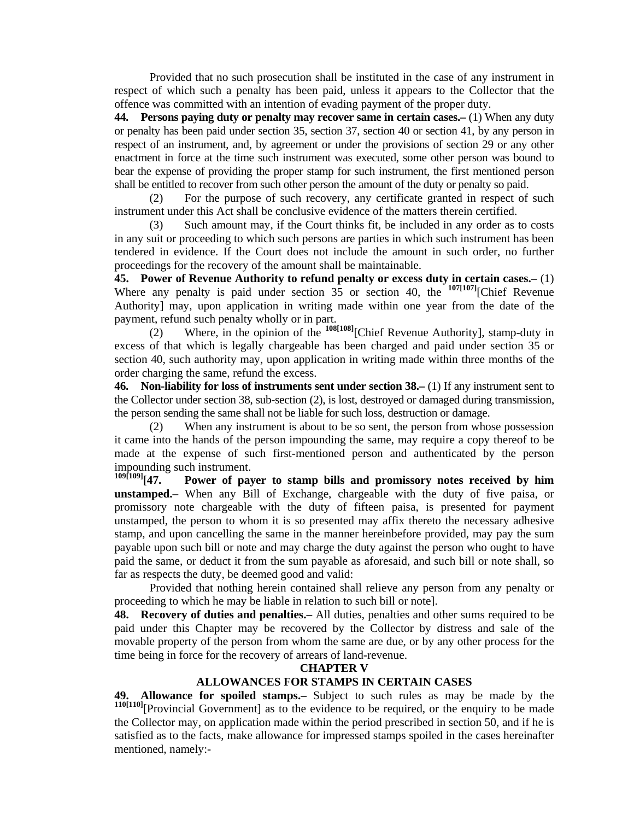Provided that no such prosecution shall be instituted in the case of any instrument in respect of which such a penalty has been paid, unless it appears to the Collector that the offence was committed with an intention of evading payment of the proper duty.

**44. Persons paying duty or penalty may recover same in certain cases.–** (1) When any duty or penalty has been paid under section 35, section 37, section 40 or section 41, by any person in respect of an instrument, and, by agreement or under the provisions of section 29 or any other enactment in force at the time such instrument was executed, some other person was bound to bear the expense of providing the proper stamp for such instrument, the first mentioned person shall be entitled to recover from such other person the amount of the duty or penalty so paid.

 (2) For the purpose of such recovery, any certificate granted in respect of such instrument under this Act shall be conclusive evidence of the matters therein certified.

 (3) Such amount may, if the Court thinks fit, be included in any order as to costs in any suit or proceeding to which such persons are parties in which such instrument has been tendered in evidence. If the Court does not include the amount in such order, no further proceedings for the recovery of the amount shall be maintainable.

**45. Power of Revenue Authority to refund penalty or excess duty in certain cases.–** (1) Where any penalty is paid under section 35 or section 40, the **107[107]**[Chief Revenue Authority] may, upon application in writing made within one year from the date of the payment, refund such penalty wholly or in part.

 (2) Where, in the opinion of the **108[108]**[Chief Revenue Authority], stamp-duty in excess of that which is legally chargeable has been charged and paid under section 35 or section 40, such authority may, upon application in writing made within three months of the order charging the same, refund the excess.

**46. Non-liability for loss of instruments sent under section 38.–** (1) If any instrument sent to the Collector under section 38, sub-section (2), is lost, destroyed or damaged during transmission, the person sending the same shall not be liable for such loss, destruction or damage.

 (2) When any instrument is about to be so sent, the person from whose possession it came into the hands of the person impounding the same, may require a copy thereof to be made at the expense of such first-mentioned person and authenticated by the person impounding such instrument.<br> $^{109[109]}$ [47. Power of pay

Power of payer to stamp bills and promissory notes received by him **unstamped.–** When any Bill of Exchange, chargeable with the duty of five paisa, or promissory note chargeable with the duty of fifteen paisa, is presented for payment unstamped, the person to whom it is so presented may affix thereto the necessary adhesive stamp, and upon cancelling the same in the manner hereinbefore provided, may pay the sum payable upon such bill or note and may charge the duty against the person who ought to have paid the same, or deduct it from the sum payable as aforesaid, and such bill or note shall, so far as respects the duty, be deemed good and valid:

 Provided that nothing herein contained shall relieve any person from any penalty or proceeding to which he may be liable in relation to such bill or note].

**48. Recovery of duties and penalties.–** All duties, penalties and other sums required to be paid under this Chapter may be recovered by the Collector by distress and sale of the movable property of the person from whom the same are due, or by any other process for the time being in force for the recovery of arrears of land-revenue.

#### **CHAPTER V**

# **ALLOWANCES FOR STAMPS IN CERTAIN CASES**

**49. Allowance for spoiled stamps.–** Subject to such rules as may be made by the **110[110]**[Provincial Government] as to the evidence to be required, or the enquiry to be made the Collector may, on application made within the period prescribed in section 50, and if he is satisfied as to the facts, make allowance for impressed stamps spoiled in the cases hereinafter mentioned, namely:-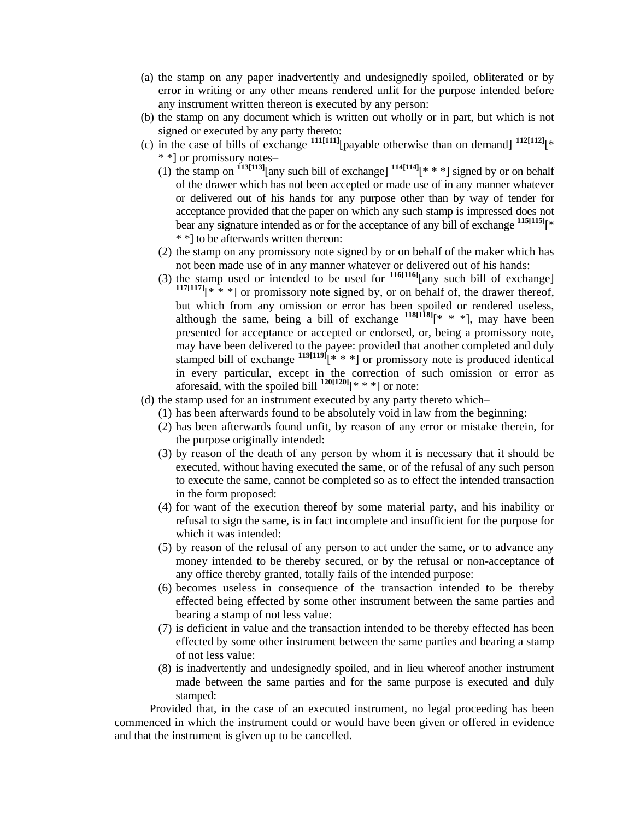- (a) the stamp on any paper inadvertently and undesignedly spoiled, obliterated or by error in writing or any other means rendered unfit for the purpose intended before any instrument written thereon is executed by any person:
- (b) the stamp on any document which is written out wholly or in part, but which is not signed or executed by any party thereto:
- (c) in the case of bills of exchange  $\frac{111[111]}{payable}$  otherwise than on demand]  $\frac{112[112]}{*}$ \* \*] or promissory notes–
	- (1) the stamp on **113[113]**[any such bill of exchange] **114[114]**[\* \* \*] signed by or on behalf of the drawer which has not been accepted or made use of in any manner whatever or delivered out of his hands for any purpose other than by way of tender for acceptance provided that the paper on which any such stamp is impressed does not bear any signature intended as or for the acceptance of any bill of exchange **115[115]**[\* \* \*] to be afterwards written thereon:
	- (2) the stamp on any promissory note signed by or on behalf of the maker which has not been made use of in any manner whatever or delivered out of his hands:
	- (3) the stamp used or intended to be used for **116[116]**[any such bill of exchange]  $117[117]$ <sup>\*</sup> \* \*] or promissory note signed by, or on behalf of, the drawer thereof, but which from any omission or error has been spoiled or rendered useless, although the same, being a bill of exchange  $118[118]$ <sup>\*</sup> \* \*], may have been presented for acceptance or accepted or endorsed, or, being a promissory note, may have been delivered to the payee: provided that another completed and duly stamped bill of exchange  $119[119]$ <sup>\*</sup> \* \* <sup>1</sup> or promissory note is produced identical in every particular, except in the correction of such omission or error as aforesaid, with the spoiled bill  $120[120]$ <sup>\*</sup> \* \*] or note:
- (d) the stamp used for an instrument executed by any party thereto which–
	- (1) has been afterwards found to be absolutely void in law from the beginning:
	- (2) has been afterwards found unfit, by reason of any error or mistake therein, for the purpose originally intended:
	- (3) by reason of the death of any person by whom it is necessary that it should be executed, without having executed the same, or of the refusal of any such person to execute the same, cannot be completed so as to effect the intended transaction in the form proposed:
	- (4) for want of the execution thereof by some material party, and his inability or refusal to sign the same, is in fact incomplete and insufficient for the purpose for which it was intended:
	- (5) by reason of the refusal of any person to act under the same, or to advance any money intended to be thereby secured, or by the refusal or non-acceptance of any office thereby granted, totally fails of the intended purpose:
	- (6) becomes useless in consequence of the transaction intended to be thereby effected being effected by some other instrument between the same parties and bearing a stamp of not less value:
	- (7) is deficient in value and the transaction intended to be thereby effected has been effected by some other instrument between the same parties and bearing a stamp of not less value:
	- (8) is inadvertently and undesignedly spoiled, and in lieu whereof another instrument made between the same parties and for the same purpose is executed and duly stamped:

 Provided that, in the case of an executed instrument, no legal proceeding has been commenced in which the instrument could or would have been given or offered in evidence and that the instrument is given up to be cancelled.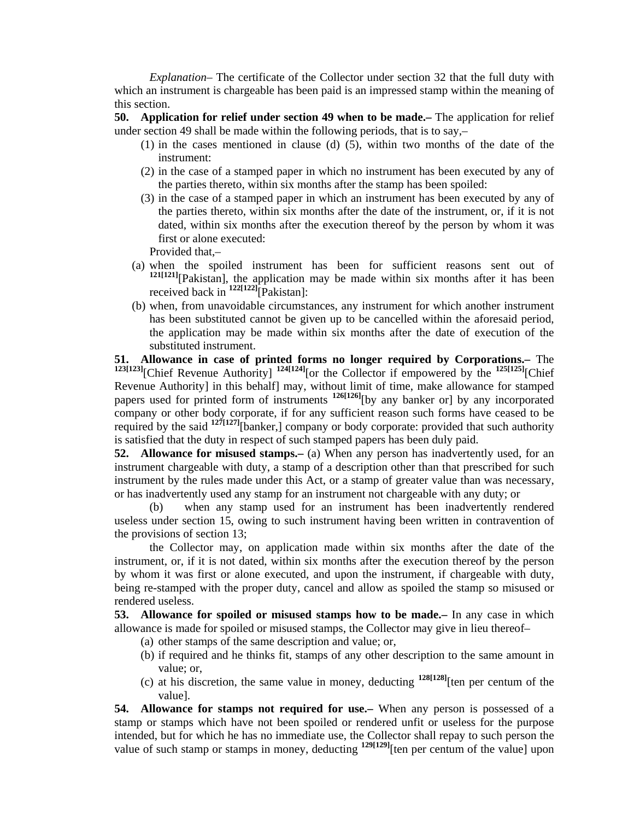*Explanation*– The certificate of the Collector under section 32 that the full duty with which an instrument is chargeable has been paid is an impressed stamp within the meaning of this section.

**50. Application for relief under section 49 when to be made.–** The application for relief under section 49 shall be made within the following periods, that is to say,–

- (1) in the cases mentioned in clause (d) (5), within two months of the date of the instrument:
- (2) in the case of a stamped paper in which no instrument has been executed by any of the parties thereto, within six months after the stamp has been spoiled:
- (3) in the case of a stamped paper in which an instrument has been executed by any of the parties thereto, within six months after the date of the instrument, or, if it is not dated, within six months after the execution thereof by the person by whom it was first or alone executed:

Provided that,–

- (a) when the spoiled instrument has been for sufficient reasons sent out of **121[121]**[Pakistan], the application may be made within six months after it has been received back in **122[122]**[Pakistan]:
	- (b) when, from unavoidable circumstances, any instrument for which another instrument has been substituted cannot be given up to be cancelled within the aforesaid period, the application may be made within six months after the date of execution of the substituted instrument.

**51. Allowance in case of printed forms no longer required by Corporations.–** The **123[123]**[Chief Revenue Authority] **124[124]**[or the Collector if empowered by the **125[125]**[Chief Revenue Authority] in this behalf] may, without limit of time, make allowance for stamped papers used for printed form of instruments **126[126]**[by any banker or] by any incorporated company or other body corporate, if for any sufficient reason such forms have ceased to be required by the said <sup>127[127]</sup>[banker,] company or body corporate: provided that such authority is satisfied that the duty in respect of such stamped papers has been duly paid.

**52. Allowance for misused stamps.–** (a) When any person has inadvertently used, for an instrument chargeable with duty, a stamp of a description other than that prescribed for such instrument by the rules made under this Act, or a stamp of greater value than was necessary, or has inadvertently used any stamp for an instrument not chargeable with any duty; or

 (b) when any stamp used for an instrument has been inadvertently rendered useless under section 15, owing to such instrument having been written in contravention of the provisions of section 13;

 the Collector may, on application made within six months after the date of the instrument, or, if it is not dated, within six months after the execution thereof by the person by whom it was first or alone executed, and upon the instrument, if chargeable with duty, being re-stamped with the proper duty, cancel and allow as spoiled the stamp so misused or rendered useless.

**53. Allowance for spoiled or misused stamps how to be made.–** In any case in which allowance is made for spoiled or misused stamps, the Collector may give in lieu thereof–

- (a) other stamps of the same description and value; or,
- (b) if required and he thinks fit, stamps of any other description to the same amount in value; or,
- (c) at his discretion, the same value in money, deducting  $128[128]$ [ten per centum of the value].

**54. Allowance for stamps not required for use.–** When any person is possessed of a stamp or stamps which have not been spoiled or rendered unfit or useless for the purpose intended, but for which he has no immediate use, the Collector shall repay to such person the value of such stamp or stamps in money, deducting <sup>129[129]</sup>[ten per centum of the value] upon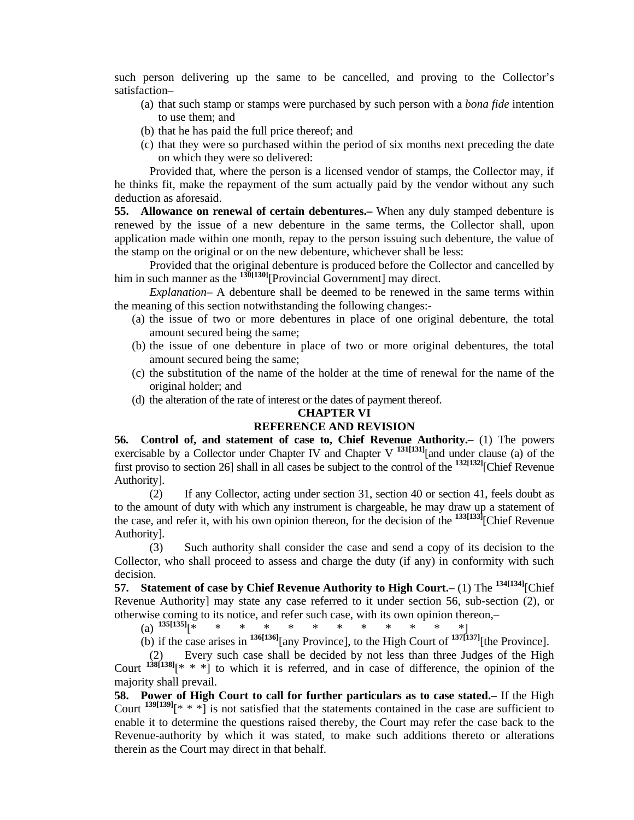such person delivering up the same to be cancelled, and proving to the Collector's satisfaction–

- (a) that such stamp or stamps were purchased by such person with a *bona fide* intention to use them; and
- (b) that he has paid the full price thereof; and
- (c) that they were so purchased within the period of six months next preceding the date on which they were so delivered:

 Provided that, where the person is a licensed vendor of stamps, the Collector may, if he thinks fit, make the repayment of the sum actually paid by the vendor without any such deduction as aforesaid.

**55. Allowance on renewal of certain debentures.–** When any duly stamped debenture is renewed by the issue of a new debenture in the same terms, the Collector shall, upon application made within one month, repay to the person issuing such debenture, the value of the stamp on the original or on the new debenture, whichever shall be less:

 Provided that the original debenture is produced before the Collector and cancelled by him in such manner as the  $\frac{130[130]}{P}$ [Provincial Government] may direct.

 *Explanation–* A debenture shall be deemed to be renewed in the same terms within the meaning of this section notwithstanding the following changes:-

- (a) the issue of two or more debentures in place of one original debenture, the total amount secured being the same;
- (b) the issue of one debenture in place of two or more original debentures, the total amount secured being the same;
- (c) the substitution of the name of the holder at the time of renewal for the name of the original holder; and
- (d) the alteration of the rate of interest or the dates of payment thereof.

## **CHAPTER VI**

## **REFERENCE AND REVISION**

**56. Control of, and statement of case to, Chief Revenue Authority.–** (1) The powers exercisable by a Collector under Chapter IV and Chapter V <sup>131[131]</sup>[and under clause (a) of the first proviso to section 26] shall in all cases be subject to the control of the **132[132]**[Chief Revenue Authority].

 (2) If any Collector, acting under section 31, section 40 or section 41, feels doubt as to the amount of duty with which any instrument is chargeable, he may draw up a statement of the case, and refer it, with his own opinion thereon, for the decision of the **133[133]**[Chief Revenue Authority].

 (3) Such authority shall consider the case and send a copy of its decision to the Collector, who shall proceed to assess and charge the duty (if any) in conformity with such decision.

**57. Statement of case by Chief Revenue Authority to High Court.–** (1) The **134[134]**[Chief Revenue Authority] may state any case referred to it under section 56, sub-section (2), or otherwise coming to its notice, and refer such case, with its own opinion thereon,–

(a)  $135[135]$ [\* \* \* \* \* \* \* \* \* \* \* \* \*

(b) if the case arises in **136[136]**[any Province], to the High Court of **137[137]**[the Province].

Every such case shall be decided by not less than three Judges of the High Court  $138[138]$ <sup>[\*</sup> \* \*] to which it is referred, and in case of difference, the opinion of the majority shall prevail.

**58. Power of High Court to call for further particulars as to case stated.–** If the High Court  $139[139]$ <sup>\*</sup> \* \*] is not satisfied that the statements contained in the case are sufficient to enable it to determine the questions raised thereby, the Court may refer the case back to the Revenue-authority by which it was stated, to make such additions thereto or alterations therein as the Court may direct in that behalf.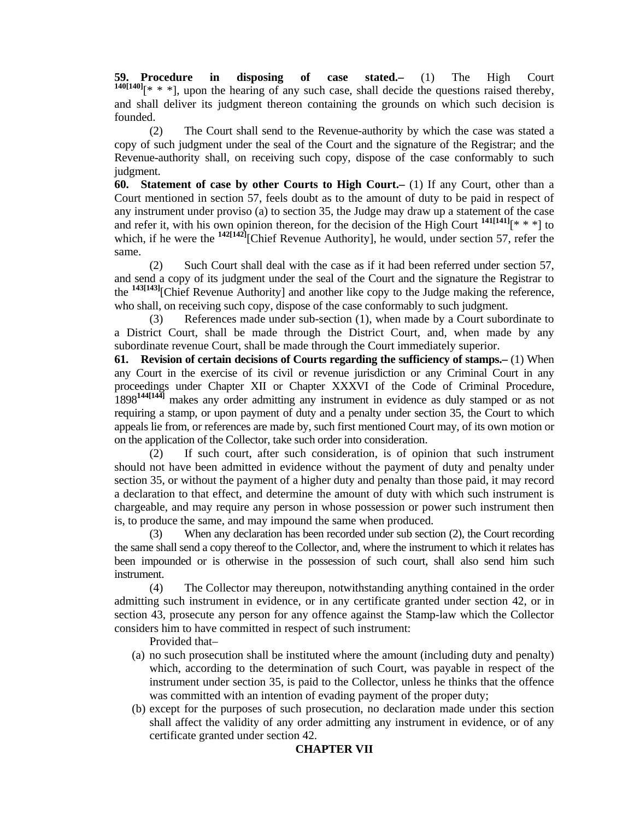**59. Procedure in disposing of case stated.–** (1) The High Court  $140[140]$ [\* \* \*], upon the hearing of any such case, shall decide the questions raised thereby, and shall deliver its judgment thereon containing the grounds on which such decision is founded.

 (2) The Court shall send to the Revenue-authority by which the case was stated a copy of such judgment under the seal of the Court and the signature of the Registrar; and the Revenue-authority shall, on receiving such copy, dispose of the case conformably to such judgment.

**60. Statement of case by other Courts to High Court.–** (1) If any Court, other than a Court mentioned in section 57, feels doubt as to the amount of duty to be paid in respect of any instrument under proviso (a) to section 35, the Judge may draw up a statement of the case and refer it, with his own opinion thereon, for the decision of the High Court  $141[141]$ [\* \* \*] to which, if he were the <sup>142[142]</sup>[Chief Revenue Authority], he would, under section 57, refer the same.

 (2) Such Court shall deal with the case as if it had been referred under section 57, and send a copy of its judgment under the seal of the Court and the signature the Registrar to the **143[143]**[Chief Revenue Authority] and another like copy to the Judge making the reference, who shall, on receiving such copy, dispose of the case conformably to such judgment.

 (3) References made under sub-section (1), when made by a Court subordinate to a District Court, shall be made through the District Court, and, when made by any subordinate revenue Court, shall be made through the Court immediately superior.

**61. Revision of certain decisions of Courts regarding the sufficiency of stamps.–** (1) When any Court in the exercise of its civil or revenue jurisdiction or any Criminal Court in any proceedings under Chapter XII or Chapter XXXVI of the Code of Criminal Procedure, 1898**144[144]** makes any order admitting any instrument in evidence as duly stamped or as not requiring a stamp, or upon payment of duty and a penalty under section 35, the Court to which appeals lie from, or references are made by, such first mentioned Court may, of its own motion or on the application of the Collector, take such order into consideration.

 (2) If such court, after such consideration, is of opinion that such instrument should not have been admitted in evidence without the payment of duty and penalty under section 35, or without the payment of a higher duty and penalty than those paid, it may record a declaration to that effect, and determine the amount of duty with which such instrument is chargeable, and may require any person in whose possession or power such instrument then is, to produce the same, and may impound the same when produced.

 (3) When any declaration has been recorded under sub section (2), the Court recording the same shall send a copy thereof to the Collector, and, where the instrument to which it relates has been impounded or is otherwise in the possession of such court, shall also send him such instrument.

 (4) The Collector may thereupon, notwithstanding anything contained in the order admitting such instrument in evidence, or in any certificate granted under section 42, or in section 43, prosecute any person for any offence against the Stamp-law which the Collector considers him to have committed in respect of such instrument:

Provided that–

- (a) no such prosecution shall be instituted where the amount (including duty and penalty) which, according to the determination of such Court, was payable in respect of the instrument under section 35, is paid to the Collector, unless he thinks that the offence was committed with an intention of evading payment of the proper duty;
- (b) except for the purposes of such prosecution, no declaration made under this section shall affect the validity of any order admitting any instrument in evidence, or of any certificate granted under section 42.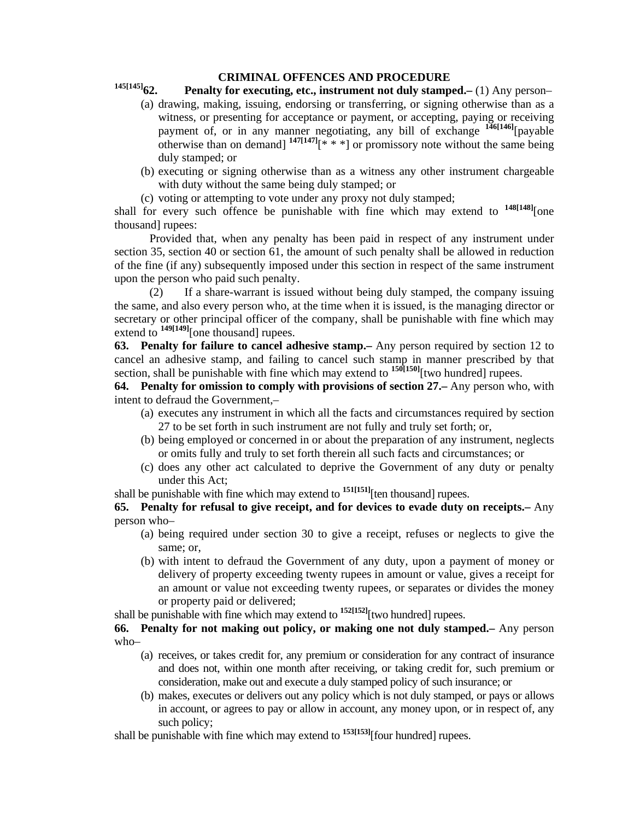## **CRIMINAL OFFENCES AND PROCEDURE**

# **145[145]62. Penalty for executing, etc., instrument not duly stamped.–** (1) Any person–

- (a) drawing, making, issuing, endorsing or transferring, or signing otherwise than as a witness, or presenting for acceptance or payment, or accepting, paying or receiving payment of, or in any manner negotiating, any bill of exchange **146[146]**[payable otherwise than on demand]  $147[147]$ <sup>\*</sup> \* \*] or promissory note without the same being duly stamped; or
- (b) executing or signing otherwise than as a witness any other instrument chargeable with duty without the same being duly stamped; or
- (c) voting or attempting to vote under any proxy not duly stamped;

shall for every such offence be punishable with fine which may extend to **148[148]**[one thousand] rupees:

 Provided that, when any penalty has been paid in respect of any instrument under section 35, section 40 or section 61, the amount of such penalty shall be allowed in reduction of the fine (if any) subsequently imposed under this section in respect of the same instrument upon the person who paid such penalty.

 (2) If a share-warrant is issued without being duly stamped, the company issuing the same, and also every person who, at the time when it is issued, is the managing director or secretary or other principal officer of the company, shall be punishable with fine which may extend to <sup>149[149]</sup>[one thousand] rupees.

**63. Penalty for failure to cancel adhesive stamp.–** Any person required by section 12 to cancel an adhesive stamp, and failing to cancel such stamp in manner prescribed by that section, shall be punishable with fine which may extend to <sup>150[150]</sup>[two hundred] rupees.

**64. Penalty for omission to comply with provisions of section 27.–** Any person who, with intent to defraud the Government,–

- (a) executes any instrument in which all the facts and circumstances required by section 27 to be set forth in such instrument are not fully and truly set forth; or,
- (b) being employed or concerned in or about the preparation of any instrument, neglects or omits fully and truly to set forth therein all such facts and circumstances; or
- (c) does any other act calculated to deprive the Government of any duty or penalty under this Act;
- shall be punishable with fine which may extend to <sup>151[151]</sup>[ten thousand] rupees.

**65. Penalty for refusal to give receipt, and for devices to evade duty on receipts.–** Any person who–

- (a) being required under section 30 to give a receipt, refuses or neglects to give the same; or,
- (b) with intent to defraud the Government of any duty, upon a payment of money or delivery of property exceeding twenty rupees in amount or value, gives a receipt for an amount or value not exceeding twenty rupees, or separates or divides the money or property paid or delivered;

shall be punishable with fine which may extend to **152[152]**[two hundred] rupees.

**66. Penalty for not making out policy, or making one not duly stamped.–** Any person who–

- (a) receives, or takes credit for, any premium or consideration for any contract of insurance and does not, within one month after receiving, or taking credit for, such premium or consideration, make out and execute a duly stamped policy of such insurance; or
- (b) makes, executes or delivers out any policy which is not duly stamped, or pays or allows in account, or agrees to pay or allow in account, any money upon, or in respect of, any such policy;

shall be punishable with fine which may extend to **153[153]**[four hundred] rupees.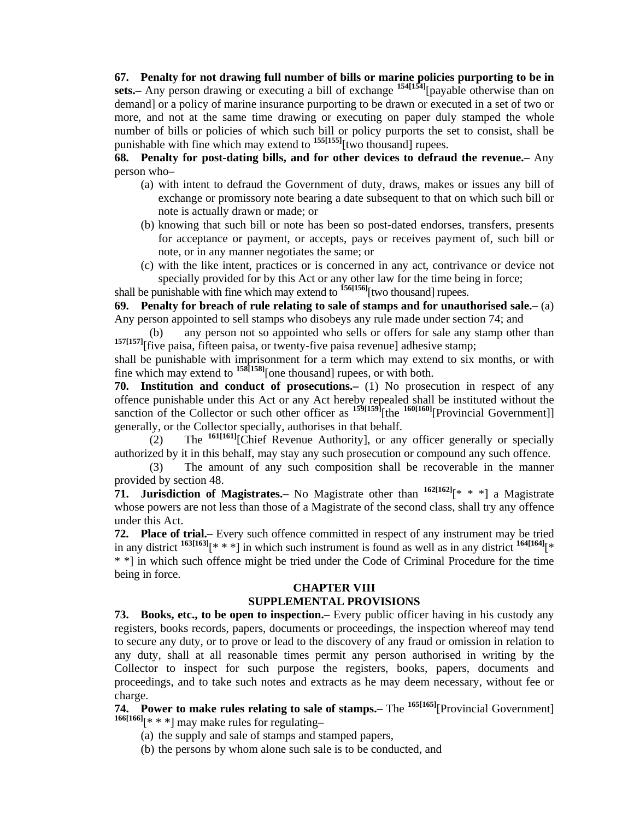**67. Penalty for not drawing full number of bills or marine policies purporting to be in sets.–** Any person drawing or executing a bill of exchange **154[154]**[payable otherwise than on demand] or a policy of marine insurance purporting to be drawn or executed in a set of two or more, and not at the same time drawing or executing on paper duly stamped the whole number of bills or policies of which such bill or policy purports the set to consist, shall be punishable with fine which may extend to **155[155]**[two thousand] rupees.

**68. Penalty for post-dating bills, and for other devices to defraud the revenue.–** Any person who–

- (a) with intent to defraud the Government of duty, draws, makes or issues any bill of exchange or promissory note bearing a date subsequent to that on which such bill or note is actually drawn or made; or
- (b) knowing that such bill or note has been so post-dated endorses, transfers, presents for acceptance or payment, or accepts, pays or receives payment of, such bill or note, or in any manner negotiates the same; or
- (c) with the like intent, practices or is concerned in any act, contrivance or device not specially provided for by this Act or any other law for the time being in force;

shall be punishable with fine which may extend to **156[156]**[two thousand] rupees.

**69. Penalty for breach of rule relating to sale of stamps and for unauthorised sale.–** (a) Any person appointed to sell stamps who disobeys any rule made under section 74; and

 (b) any person not so appointed who sells or offers for sale any stamp other than <sup>157[157]</sup>[five paisa, fifteen paisa, or twenty-five paisa revenue] adhesive stamp;

shall be punishable with imprisonment for a term which may extend to six months, or with fine which may extend to **158[158]**[one thousand] rupees, or with both.

**70. Institution and conduct of prosecutions.–** (1) No prosecution in respect of any offence punishable under this Act or any Act hereby repealed shall be instituted without the sanction of the Collector or such other officer as  $159[159]$ [the  $160[160]$ [Provincial Government]] generally, or the Collector specially, authorises in that behalf.

 (2) The **161[161]**[Chief Revenue Authority], or any officer generally or specially authorized by it in this behalf, may stay any such prosecution or compound any such offence.

 (3) The amount of any such composition shall be recoverable in the manner provided by section 48.

**71. Jurisdiction of Magistrates.–** No Magistrate other than **162[162]**[\* \* \*] a Magistrate whose powers are not less than those of a Magistrate of the second class, shall try any offence under this Act.

**72. Place of trial.–** Every such offence committed in respect of any instrument may be tried in any district **163[163]**[\* \* \*] in which such instrument is found as well as in any district **164[164]**[\* \* \*] in which such offence might be tried under the Code of Criminal Procedure for the time being in force.

#### **CHAPTER VIII SUPPLEMENTAL PROVISIONS**

**73. Books, etc., to be open to inspection.–** Every public officer having in his custody any registers, books records, papers, documents or proceedings, the inspection whereof may tend to secure any duty, or to prove or lead to the discovery of any fraud or omission in relation to any duty, shall at all reasonable times permit any person authorised in writing by the Collector to inspect for such purpose the registers, books, papers, documents and proceedings, and to take such notes and extracts as he may deem necessary, without fee or charge.

**74. Power to make rules relating to sale of stamps.–** The **165[165]**[Provincial Government] **166[166]**[\* \* \*] may make rules for regulating–

- (a) the supply and sale of stamps and stamped papers,
- (b) the persons by whom alone such sale is to be conducted, and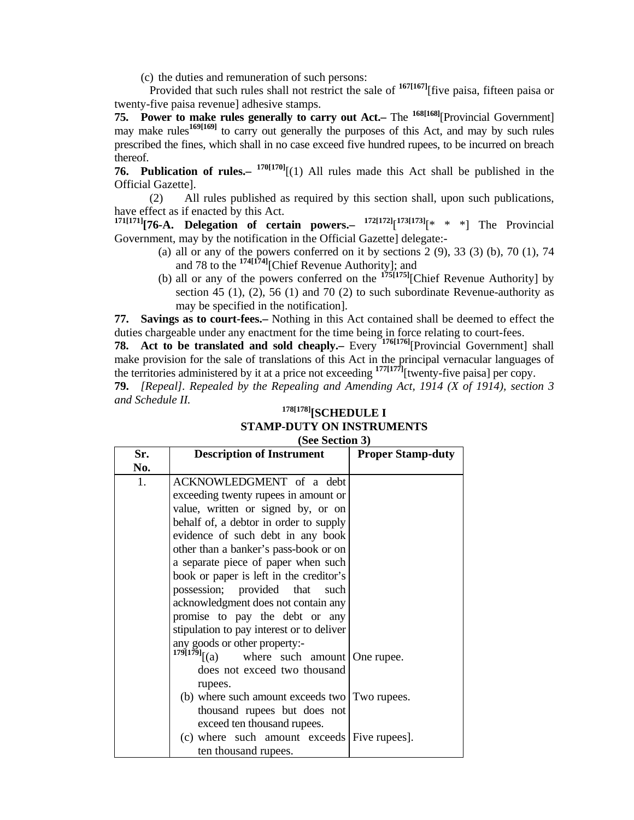(c) the duties and remuneration of such persons:

 Provided that such rules shall not restrict the sale of **167[167]**[five paisa, fifteen paisa or twenty-five paisa revenue] adhesive stamps.

**75. Power to make rules generally to carry out Act.–** The <sup>168[168]</sup>[Provincial Government] may make rules<sup>169[169]</sup> to carry out generally the purposes of this Act, and may by such rules prescribed the fines, which shall in no case exceed five hundred rupees, to be incurred on breach thereof.

**76. Publication of rules.– 170[170]**[(1) All rules made this Act shall be published in the Official Gazette].

 (2) All rules published as required by this section shall, upon such publications, have effect as if enacted by this Act.

**171[171][76-A. Delegation of certain powers.– 172[172]**[ **173[173]**[\* \* \*] The Provincial Government, may by the notification in the Official Gazette] delegate:-

- (a) all or any of the powers conferred on it by sections  $2(9)$ ,  $33(3)(b)$ ,  $70(1)$ ,  $74$ and 78 to the **174[174]**[Chief Revenue Authority]; and
- (b) all or any of the powers conferred on the **175[175]**[Chief Revenue Authority] by section 45 (1), (2), 56 (1) and 70 (2) to such subordinate Revenue-authority as may be specified in the notification].

**77. Savings as to court-fees.–** Nothing in this Act contained shall be deemed to effect the duties chargeable under any enactment for the time being in force relating to court-fees.

**78.** Act to be translated and sold cheaply. Every <sup>176[176]</sup>[Provincial Government] shall make provision for the sale of translations of this Act in the principal vernacular languages of the territories administered by it at a price not exceeding **177[177]**[twenty-five paisa] per copy.

**79.** *[Repeal]. Repealed by the Repealing and Amending Act, 1914 (X of 1914), section 3 and Schedule II.* 

## **178[178][SCHEDULE I STAMP-DUTY ON INSTRUMENTS (See Section 3)**

| Sr. | $(\mathcal{V}, \mathcal{V})$<br><b>Description of Instrument</b> | <b>Proper Stamp-duty</b> |
|-----|------------------------------------------------------------------|--------------------------|
| No. |                                                                  |                          |
| 1.  | ACKNOWLEDGMENT of a debt                                         |                          |
|     | exceeding twenty rupees in amount or                             |                          |
|     | value, written or signed by, or on                               |                          |
|     | behalf of, a debtor in order to supply                           |                          |
|     | evidence of such debt in any book                                |                          |
|     | other than a banker's pass-book or on                            |                          |
|     | a separate piece of paper when such                              |                          |
|     | book or paper is left in the creditor's                          |                          |
|     | possession; provided that such                                   |                          |
|     | acknowledgment does not contain any                              |                          |
|     | promise to pay the debt or any                                   |                          |
|     | stipulation to pay interest or to deliver                        |                          |
|     | any goods or other property:-<br>$179[179]$ [(a) where such      |                          |
|     | where such amount One rupee.                                     |                          |
|     | does not exceed two thousand                                     |                          |
|     | rupees.                                                          |                          |
|     | (b) where such amount exceeds two Two rupees.                    |                          |
|     | thousand rupees but does not                                     |                          |
|     | exceed ten thousand rupees.                                      |                          |
|     | (c) where such amount exceeds Five rupees.                       |                          |
|     | ten thousand rupees.                                             |                          |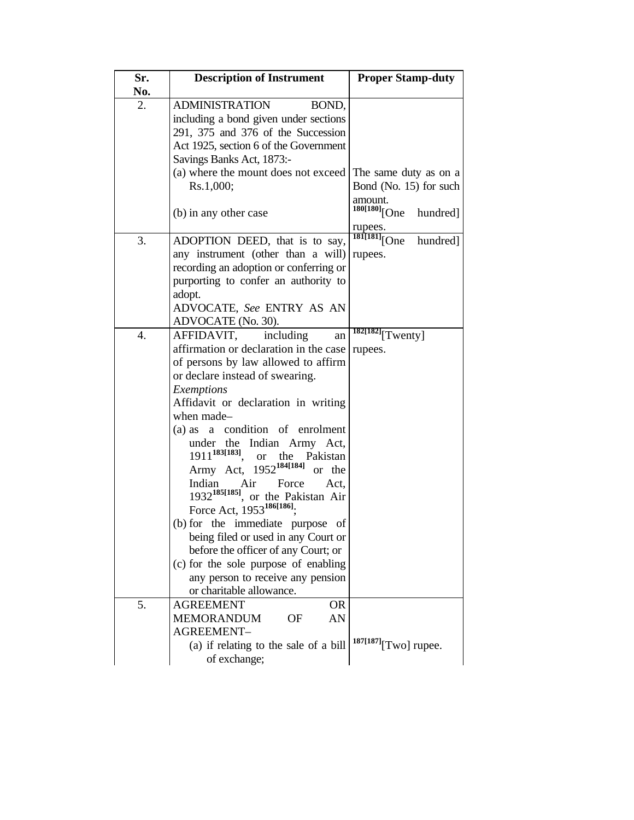| Sr. | <b>Description of Instrument</b>                     | <b>Proper Stamp-duty</b>                        |
|-----|------------------------------------------------------|-------------------------------------------------|
| No. |                                                      |                                                 |
| 2.  | <b>ADMINISTRATION</b><br>BOND,                       |                                                 |
|     | including a bond given under sections                |                                                 |
|     | 291, 375 and 376 of the Succession                   |                                                 |
|     | Act 1925, section 6 of the Government                |                                                 |
|     | Savings Banks Act, 1873:-                            |                                                 |
|     | (a) where the mount does not exceed<br>Rs.1,000;     | The same duty as on a<br>Bond (No. 15) for such |
|     |                                                      | amount.                                         |
|     | (b) in any other case                                | <sup>180[180]</sup> [One<br>hundred]            |
|     |                                                      |                                                 |
|     |                                                      | rupees.<br>$\frac{181[181]}{[One]}$             |
| 3.  | ADOPTION DEED, that is to say,                       | hundred]                                        |
|     | any instrument (other than a will)                   | rupees.                                         |
|     | recording an adoption or conferring or               |                                                 |
|     | purporting to confer an authority to                 |                                                 |
|     | adopt.                                               |                                                 |
|     | ADVOCATE, See ENTRY AS AN                            |                                                 |
|     | ADVOCATE (No. 30).                                   |                                                 |
| 4.  | including<br>AFFIDAVIT,<br>an                        | $\frac{182[182]}{[\text{Twenty}]}$              |
|     | affirmation or declaration in the case               | rupees.                                         |
|     | of persons by law allowed to affirm                  |                                                 |
|     | or declare instead of swearing.                      |                                                 |
|     | Exemptions                                           |                                                 |
|     | Affidavit or declaration in writing                  |                                                 |
|     | when made-                                           |                                                 |
|     | a condition of enrolment<br>(a) as                   |                                                 |
|     | Indian Army Act,<br>under the                        |                                                 |
|     | $1911^{183[183]}$ .<br>the Pakistan<br><sub>or</sub> |                                                 |
|     | Army Act, 1952 <sup>184[184]</sup><br>or the         |                                                 |
|     | Indian<br>Air Force<br>Act.                          |                                                 |
|     | $1932^{185[185]}$<br>or the Pakistan Air             |                                                 |
|     | Force Act, 1953 <sup>186[186]</sup> :                |                                                 |
|     | (b) for the immediate purpose<br>of                  |                                                 |
|     | being filed or used in any Court or                  |                                                 |
|     | before the officer of any Court; or                  |                                                 |
|     | (c) for the sole purpose of enabling                 |                                                 |
|     | any person to receive any pension                    |                                                 |
|     | or charitable allowance.                             |                                                 |
| 5.  | <b>AGREEMENT</b><br><b>OR</b>                        |                                                 |
|     | AN<br><b>MEMORANDUM</b><br>OF                        |                                                 |
|     | AGREEMENT-                                           |                                                 |
|     | (a) if relating to the sale of a bill                | $187[187]$ [Two] rupee.                         |
|     | of exchange;                                         |                                                 |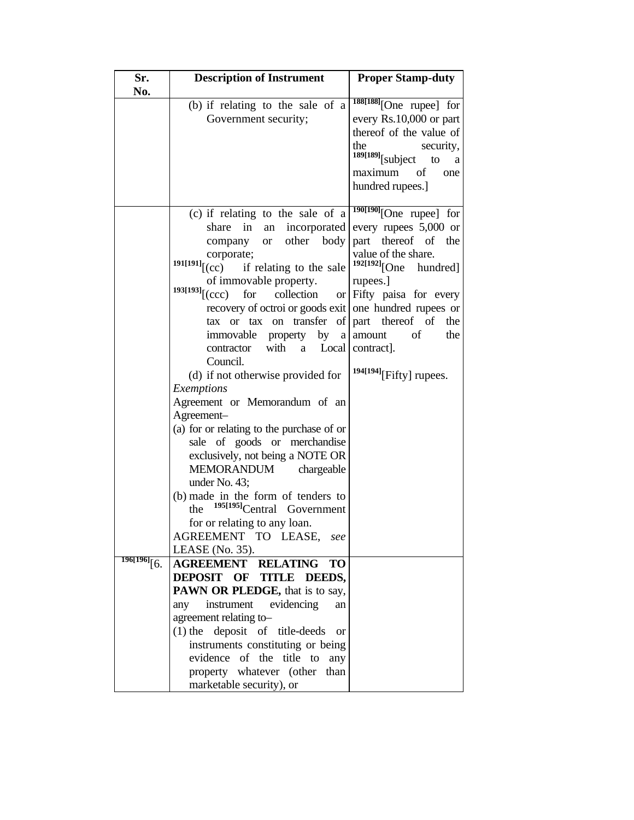| Sr.<br>No.            | <b>Description of Instrument</b>                                                    | <b>Proper Stamp-duty</b>                     |
|-----------------------|-------------------------------------------------------------------------------------|----------------------------------------------|
|                       | (b) if relating to the sale of a                                                    | $188[188]$ [One rupee] for                   |
|                       | Government security;                                                                | every Rs.10,000 or part                      |
|                       |                                                                                     | thereof of the value of                      |
|                       |                                                                                     | the<br>security,<br>$189[189]$ [subject to a |
|                       |                                                                                     | maximum of<br>one                            |
|                       |                                                                                     | hundred rupees.]                             |
|                       | (c) if relating to the sale of a $\frac{190[190]}{2}$ [One rupee] for               |                                              |
|                       | share<br>in<br>an                                                                   | incorporated every rupees 5,000 or           |
|                       | other body<br>company<br><b>or</b>                                                  | part thereof of<br>the                       |
|                       | corporate;                                                                          | value of the share.                          |
|                       | $^{191[191]}$ [(cc)<br>if relating to the sale                                      | $192[192]$ [One hundred]                     |
|                       | of immovable property.                                                              | rupees.]                                     |
|                       | $193[193]$ [(ccc)<br>collection<br>for                                              | or $F$ ifty paisa for every                  |
|                       | recovery of octroi or goods exit one hundred rupees or                              |                                              |
|                       | tax or tax on transfer of $\vert$ part thereof of                                   | the                                          |
|                       | immovable property by                                                               | of<br>a amount<br>the                        |
|                       | with a Local contract].<br>contractor<br>Council.                                   |                                              |
|                       | (d) if not otherwise provided for                                                   | $194[194]$ [Fifty] rupees.                   |
|                       | Exemptions                                                                          |                                              |
|                       | Agreement or Memorandum of an                                                       |                                              |
|                       | Agreement-                                                                          |                                              |
|                       | (a) for or relating to the purchase of or                                           |                                              |
|                       | sale of goods or merchandise                                                        |                                              |
|                       | exclusively, not being a NOTE OR                                                    |                                              |
|                       | MEMORANDUM<br>chargeable                                                            |                                              |
|                       | under No. 43;                                                                       |                                              |
|                       | (b) made in the form of tenders to<br><sup>195[195]</sup> Central Government<br>the |                                              |
|                       | for or relating to any loan.                                                        |                                              |
|                       | AGREEMENT TO LEASE,<br>see                                                          |                                              |
| $\frac{196[196]}{6}.$ | LEASE (No. $35$ ).                                                                  |                                              |
|                       | <b>AGREEMENT RELATING</b><br><b>TO</b>                                              |                                              |
|                       | DEPOSIT OF TITLE DEEDS,                                                             |                                              |
|                       | PAWN OR PLEDGE, that is to say,<br>instrument<br>evidencing<br>any<br>an            |                                              |
|                       | agreement relating to-                                                              |                                              |
|                       | $(1)$ the deposit of title-deeds<br><sub>or</sub>                                   |                                              |
|                       | instruments constituting or being                                                   |                                              |
|                       | evidence of the title to<br>any                                                     |                                              |
|                       | property whatever (other than                                                       |                                              |
|                       | marketable security), or                                                            |                                              |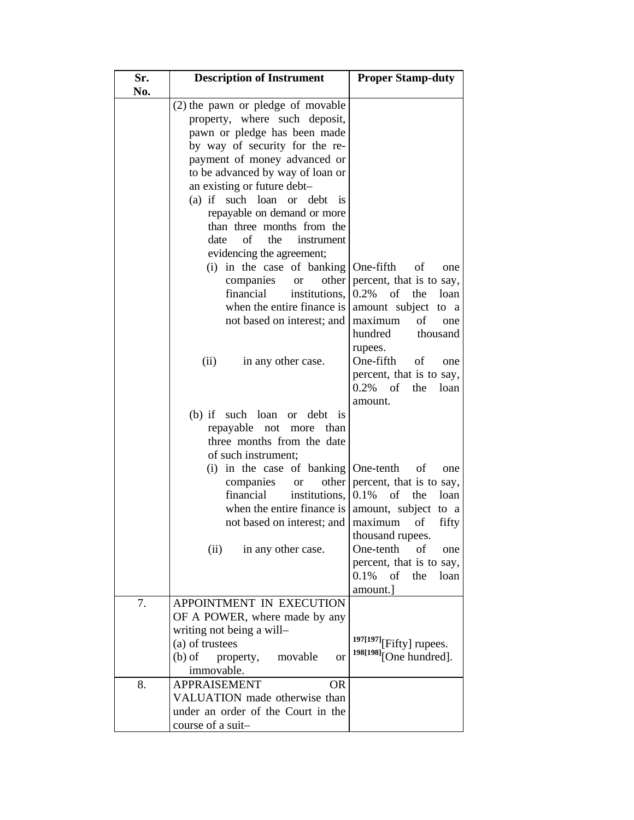| Sr.<br>No. | <b>Description of Instrument</b>                                                                                                                                                                                                                                                                                                                 | <b>Proper Stamp-duty</b>                                                                                                                      |
|------------|--------------------------------------------------------------------------------------------------------------------------------------------------------------------------------------------------------------------------------------------------------------------------------------------------------------------------------------------------|-----------------------------------------------------------------------------------------------------------------------------------------------|
|            | (2) the pawn or pledge of movable<br>property, where such deposit,<br>pawn or pledge has been made<br>by way of security for the re-<br>payment of money advanced or                                                                                                                                                                             |                                                                                                                                               |
|            | to be advanced by way of loan or<br>an existing or future debt-<br>such loan or<br>$(a)$ if<br>debt<br><sup>is</sup><br>repayable on demand or more<br>than three months from the<br>of<br>the<br>date<br>instrument<br>evidencing the agreement;<br>(i) in the case of banking<br>other<br>companies<br><b>or</b><br>financial<br>institutions, | One-fifth<br>of<br>one<br>percent, that is to say,<br>of                                                                                      |
|            | when the entire finance is<br>not based on interest; and<br>in any other case.<br>(ii)                                                                                                                                                                                                                                                           | 0.2%<br>the<br>loan<br>amount subject to a<br>maximum<br>of<br>one<br>hundred<br>thousand<br>rupees.<br>One-fifth<br>of<br>one                |
|            | $(b)$ if such loan<br>debt is<br><sub>or</sub><br>repayable<br>than<br>not<br>more<br>three months from the date                                                                                                                                                                                                                                 | percent, that is to say,<br>of<br>$0.2\%$<br>the<br>loan<br>amount.                                                                           |
|            | of such instrument;<br>(i) in the case of banking<br>companies<br><b>or</b><br>financial<br>institutions,<br>when the entire finance is $\vert$<br>not based on interest; and   maximum                                                                                                                                                          | One-tenth<br>of<br>one<br>other percent, that is to say,<br>$0.1\%$ of the<br>loan<br>amount, subject to a<br>fifty<br>οf<br>thousand rupees. |
|            | (ii) in any other case.                                                                                                                                                                                                                                                                                                                          | One-tenth<br>of<br>one<br>percent, that is to say,<br>$0.1\%$ of the<br>loan<br>amount.]                                                      |
| 7.         | APPOINTMENT IN EXECUTION<br>OF A POWER, where made by any<br>writing not being a will-<br>(a) of trustees<br>$(b)$ of<br>property,<br>movable<br><b>or</b><br>immovable.                                                                                                                                                                         | $197[197]$ [Fifty] rupees.<br><sup>198[198]</sup> [One hundred].                                                                              |
| 8.         | <b>APPRAISEMENT</b><br>OR.<br>VALUATION made otherwise than<br>under an order of the Court in the<br>course of a suit-                                                                                                                                                                                                                           |                                                                                                                                               |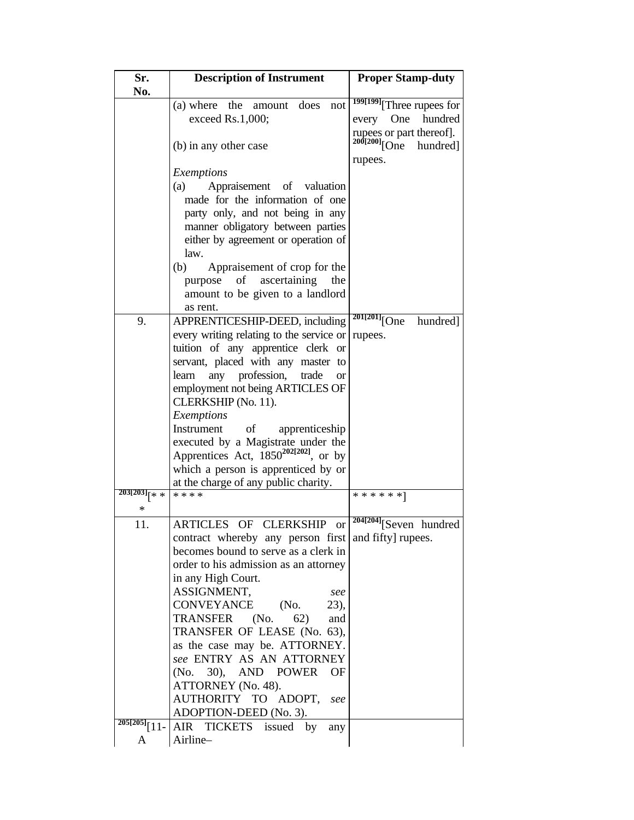| Sr.             | <b>Description of Instrument</b>                    | <b>Proper Stamp-duty</b>                          |
|-----------------|-----------------------------------------------------|---------------------------------------------------|
| No.             |                                                     |                                                   |
|                 | (a) where the<br>does<br>amount<br>not              | 199[199] <sub>[Three rupees for</sub>             |
|                 | exceed Rs.1,000;                                    | hundred<br>One<br>every                           |
|                 |                                                     |                                                   |
|                 | (b) in any other case                               | rupees or part thereof].<br>200[200][One hundred] |
|                 |                                                     | rupees.                                           |
|                 | Exemptions                                          |                                                   |
|                 | Appraisement of valuation<br>(a)                    |                                                   |
|                 | made for the information of one                     |                                                   |
|                 | party only, and not being in any                    |                                                   |
|                 |                                                     |                                                   |
|                 | manner obligatory between parties                   |                                                   |
|                 | either by agreement or operation of                 |                                                   |
|                 | law.                                                |                                                   |
|                 | Appraisement of crop for the<br>(b)                 |                                                   |
|                 | ascertaining<br>purpose<br>of<br>the                |                                                   |
|                 | amount to be given to a landlord                    |                                                   |
|                 | as rent.                                            |                                                   |
| 9.              | APPRENTICESHIP-DEED, including                      | $201[201]$ [One<br>hundred]                       |
|                 | every writing relating to the service or            | rupees.                                           |
|                 | tuition of any apprentice clerk or                  |                                                   |
|                 | servant, placed with any master to                  |                                                   |
|                 | any profession,<br>learn<br>trade<br><sub>or</sub>  |                                                   |
|                 | employment not being ARTICLES OF                    |                                                   |
|                 | CLERKSHIP (No. 11).                                 |                                                   |
|                 |                                                     |                                                   |
|                 | Exemptions<br>Instrument of                         |                                                   |
|                 | apprenticeship                                      |                                                   |
|                 | executed by a Magistrate under the                  |                                                   |
|                 | Apprentices Act, $1850^{202[202]}$ , or by          |                                                   |
|                 | which a person is apprenticed by or                 |                                                   |
|                 | at the charge of any public charity.                |                                                   |
| $203[203]_{x}$  | * * * *                                             | ******]                                           |
| *               |                                                     |                                                   |
| 11.             | ARTICLES OF CLERKSHIP<br><b>or</b>                  | $\sqrt[204]{204}$ [Seven hundred                  |
|                 | contract whereby any person first and fifty rupees. |                                                   |
|                 | becomes bound to serve as a clerk in                |                                                   |
|                 | order to his admission as an attorney               |                                                   |
|                 | in any High Court.                                  |                                                   |
|                 | ASSIGNMENT,<br>see                                  |                                                   |
|                 | CONVEYANCE<br>(No.<br>$23)$ ,                       |                                                   |
|                 | TRANSFER (No.<br>62)<br>and                         |                                                   |
|                 | TRANSFER OF LEASE (No. 63),                         |                                                   |
|                 | as the case may be. ATTORNEY.                       |                                                   |
|                 | see ENTRY AS AN ATTORNEY                            |                                                   |
|                 | 30,<br>AND POWER<br>(No.<br>OF                      |                                                   |
|                 |                                                     |                                                   |
|                 | ATTORNEY (No. 48).                                  |                                                   |
|                 | AUTHORITY TO ADOPT,<br>see                          |                                                   |
|                 | ADOPTION-DEED (No. 3).                              |                                                   |
| $205[205]$ [11- | AIR TICKETS issued by<br>any                        |                                                   |
| Α               | Airline-                                            |                                                   |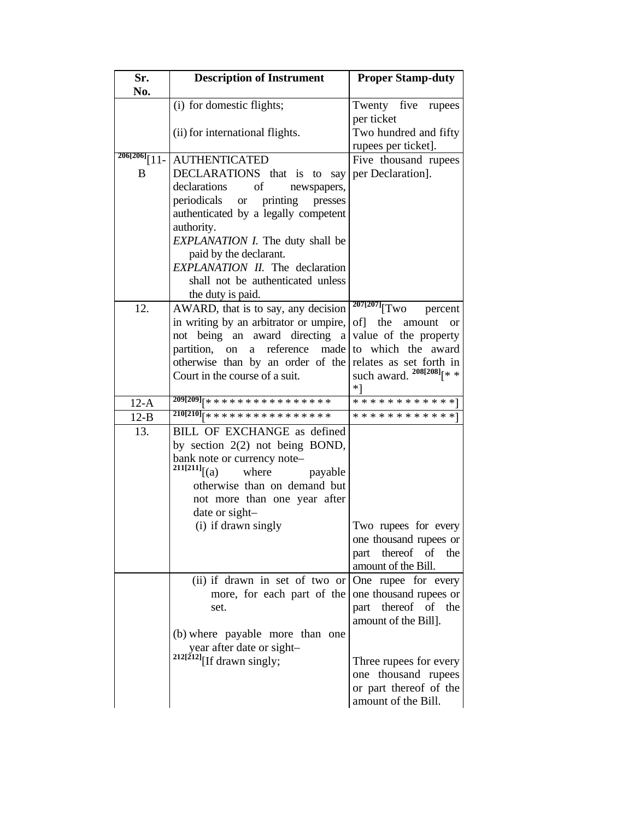| Sr.<br>No.                   | <b>Description of Instrument</b>                                                                                                                                                                                                                                                                                                               | <b>Proper Stamp-duty</b>                                                                                                                |
|------------------------------|------------------------------------------------------------------------------------------------------------------------------------------------------------------------------------------------------------------------------------------------------------------------------------------------------------------------------------------------|-----------------------------------------------------------------------------------------------------------------------------------------|
|                              | (i) for domestic flights;                                                                                                                                                                                                                                                                                                                      | Twenty five rupees                                                                                                                      |
|                              | (ii) for international flights.                                                                                                                                                                                                                                                                                                                | per ticket<br>Two hundred and fifty<br>rupees per ticket].                                                                              |
| $206[206]$ $\lceil$ 11-<br>B | <b>AUTHENTICATED</b><br>DECLARATIONS that is to say<br>declarations<br>οf<br>newspapers,<br>periodicals<br>printing<br><b>or</b><br>presses<br>authenticated by a legally competent<br>authority.<br>EXPLANATION I. The duty shall be<br>paid by the declarant.<br><b>EXPLANATION II.</b> The declaration<br>shall not be authenticated unless | Five thousand rupees<br>per Declaration].                                                                                               |
| 12.                          | the duty is paid.<br>AWARD, that is to say, any decision                                                                                                                                                                                                                                                                                       | $\sqrt[207]{[207]}\begin{bmatrix} \text{Two} \end{bmatrix}$<br>percent                                                                  |
|                              | in writing by an arbitrator or umpire,<br>not being an award directing a<br>partition, on<br>reference<br>made<br>a<br>otherwise than by an order of the<br>Court in the course of a suit.                                                                                                                                                     | of] the amount<br><b>or</b><br>value of the property<br>to which the award<br>relates as set forth in<br>such award. $^{208[208]}$ [* * |
| $12-A$                       | $209[209]_{x*************************$                                                                                                                                                                                                                                                                                                         | $*1$<br>* * * * * * * * * * * *                                                                                                         |
| $12-B$                       | $210[210]$ [****************                                                                                                                                                                                                                                                                                                                   | * * * * * * * * * * * * 1                                                                                                               |
| 13.                          | BILL OF EXCHANGE as defined<br>by section 2(2) not being BOND,<br>bank note or currency note-<br>$^{211[211]}$ [(a)<br>where<br>payable<br>otherwise than on demand but<br>not more than one year after<br>date or sight-<br>(i) if drawn singly                                                                                               | Two rupees for every                                                                                                                    |
|                              |                                                                                                                                                                                                                                                                                                                                                | one thousand rupees or<br>thereof of<br>the<br>part<br>amount of the Bill.                                                              |
|                              | (ii) if drawn in set of two or<br>more, for each part of the<br>set.<br>(b) where payable more than one                                                                                                                                                                                                                                        | One rupee for every<br>one thousand rupees or<br>part thereof of the<br>amount of the Bill].                                            |
|                              | year after date or sight-<br>$212[212]$ [If drawn singly;                                                                                                                                                                                                                                                                                      | Three rupees for every<br>one thousand rupees<br>or part thereof of the<br>amount of the Bill.                                          |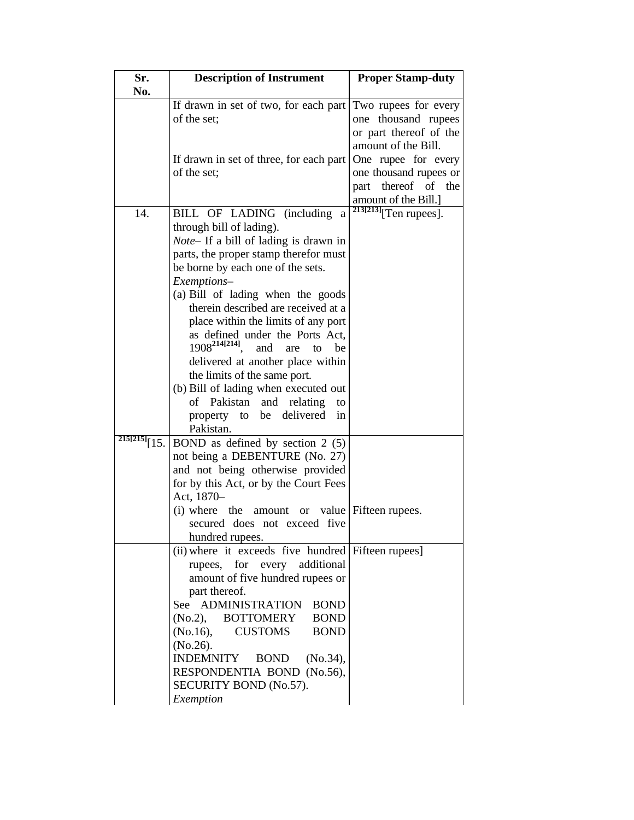| Sr.               | <b>Description of Instrument</b>                   | <b>Proper Stamp-duty</b>              |
|-------------------|----------------------------------------------------|---------------------------------------|
| No.               |                                                    |                                       |
|                   | If drawn in set of two, for each part              | Two rupees for every                  |
|                   | of the set;                                        | one thousand rupees                   |
|                   |                                                    | or part thereof of the                |
|                   |                                                    | amount of the Bill.                   |
|                   | If drawn in set of three, for each part            | One rupee for every                   |
|                   | of the set:                                        | one thousand rupees or                |
|                   |                                                    | thereof of<br>the<br>part             |
|                   |                                                    | amount of the Bill.]                  |
| 14.               | BILL OF LADING (including<br>a                     | $\sqrt[213]{213}\sqrt{T}$ en rupees]. |
|                   | through bill of lading).                           |                                       |
|                   | Note- If a bill of lading is drawn in              |                                       |
|                   | parts, the proper stamp therefor must              |                                       |
|                   | be borne by each one of the sets.                  |                                       |
|                   |                                                    |                                       |
|                   | Exemptions-                                        |                                       |
|                   | (a) Bill of lading when the goods                  |                                       |
|                   | therein described are received at a                |                                       |
|                   | place within the limits of any port                |                                       |
|                   | as defined under the Ports Act,                    |                                       |
|                   | $1908^{214[214]}$<br>and<br>are<br>to<br>be        |                                       |
|                   | delivered at another place within                  |                                       |
|                   | the limits of the same port.                       |                                       |
|                   | (b) Bill of lading when executed out               |                                       |
|                   | Pakistan<br>of<br>and<br>relating<br>to            |                                       |
|                   | delivered<br>be<br>property to<br>in               |                                       |
|                   | Pakistan.                                          |                                       |
| 215[215]<br>[15.] | BOND as defined by section $2(5)$                  |                                       |
|                   | not being a DEBENTURE (No. 27)                     |                                       |
|                   | and not being otherwise provided                   |                                       |
|                   | for by this Act, or by the Court Fees              |                                       |
|                   | Act, 1870-                                         |                                       |
|                   | (i) where<br>the<br>amount<br><b>or</b>            | value   Fifteen rupees.               |
|                   | secured does not exceed five                       |                                       |
|                   | hundred rupees.                                    |                                       |
|                   | (ii) where it exceeds five hundred Fifteen rupees] |                                       |
|                   | rupees, for every additional                       |                                       |
|                   | amount of five hundred rupees or                   |                                       |
|                   | part thereof.                                      |                                       |
|                   | See ADMINISTRATION<br><b>BOND</b>                  |                                       |
|                   | <b>BOTTOMERY</b><br><b>BOND</b><br>(No.2),         |                                       |
|                   | (No.16),<br><b>CUSTOMS</b><br><b>BOND</b>          |                                       |
|                   | (No.26).                                           |                                       |
|                   | <b>INDEMNITY</b><br><b>BOND</b><br>(No.34),        |                                       |
|                   | RESPONDENTIA BOND (No.56),                         |                                       |
|                   | SECURITY BOND (No.57).                             |                                       |
|                   | Exemption                                          |                                       |
|                   |                                                    |                                       |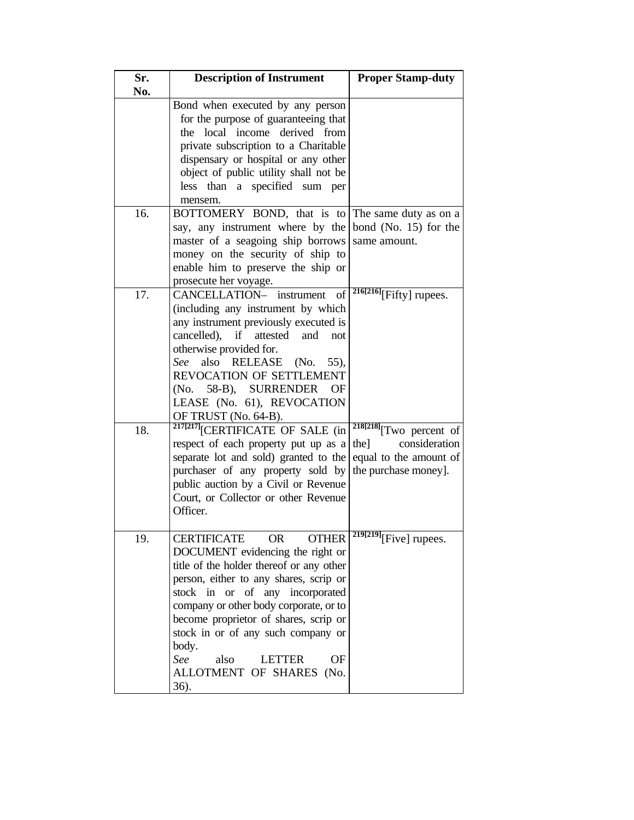| Sr.        | <b>Description of Instrument</b>                                                                                                                                                                                                                                                                                                                                                                     | <b>Proper Stamp-duty</b>                                                  |
|------------|------------------------------------------------------------------------------------------------------------------------------------------------------------------------------------------------------------------------------------------------------------------------------------------------------------------------------------------------------------------------------------------------------|---------------------------------------------------------------------------|
| No.        | Bond when executed by any person<br>for the purpose of guaranteeing that<br>the local income derived from<br>private subscription to a Charitable<br>dispensary or hospital or any other<br>object of public utility shall not be<br>less than a specified sum per<br>mensem.                                                                                                                        |                                                                           |
| 16.        | BOTTOMERY BOND, that is to The same duty as on a<br>say, any instrument where by the bond (No. 15) for the<br>master of a seagoing ship borrows<br>money on the security of ship to<br>enable him to preserve the ship or<br>prosecute her voyage.                                                                                                                                                   | same amount.                                                              |
| 17.<br>18. | CANCELLATION- instrument<br>of<br>(including any instrument by which<br>any instrument previously executed is<br>cancelled),<br>if<br>attested<br>and<br>not<br>otherwise provided for.<br>also<br>RELEASE<br>See<br>(No.<br>55),<br>REVOCATION OF SETTLEMENT<br>(No. 58-B), SURRENDER<br>ΟF<br>LEASE (No. 61), REVOCATION<br>OF TRUST (No. 64-B).<br><sup>217[217]</sup> [CERTIFICATE OF SALE (in   | $\frac{216[216]}{Fifty}$ rupees.<br>$218[218]$ <sup>T</sup> WO percent of |
|            | respect of each property put up as a<br>separate lot and sold) granted to the<br>purchaser of any property sold by<br>public auction by a Civil or Revenue<br>Court, or Collector or other Revenue<br>Officer.                                                                                                                                                                                       | consideration<br>the]<br>equal to the amount of<br>the purchase money].   |
| 19.        | OR.<br>CERTIFICATE<br><b>OTHER</b><br>DOCUMENT evidencing the right or<br>title of the holder thereof or any other<br>person, either to any shares, scrip or<br>stock in or of any incorporated<br>company or other body corporate, or to<br>become proprietor of shares, scrip or<br>stock in or of any such company or<br>body.<br>See<br>also<br>OF<br>LETTER<br>ALLOTMENT OF SHARES (No.<br>36). | $\sqrt[219]{[219]}$ [Five] rupees.                                        |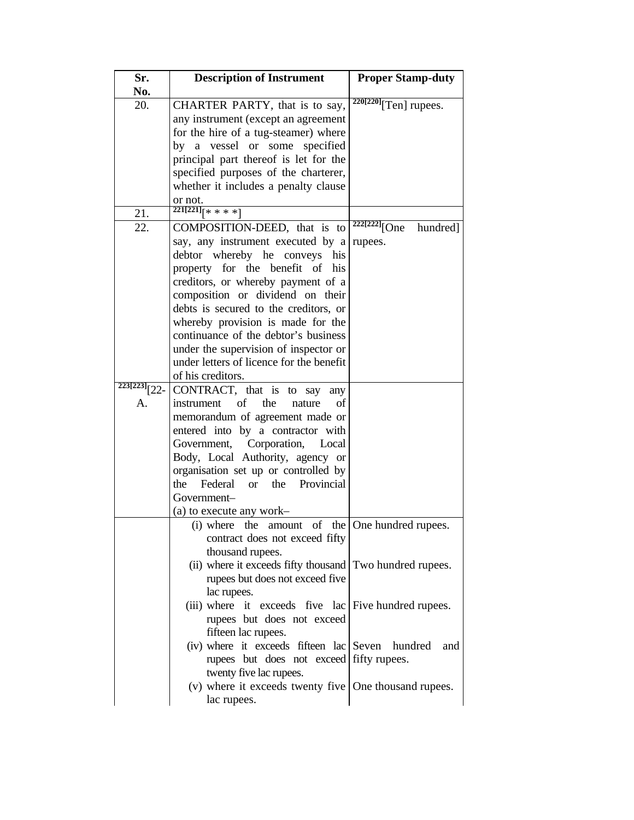| Sr.      | <b>Description of Instrument</b>                          | <b>Proper Stamp-duty</b>              |
|----------|-----------------------------------------------------------|---------------------------------------|
| No.      |                                                           |                                       |
| 20.      | CHARTER PARTY, that is to say,                            | $\sqrt[220[220]{\text{Ten}}}$ rupees. |
|          | any instrument (except an agreement                       |                                       |
|          | for the hire of a tug-steamer) where                      |                                       |
|          | a vessel or<br>some<br>specified<br>by                    |                                       |
|          | principal part thereof is let for the                     |                                       |
|          | specified purposes of the charterer,                      |                                       |
|          | whether it includes a penalty clause                      |                                       |
|          | or not.                                                   |                                       |
|          | $221[221]_{x**}$                                          |                                       |
| 21.      |                                                           | $\frac{222[222]}{[One]}$              |
| 22.      | COMPOSITION-DEED, that is to                              | hundred]                              |
|          | say, any instrument executed by a                         | rupees.                               |
|          | debtor whereby he conveys his                             |                                       |
|          | property for the benefit of his                           |                                       |
|          | creditors, or whereby payment of a                        |                                       |
|          | composition or dividend on their                          |                                       |
|          | debts is secured to the creditors, or                     |                                       |
|          | whereby provision is made for the                         |                                       |
|          | continuance of the debtor's business                      |                                       |
|          | under the supervision of inspector or                     |                                       |
|          | under letters of licence for the benefit                  |                                       |
|          | of his creditors.                                         |                                       |
| 223[223] | CONTRACT, that is to say<br>any                           |                                       |
| A.       | of<br>the<br>instrument<br>of<br>nature                   |                                       |
|          | memorandum of agreement made or                           |                                       |
|          | entered into by a contractor with                         |                                       |
|          | Government, Corporation,<br>Local                         |                                       |
|          | Body, Local Authority, agency or                          |                                       |
|          | organisation set up or controlled by                      |                                       |
|          | the Federal<br>the Provincial<br>$\alpha$                 |                                       |
|          | Government-                                               |                                       |
|          |                                                           |                                       |
|          | (a) to execute any work-                                  |                                       |
|          | (i) where the<br>of<br>amount                             | the   One hundred rupees.             |
|          | contract does not exceed fifty                            |                                       |
|          | thousand rupees.                                          |                                       |
|          | (ii) where it exceeds fifty thousand Two hundred rupees.  |                                       |
|          | rupees but does not exceed five                           |                                       |
|          | lac rupees.                                               |                                       |
|          | (iii) where it exceeds five lac Five hundred rupees.      |                                       |
|          | rupees but does not exceed                                |                                       |
|          | fifteen lac rupees.                                       |                                       |
|          | (iv) where it exceeds fifteen lac Seven hundred           | and                                   |
|          | rupees but does not exceed fifty rupees.                  |                                       |
|          | twenty five lac rupees.                                   |                                       |
|          | (v) where it exceeds twenty five $ $ One thousand rupees. |                                       |
|          | lac rupees.                                               |                                       |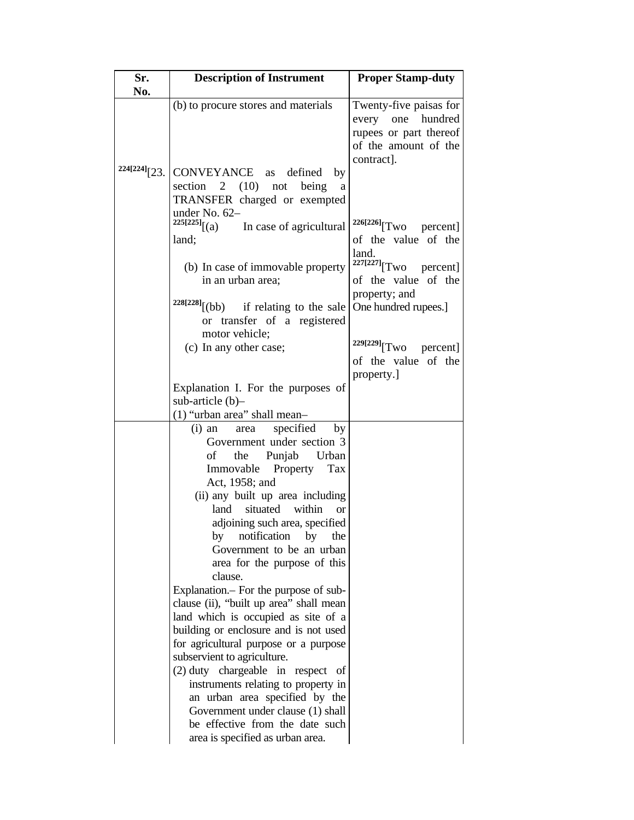| Sr.             | <b>Description of Instrument</b>                                               | <b>Proper Stamp-duty</b>               |
|-----------------|--------------------------------------------------------------------------------|----------------------------------------|
| No.             |                                                                                |                                        |
|                 | (b) to procure stores and materials                                            | Twenty-five paisas for<br>hundred      |
|                 |                                                                                | every<br>one<br>rupees or part thereof |
|                 |                                                                                | of the amount of the                   |
|                 |                                                                                | contract].                             |
| $224[224]$ [23. | CONVEYANCE as defined<br>by                                                    |                                        |
|                 | section 2 $(10)$ not<br>being<br>a                                             |                                        |
|                 | TRANSFER charged or exempted                                                   |                                        |
|                 | under No. 62-                                                                  |                                        |
|                 | $^{225[225]}(a)$<br>In case of agricultural                                    | $226[226]$ Two<br>percent]             |
|                 | land;                                                                          | of the value of the                    |
|                 |                                                                                | land.                                  |
|                 | (b) In case of immovable property                                              | $227[227]$ [Two percent]               |
|                 | in an urban area;                                                              | of the value of the                    |
|                 |                                                                                | property; and                          |
|                 | $228[228]$ [(bb) if relating to the sale                                       | One hundred rupees.]                   |
|                 | or transfer of a registered                                                    |                                        |
|                 | motor vehicle;                                                                 |                                        |
|                 | (c) In any other case;                                                         | <sup>229[229]</sup> [Two<br>percent]   |
|                 |                                                                                | of the value of the                    |
|                 |                                                                                | property.]                             |
|                 | Explanation I. For the purposes of                                             |                                        |
|                 | sub-article $(b)$ -<br>$(1)$ "urban area" shall mean-                          |                                        |
|                 | specified<br>$(i)$ an<br>by<br>area                                            |                                        |
|                 | Government under section 3                                                     |                                        |
|                 | Punjab<br>Urban<br>οf<br>the                                                   |                                        |
|                 | Immovable<br>Property<br>Tax                                                   |                                        |
|                 | Act, 1958; and                                                                 |                                        |
|                 | (ii) any built up area including                                               |                                        |
|                 | situated within<br>land<br><sub>or</sub>                                       |                                        |
|                 | adjoining such area, specified                                                 |                                        |
|                 | by<br>notification<br>by<br>the                                                |                                        |
|                 | Government to be an urban                                                      |                                        |
|                 | area for the purpose of this                                                   |                                        |
|                 | clause.                                                                        |                                        |
|                 | Explanation. - For the purpose of sub-                                         |                                        |
|                 | clause (ii), "built up area" shall mean                                        |                                        |
|                 | land which is occupied as site of a                                            |                                        |
|                 | building or enclosure and is not used<br>for agricultural purpose or a purpose |                                        |
|                 | subservient to agriculture.                                                    |                                        |
|                 | $(2)$ duty chargeable in respect of                                            |                                        |
|                 | instruments relating to property in                                            |                                        |
|                 | an urban area specified by the                                                 |                                        |
|                 | Government under clause (1) shall                                              |                                        |
|                 | be effective from the date such                                                |                                        |
|                 | area is specified as urban area.                                               |                                        |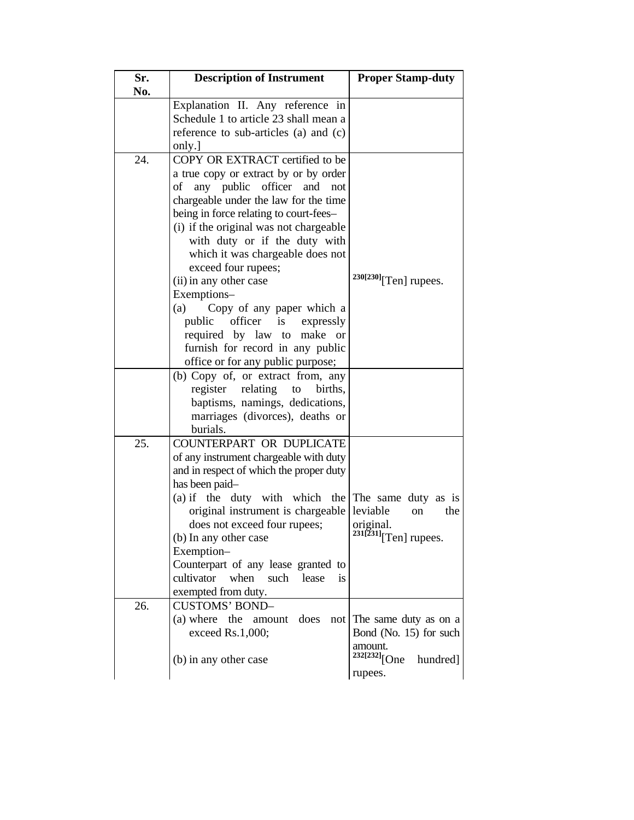| Sr. | <b>Description of Instrument</b>                   | <b>Proper Stamp-duty</b>             |
|-----|----------------------------------------------------|--------------------------------------|
| No. |                                                    |                                      |
|     | Explanation II. Any reference in                   |                                      |
|     | Schedule 1 to article 23 shall mean a              |                                      |
|     | reference to sub-articles (a) and (c)              |                                      |
|     | only.]                                             |                                      |
| 24. | COPY OR EXTRACT certified to be                    |                                      |
|     | a true copy or extract by or by order              |                                      |
|     | any public officer and<br>οf<br>not                |                                      |
|     | chargeable under the law for the time              |                                      |
|     | being in force relating to court-fees-             |                                      |
|     | (i) if the original was not chargeable             |                                      |
|     | with duty or if the duty with                      |                                      |
|     | which it was chargeable does not                   |                                      |
|     | exceed four rupees;                                |                                      |
|     | (ii) in any other case                             | $230[230]$ [Ten] rupees.             |
|     | Exemptions-                                        |                                      |
|     | Copy of any paper which a<br>(a)                   |                                      |
|     | public officer is<br>expressly                     |                                      |
|     | required by law to<br>make or                      |                                      |
|     | furnish for record in any public                   |                                      |
|     | office or for any public purpose;                  |                                      |
|     | (b) Copy of, or extract from, any                  |                                      |
|     | relating<br>register<br>to<br>births,              |                                      |
|     | baptisms, namings, dedications,                    |                                      |
|     | marriages (divorces), deaths or<br>burials.        |                                      |
| 25. | COUNTERPART OR DUPLICATE                           |                                      |
|     | of any instrument chargeable with duty             |                                      |
|     | and in respect of which the proper duty            |                                      |
|     | has been paid-                                     |                                      |
|     | (a) if the duty with which the The same duty as is |                                      |
|     | original instrument is chargeable                  | leviable<br>the<br>on                |
|     | does not exceed four rupees;                       | original.                            |
|     | (b) In any other case                              | $231[231]$ [Ten] rupees.             |
|     | Exemption-                                         |                                      |
|     | Counterpart of any lease granted to                |                                      |
|     | cultivator<br>when<br>such<br>lease<br><i>is</i>   |                                      |
|     | exempted from duty.                                |                                      |
| 26. | <b>CUSTOMS' BOND-</b>                              |                                      |
|     | (a) where the<br>amount does                       | not The same duty as on a            |
|     | exceed Rs.1,000;                                   | Bond (No. 15) for such               |
|     |                                                    | amount.                              |
|     | (b) in any other case                              | <sup>232[232]</sup> [One<br>hundred] |
|     |                                                    | rupees.                              |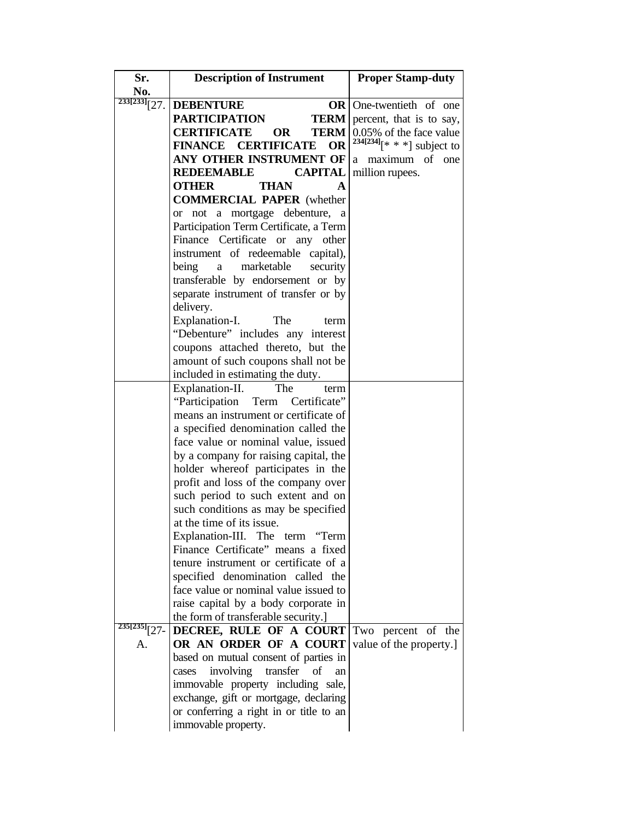| Sr.             | <b>Description of Instrument</b>               | <b>Proper Stamp-duty</b>       |
|-----------------|------------------------------------------------|--------------------------------|
| No.             |                                                |                                |
| $233[233]$ [27. | <b>DEBENTURE</b>                               | <b>OR</b> One-twentieth of one |
|                 | <b>PARTICIPATION</b><br><b>TERM</b>            | percent, that is to say,       |
|                 | <b>CERTIFICATE</b><br><b>OR</b><br><b>TERM</b> | 0.05% of the face value        |
|                 | <b>FINANCE CERTIFICATE</b><br><b>OR</b>        | $234[234]$ $[* **]$ subject to |
|                 | ANY OTHER INSTRUMENT OF                        | maximum of<br>one<br>a         |
|                 | <b>REDEEMABLE</b><br><b>CAPITAL</b>            | million rupees.                |
|                 | <b>OTHER</b><br>THAN<br>A                      |                                |
|                 | <b>COMMERCIAL PAPER</b> (whether               |                                |
|                 | not a mortgage debenture, a<br><sub>or</sub>   |                                |
|                 | Participation Term Certificate, a Term         |                                |
|                 | Finance Certificate or any other               |                                |
|                 | instrument of redeemable<br>capital),          |                                |
|                 | marketable<br>being<br>security<br>a           |                                |
|                 | transferable by endorsement or by              |                                |
|                 | separate instrument of transfer or by          |                                |
|                 | delivery.                                      |                                |
|                 | Explanation-I.<br>The<br>term                  |                                |
|                 | "Debenture" includes any interest              |                                |
|                 | coupons attached thereto, but the              |                                |
|                 | amount of such coupons shall not be            |                                |
|                 | included in estimating the duty.               |                                |
|                 | Explanation-II.<br>The<br>term                 |                                |
|                 | "Participation Term Certificate"               |                                |
|                 | means an instrument or certificate of          |                                |
|                 | a specified denomination called the            |                                |
|                 | face value or nominal value, issued            |                                |
|                 | by a company for raising capital, the          |                                |
|                 | holder whereof participates in the             |                                |
|                 | profit and loss of the company over            |                                |
|                 | such period to such extent and on              |                                |
|                 | such conditions as may be specified            |                                |
|                 | at the time of its issue.                      |                                |
|                 | Explanation-III. The term "Term                |                                |
|                 | Finance Certificate" means a fixed             |                                |
|                 | tenure instrument or certificate of a          |                                |
|                 | specified denomination called the              |                                |
|                 | face value or nominal value issued to          |                                |
|                 | raise capital by a body corporate in           |                                |
|                 | the form of transferable security.]            |                                |
| $235[235]$ [27- | DECREE, RULE OF A COURT Two percent of the     |                                |
| A.              | OR AN ORDER OF A COURT                         | value of the property.]        |
|                 | based on mutual consent of parties in          |                                |
|                 | involving<br>transfer<br>of<br>cases<br>an     |                                |
|                 | immovable property including sale,             |                                |
|                 | exchange, gift or mortgage, declaring          |                                |
|                 | or conferring a right in or title to an        |                                |
|                 | immovable property.                            |                                |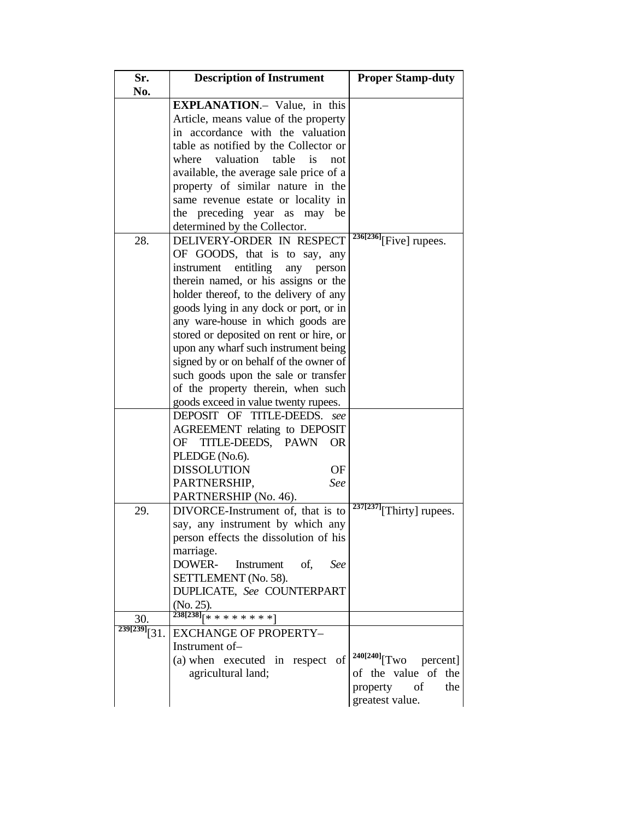| Sr.                      | <b>Description of Instrument</b>                              | <b>Proper Stamp-duty</b>                |
|--------------------------|---------------------------------------------------------------|-----------------------------------------|
| No.                      |                                                               |                                         |
|                          | <b>EXPLANATION.</b> - Value, in this                          |                                         |
|                          | Article, means value of the property                          |                                         |
|                          | in accordance with the valuation                              |                                         |
|                          | table as notified by the Collector or                         |                                         |
|                          | where valuation<br>table<br>is<br>not                         |                                         |
|                          |                                                               |                                         |
|                          | available, the average sale price of a                        |                                         |
|                          | property of similar nature in the                             |                                         |
|                          | same revenue estate or locality in                            |                                         |
|                          | the preceding year as<br>may be                               |                                         |
|                          | determined by the Collector.                                  |                                         |
| 28.                      | DELIVERY-ORDER IN RESPECT                                     | $236[236]$ [Five] rupees.               |
|                          | OF GOODS, that is to say, any                                 |                                         |
|                          | entitling<br>instrument<br>any<br>person                      |                                         |
|                          | therein named, or his assigns or the                          |                                         |
|                          | holder thereof, to the delivery of any                        |                                         |
|                          | goods lying in any dock or port, or in                        |                                         |
|                          | any ware-house in which goods are                             |                                         |
|                          |                                                               |                                         |
|                          | stored or deposited on rent or hire, or                       |                                         |
|                          | upon any wharf such instrument being                          |                                         |
|                          | signed by or on behalf of the owner of                        |                                         |
|                          | such goods upon the sale or transfer                          |                                         |
|                          | of the property therein, when such                            |                                         |
|                          | goods exceed in value twenty rupees.                          |                                         |
|                          | DEPOSIT OF TITLE-DEEDS. see                                   |                                         |
|                          | AGREEMENT relating to DEPOSIT                                 |                                         |
|                          | TITLE-DEEDS, PAWN<br>OF<br><b>OR</b>                          |                                         |
|                          | PLEDGE (No.6).                                                |                                         |
|                          | <b>DISSOLUTION</b><br>OF                                      |                                         |
|                          | See<br>PARTNERSHIP,                                           |                                         |
|                          | PARTNERSHIP (No. 46).                                         |                                         |
| 29.                      | DIVORCE-Instrument of, that is to                             | $237[237]$ [Thirty] rupees.             |
|                          | say, any instrument by which any                              |                                         |
|                          | person effects the dissolution of his                         |                                         |
|                          | marriage.                                                     |                                         |
|                          | DOWER-<br>Instrument<br>of,<br>See                            |                                         |
|                          |                                                               |                                         |
|                          | SETTLEMENT (No. 58).                                          |                                         |
|                          | DUPLICATE, See COUNTERPART                                    |                                         |
|                          | (No. 25).<br>$\left[ 238[238]\right]$ $[ * * * * * * * * * ]$ |                                         |
| 30.                      |                                                               |                                         |
| $239[239]\overline{31}.$ | <b>EXCHANGE OF PROPERTY-</b>                                  |                                         |
|                          | Instrument of-                                                |                                         |
|                          | (a) when executed in respect of                               | $240[240]\sqrt{\text{Two}}$<br>percent] |
|                          | agricultural land;                                            | of the value of the                     |
|                          |                                                               | property of<br>the                      |
|                          |                                                               | greatest value.                         |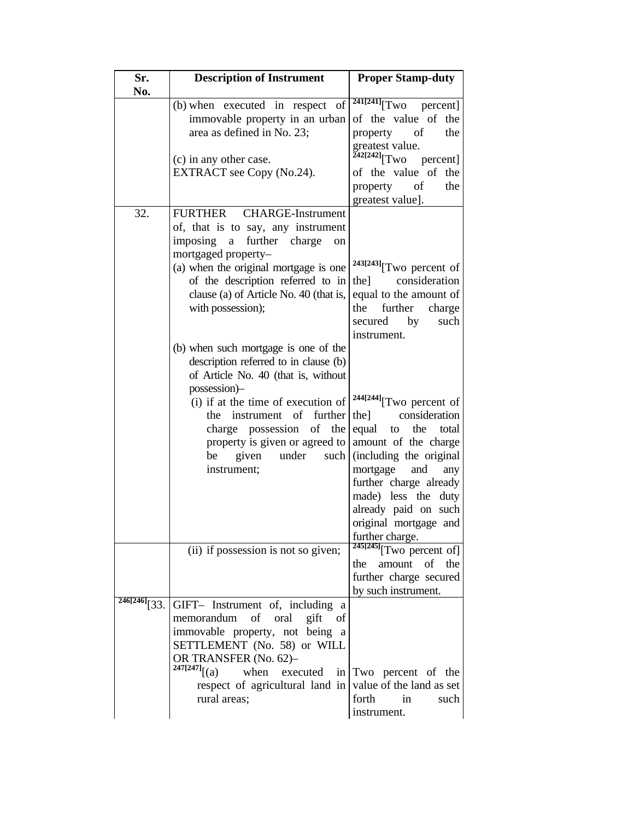| Sr.<br>No.             | <b>Description of Instrument</b>                                                                                                                                                                                                                                                                                              | <b>Proper Stamp-duty</b>                                                                                                                                                                                                                                                                      |
|------------------------|-------------------------------------------------------------------------------------------------------------------------------------------------------------------------------------------------------------------------------------------------------------------------------------------------------------------------------|-----------------------------------------------------------------------------------------------------------------------------------------------------------------------------------------------------------------------------------------------------------------------------------------------|
|                        | (b) when executed in respect of<br>immovable property in an urban<br>area as defined in No. 23;<br>(c) in any other case.<br>EXTRACT see Copy (No.24).                                                                                                                                                                        | $241[241]$ <sup>[Two</sup> percent]<br>of the value of the<br>property of<br>the<br>greatest value.<br><sup>242[242]</sup> [Two<br>percent]<br>of the value of the<br>property<br>- of<br>the<br>greatest value].                                                                             |
| 32.                    | <b>FURTHER</b><br><b>CHARGE-Instrument</b><br>of, that is to say, any instrument<br>imposing<br>further charge<br>$\mathbf{a}$<br>on<br>mortgaged property-<br>(a) when the original mortgage is one<br>of the description referred to in<br>clause (a) of Article No. 40 (that is,<br>with possession);                      | 243[243] <sub>[Two percent of</sub><br>consideration<br>the l<br>equal to the amount of<br>further<br>the<br>charge<br>by<br>such<br>secured<br>instrument.                                                                                                                                   |
|                        | (b) when such mortgage is one of the<br>description referred to in clause (b)<br>of Article No. 40 (that is, without<br>possession)-<br>(i) if at the time of execution of<br>instrument of<br>further<br>the<br>of the<br>charge possession<br>property is given or agreed to<br>under<br>such<br>given<br>be<br>instrument; | <sup>244[244]</sup> [Two percent of<br>consideration<br>the]<br>equal<br>the<br>total<br>to<br>amount of the charge<br>(including the original<br>mortgage<br>and<br>any<br>further charge already<br>made) less the duty<br>already paid on such<br>original mortgage and<br>further charge. |
|                        | (ii) if possession is not so given;                                                                                                                                                                                                                                                                                           | $245[245]$ <sup>T</sup> WO percent of<br>amount of the<br>the<br>further charge secured<br>by such instrument.                                                                                                                                                                                |
| $\frac{246[246]}{33}.$ | GIFT- Instrument of, including a<br>memorandum<br>of oral gift<br><sub>of</sub><br>immovable property, not being<br>a<br>SETTLEMENT (No. 58) or WILL<br>OR TRANSFER (No. 62)-<br>$247[247]$ [(a)<br>when<br>executed<br>respect of agricultural land in<br>rural areas;                                                       | in Two percent of the<br>value of the land as set<br>forth<br>$\sin$<br>such<br>instrument.                                                                                                                                                                                                   |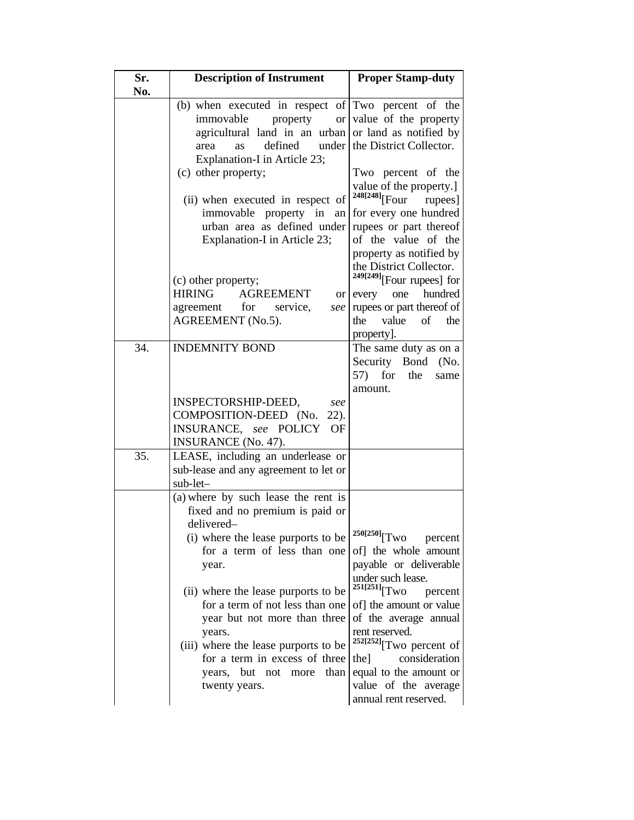| Sr.<br>No. | <b>Description of Instrument</b>                            | <b>Proper Stamp-duty</b>                           |
|------------|-------------------------------------------------------------|----------------------------------------------------|
|            |                                                             |                                                    |
|            | (b) when executed in respect of $\text{Two}$ percent of the |                                                    |
|            | immovable<br>property<br><b>or</b>                          | value of the property                              |
|            | agricultural land in an urban or land as notified by        |                                                    |
|            | defined<br>under<br>area<br>as                              | the District Collector.                            |
|            | Explanation-I in Article 23;                                |                                                    |
|            | (c) other property;                                         | Two percent of the                                 |
|            |                                                             | value of the property.]<br>248[248][Four           |
|            | (ii) when executed in respect of                            | rupees]                                            |
|            | immovable property in<br>an<br>urban area as defined under  | for every one hundred                              |
|            |                                                             | rupees or part thereof<br>of the value of the      |
|            | Explanation-I in Article 23;                                |                                                    |
|            |                                                             | property as notified by<br>the District Collector. |
|            |                                                             | $249[249]$ [Four rupees] for                       |
|            | (c) other property;<br><b>AGREEMENT</b><br><b>HIRING</b>    | hundred<br>one<br>every                            |
|            | or <sub>l</sub><br>agreement for<br>service,<br>see         | rupees or part thereof of                          |
|            | AGREEMENT (No.5).                                           | value<br>the<br>of the                             |
|            |                                                             | property].                                         |
| 34.        | <b>INDEMNITY BOND</b>                                       | The same duty as on a                              |
|            |                                                             | Security Bond (No.                                 |
|            |                                                             | $57$ for<br>the<br>same                            |
|            |                                                             | amount.                                            |
|            | INSPECTORSHIP-DEED,<br>see                                  |                                                    |
|            | COMPOSITION-DEED (No.<br>$22$ ).                            |                                                    |
|            | INSURANCE, see POLICY<br><b>OF</b>                          |                                                    |
|            | <b>INSURANCE</b> (No. 47).                                  |                                                    |
| 35.        | LEASE, including an underlease or                           |                                                    |
|            | sub-lease and any agreement to let or                       |                                                    |
|            | sub-let-                                                    |                                                    |
|            | (a) where by such lease the rent is                         |                                                    |
|            | fixed and no premium is paid or                             |                                                    |
|            | delivered-                                                  |                                                    |
|            | (i) where the lease purports to be                          | $250[250]$ [Two<br>percent                         |
|            | for a term of less than one                                 | of] the whole amount                               |
|            | year.                                                       | payable or deliverable                             |
|            |                                                             | under such lease.                                  |
|            | (ii) where the lease purports to be                         | $^{251[251]}$ [Two<br>percent                      |
|            | for a term of not less than one                             | of] the amount or value                            |
|            | year but not more than three                                | of the average annual                              |
|            | years.                                                      | rent reserved.                                     |
|            | (iii) where the lease purports to be                        | $252[252]$ <sup>[Two percent of]</sup>             |
|            | for a term in excess of three                               | consideration<br>the]                              |
|            | years, but not<br>than<br>more                              | equal to the amount or                             |
|            | twenty years.                                               | value of the average                               |
|            |                                                             | annual rent reserved.                              |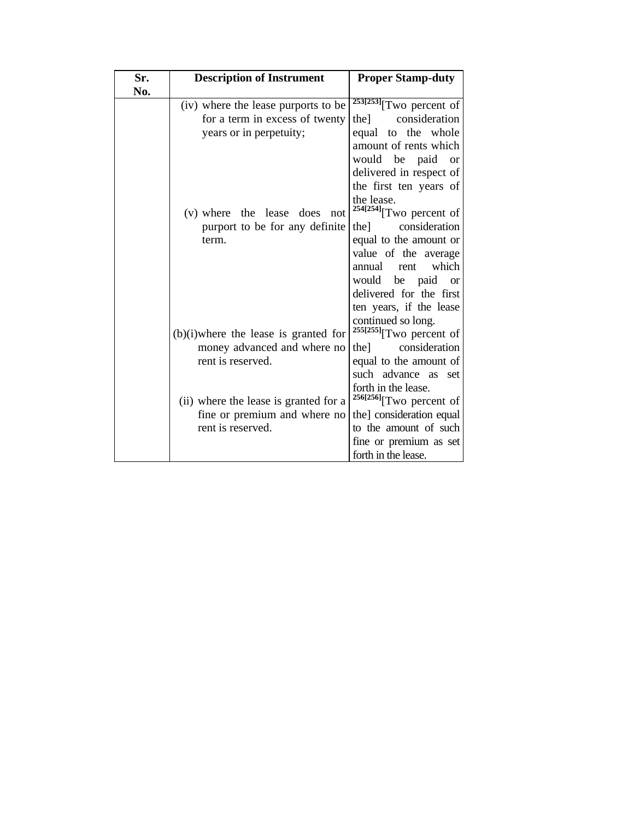| Sr. | <b>Description of Instrument</b>        | <b>Proper Stamp-duty</b>                                     |
|-----|-----------------------------------------|--------------------------------------------------------------|
| No. |                                         |                                                              |
|     | (iv) where the lease purports to be     | $253[253]$ <sup>T</sup> Wo percent of                        |
|     | for a term in excess of twenty          | consideration<br>the l                                       |
|     | years or in perpetuity;                 | equal to the whole                                           |
|     |                                         | amount of rents which                                        |
|     |                                         | would be paid<br><sub>or</sub>                               |
|     |                                         | delivered in respect of                                      |
|     |                                         | the first ten years of                                       |
|     | (v) where the lease does not            | the lease.<br><sup>254[254]</sup> [Two percent of            |
|     | purport to be for any definite          | consideration<br>the                                         |
|     |                                         |                                                              |
|     | term.                                   | equal to the amount or                                       |
|     |                                         | value of the average                                         |
|     |                                         | which<br>annual<br>rent                                      |
|     |                                         | would be paid<br><b>or</b>                                   |
|     |                                         | delivered for the first                                      |
|     |                                         | ten years, if the lease                                      |
|     |                                         | continued so long.                                           |
|     | $(b)(i)$ where the lease is granted for | $255[255]$ <sup>T</sup> wo percent of                        |
|     | money advanced and where no             | consideration<br>thel                                        |
|     | rent is reserved.                       | equal to the amount of                                       |
|     |                                         | such advance as set                                          |
|     | (ii) where the lease is granted for a   | forth in the lease.<br>$256[256]$ <sup>T</sup> WO percent of |
|     | fine or premium and where no            | the] consideration equal                                     |
|     | rent is reserved.                       | to the amount of such                                        |
|     |                                         |                                                              |
|     |                                         | fine or premium as set                                       |
|     |                                         | forth in the lease.                                          |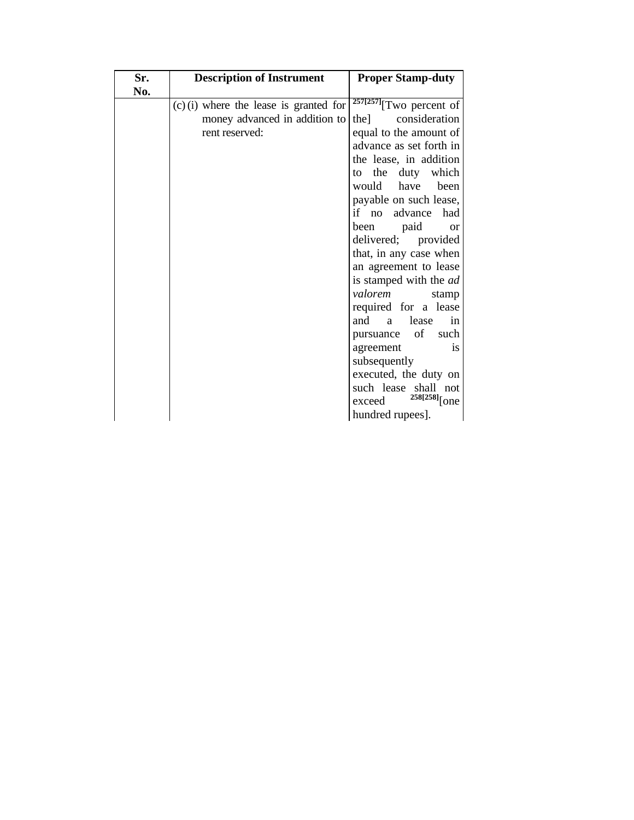| Sr.<br>No. | <b>Description of Instrument</b>         | <b>Proper Stamp-duty</b>              |
|------------|------------------------------------------|---------------------------------------|
|            | $(c)$ (i) where the lease is granted for | $257[257]$ <sup>T</sup> WO percent of |
|            | money advanced in addition to            | the consideration                     |
|            | rent reserved:                           | equal to the amount of                |
|            |                                          | advance as set forth in               |
|            |                                          | the lease, in addition                |
|            |                                          | the duty which<br>to                  |
|            |                                          | would have<br>been                    |
|            |                                          | payable on such lease,                |
|            |                                          | if no advance had                     |
|            |                                          | been paid or                          |
|            |                                          | delivered; provided                   |
|            |                                          | that, in any case when                |
|            |                                          | an agreement to lease                 |
|            |                                          | is stamped with the <i>ad</i>         |
|            |                                          | valorem<br>stamp                      |
|            |                                          | required for a lease<br>and a lease   |
|            |                                          | in<br>pursuance of such               |
|            |                                          | agreement<br>$\frac{1}{1}$            |
|            |                                          | subsequently                          |
|            |                                          | executed, the duty on                 |
|            |                                          | such lease shall not                  |
|            |                                          | <sup>258[258]</sup> [one<br>exceed    |
|            |                                          | hundred rupees].                      |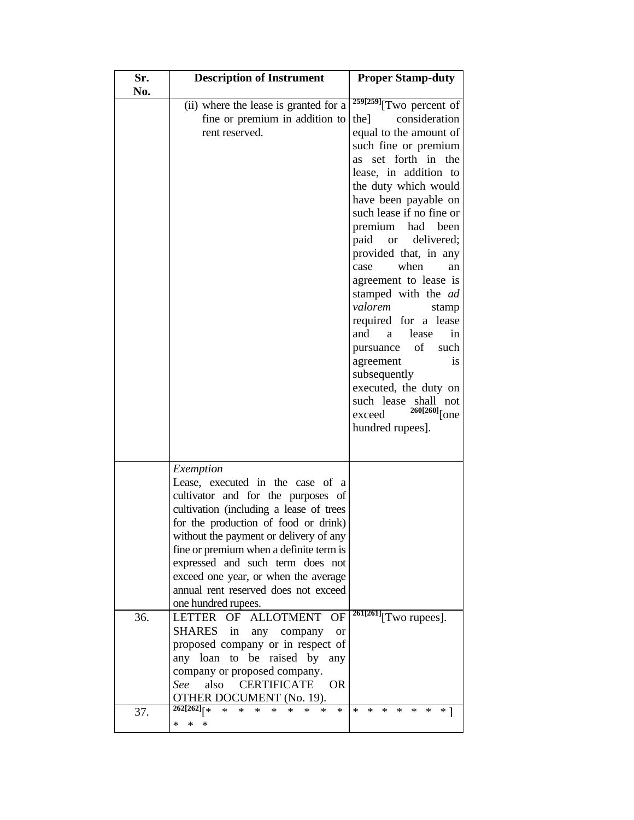| Sr. | <b>Description of Instrument</b>                                                                                                                                                                                                                                                                                                                                                                                                                                                                                                                                                                                                                                                            | <b>Proper Stamp-duty</b>                                                                                                                                                                                                                                                                                                                                                                                                                                                                                                                                                                                                         |
|-----|---------------------------------------------------------------------------------------------------------------------------------------------------------------------------------------------------------------------------------------------------------------------------------------------------------------------------------------------------------------------------------------------------------------------------------------------------------------------------------------------------------------------------------------------------------------------------------------------------------------------------------------------------------------------------------------------|----------------------------------------------------------------------------------------------------------------------------------------------------------------------------------------------------------------------------------------------------------------------------------------------------------------------------------------------------------------------------------------------------------------------------------------------------------------------------------------------------------------------------------------------------------------------------------------------------------------------------------|
| No. | (ii) where the lease is granted for a<br>fine or premium in addition to<br>rent reserved.                                                                                                                                                                                                                                                                                                                                                                                                                                                                                                                                                                                                   | $259[259]$ <sup>T</sup> WO percent of<br>consideration<br>the]<br>equal to the amount of<br>such fine or premium<br>as set forth in the<br>lease, in addition to<br>the duty which would<br>have been payable on<br>such lease if no fine or<br>premium had been<br>paid or delivered;<br>provided that, in any<br>when<br>case<br>an<br>agreement to lease is<br>stamped with the ad<br>valorem<br>stamp<br>required for a lease<br>and<br>a lease<br>in<br>of<br>such<br>pursuance<br>agreement<br><i>is</i><br>subsequently<br>executed, the duty on<br>such lease shall not<br>$260[260]$ [one<br>exceed<br>hundred rupees]. |
| 36. | Exemption<br>Lease, executed in the case of a<br>cultivator and for the purposes of<br>cultivation (including a lease of trees<br>for the production of food or drink)<br>without the payment or delivery of any<br>fine or premium when a definite term is<br>expressed and such term does not<br>exceed one year, or when the average<br>annual rent reserved does not exceed<br>one hundred rupees.<br><b>OF</b><br>OF ALLOTMENT<br>LETTER<br>SHARES<br>in<br>any company<br><b>or</b><br>proposed company or in respect of<br>be<br>to<br>raised by<br>any<br>loan<br>any<br>company or proposed company.<br>also<br><b>CERTIFICATE</b><br><b>OR</b><br>See<br>OTHER DOCUMENT (No. 19). | $\sqrt[261]{261}$ [Two rupees].                                                                                                                                                                                                                                                                                                                                                                                                                                                                                                                                                                                                  |
| 37. | $262[262]_{x*}$<br>$\ast$<br>$\ast$<br>$\ast$<br>*<br>*<br>$\ast$<br>$\ast$<br>*<br>*<br>*<br>*                                                                                                                                                                                                                                                                                                                                                                                                                                                                                                                                                                                             | $\ast$<br>$\ast$<br>*<br>*<br>*<br>*<br>$*1$                                                                                                                                                                                                                                                                                                                                                                                                                                                                                                                                                                                     |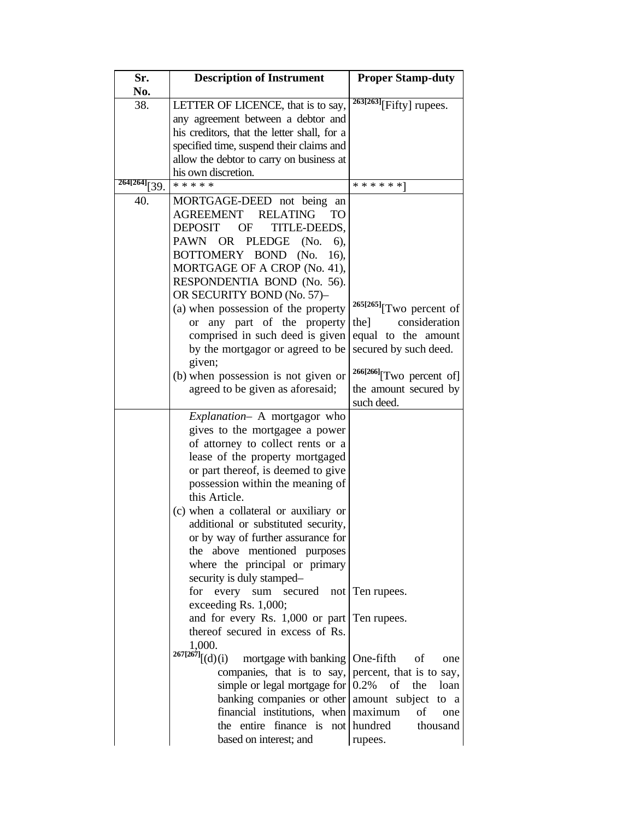| Sr.<br>No.      | <b>Description of Instrument</b>                                      | <b>Proper Stamp-duty</b>             |
|-----------------|-----------------------------------------------------------------------|--------------------------------------|
| 38.             | LETTER OF LICENCE, that is to say,                                    | $\sqrt[263]{263}$ [Fifty] rupees.    |
|                 | any agreement between a debtor and                                    |                                      |
|                 | his creditors, that the letter shall, for a                           |                                      |
|                 | specified time, suspend their claims and                              |                                      |
|                 | allow the debtor to carry on business at                              |                                      |
|                 | his own discretion.                                                   |                                      |
| $264[264]$ [39. | * * * * *                                                             | * * * * * * 1                        |
| 40.             | MORTGAGE-DEED not being<br>an                                         |                                      |
|                 | AGREEMENT<br><b>RELATING</b><br>TO                                    |                                      |
|                 | <b>DEPOSIT</b><br>OF<br>TITLE-DEEDS.                                  |                                      |
|                 | PAWN OR PLEDGE<br>(No.<br>6),                                         |                                      |
|                 | BOTTOMERY BOND<br>(No.<br>16),                                        |                                      |
|                 | MORTGAGE OF A CROP (No. 41),                                          |                                      |
|                 | RESPONDENTIA BOND (No. 56).                                           |                                      |
|                 | OR SECURITY BOND (No. 57)-                                            |                                      |
|                 | (a) when possession of the property                                   | $265[265]$ [Two percent of           |
|                 | any part of the property<br><sub>or</sub>                             | consideration<br>the]                |
|                 | comprised in such deed is given                                       | equal to the amount                  |
|                 | by the mortgagor or agreed to be                                      | secured by such deed.                |
|                 | given;                                                                |                                      |
|                 | (b) when possession is not given or                                   | <sup>266[266]</sup> [Two percent of] |
|                 | agreed to be given as aforesaid;                                      | the amount secured by                |
|                 |                                                                       | such deed.                           |
|                 | Explanation- A mortgagor who                                          |                                      |
|                 | gives to the mortgagee a power                                        |                                      |
|                 | of attorney to collect rents or a                                     |                                      |
|                 | lease of the property mortgaged<br>or part thereof, is deemed to give |                                      |
|                 | possession within the meaning of                                      |                                      |
|                 | this Article.                                                         |                                      |
|                 | (c) when a collateral or auxiliary or                                 |                                      |
|                 | additional or substituted security,                                   |                                      |
|                 | or by way of further assurance for                                    |                                      |
|                 | the above mentioned purposes                                          |                                      |
|                 | where the principal or primary                                        |                                      |
|                 | security is duly stamped-                                             |                                      |
|                 | for every sum secured not Ten rupees.                                 |                                      |
|                 | exceeding Rs. 1,000;                                                  |                                      |
|                 | and for every Rs. 1,000 or part   Ten rupees.                         |                                      |
|                 | thereof secured in excess of Rs.                                      |                                      |
|                 | 1,000.                                                                |                                      |
|                 | $^{267[267]}[(d)(i)$<br>mortgage with banking   One-fifth             | of<br>one                            |
|                 | companies, that is to say,                                            | percent, that is to say,             |
|                 | simple or legal mortgage for $ 0.2\% $                                | of<br>the<br>loan                    |
|                 | banking companies or other amount subject to a                        |                                      |
|                 | financial institutions, when   maximum                                | οf<br>one                            |
|                 | the entire finance is not hundred                                     | thousand                             |
|                 | based on interest; and                                                | rupees.                              |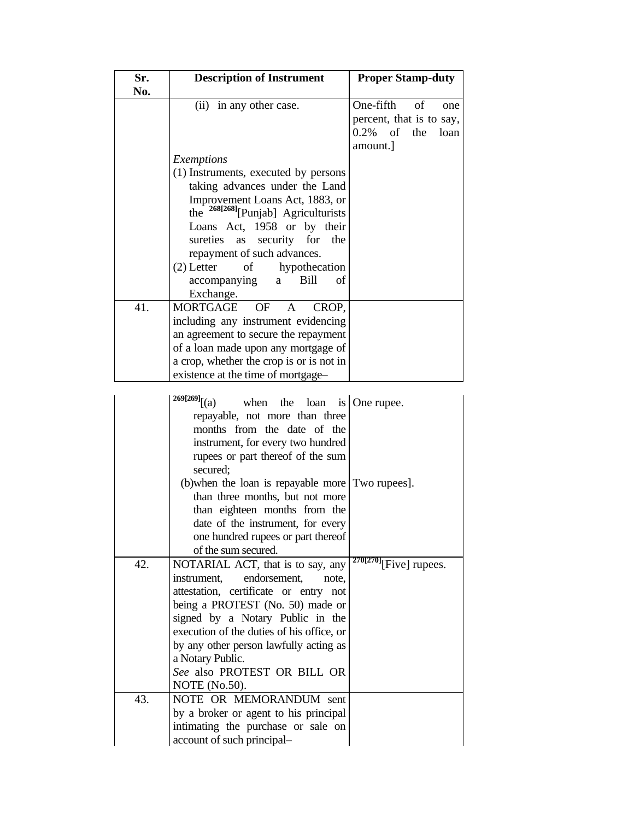| Sr.<br>No. | <b>Description of Instrument</b>                                                                                                                                                                                                                                                                                                                                                                                 | <b>Proper Stamp-duty</b>                                                                    |
|------------|------------------------------------------------------------------------------------------------------------------------------------------------------------------------------------------------------------------------------------------------------------------------------------------------------------------------------------------------------------------------------------------------------------------|---------------------------------------------------------------------------------------------|
|            | (ii) in any other case.                                                                                                                                                                                                                                                                                                                                                                                          | One-fifth<br>of<br>one<br>percent, that is to say,<br>0.2%<br>of<br>the<br>loan<br>amount.] |
|            | Exemptions<br>(1) Instruments, executed by persons<br>taking advances under the Land<br>Improvement Loans Act, 1883, or<br>the <sup>268[268]</sup> [Punjab] Agriculturists<br>Loans Act, 1958 or by their<br>security for<br>sureties<br>as<br>the<br>repayment of such advances.<br>$(2)$ Letter<br>of<br>hypothecation<br>$_{\mathrm{of}}$<br>accompanying<br>Bill<br>a                                        |                                                                                             |
| 41.        | Exchange.<br>MORTGAGE OF<br>CROP.<br>$\mathbf{A}$                                                                                                                                                                                                                                                                                                                                                                |                                                                                             |
|            | including any instrument evidencing<br>an agreement to secure the repayment<br>of a loan made upon any mortgage of<br>a crop, whether the crop is or is not in<br>existence at the time of mortgage-                                                                                                                                                                                                             |                                                                                             |
|            | $269[269]$ [(a)<br>when<br>the<br>loan<br>is<br>repayable, not more than three<br>months from the date of the<br>instrument, for every two hundred<br>rupees or part thereof of the sum<br>secured;<br>(b) when the loan is repayable more<br>than three months, but not more<br>than eighteen months from the<br>date of the instrument, for every<br>one hundred rupees or part thereof<br>of the sum secured. | One rupee.<br>Two rupees].                                                                  |
| 42.        | NOTARIAL ACT, that is to say, any<br>instrument,<br>endorsement,<br>note,<br>attestation, certificate or entry not<br>being a PROTEST (No. 50) made or<br>signed by a Notary Public in the<br>execution of the duties of his office, or<br>by any other person lawfully acting as<br>a Notary Public.<br>See also PROTEST OR BILL OR<br><b>NOTE</b> (No.50).                                                     | $270[270]$ [Five] rupees.                                                                   |
| 43.        | NOTE OR MEMORANDUM sent<br>by a broker or agent to his principal<br>intimating the purchase or sale on<br>account of such principal-                                                                                                                                                                                                                                                                             |                                                                                             |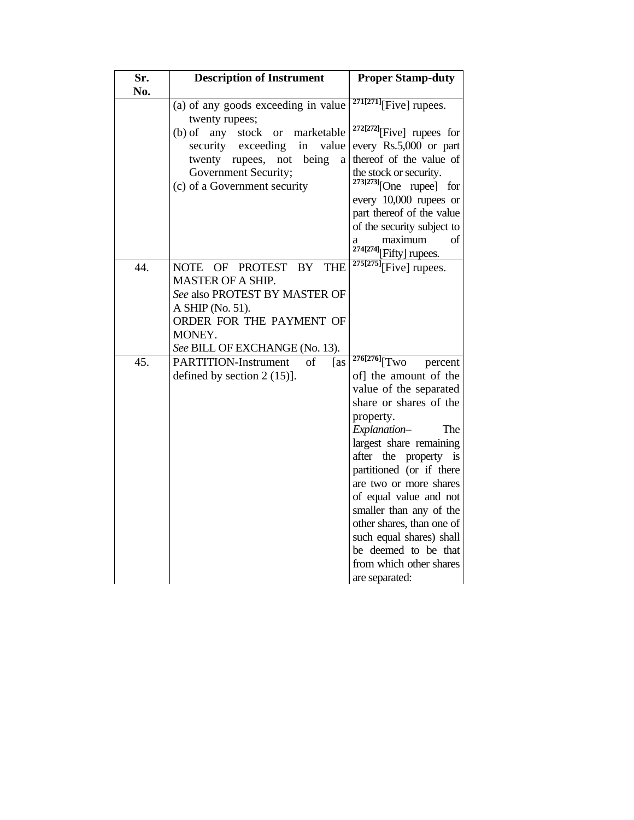| Sr.<br>No. | <b>Description of Instrument</b>                                                                                                                                                                       | <b>Proper Stamp-duty</b>                                                                                                                                                                                                                                                                                                                                                                                                                            |
|------------|--------------------------------------------------------------------------------------------------------------------------------------------------------------------------------------------------------|-----------------------------------------------------------------------------------------------------------------------------------------------------------------------------------------------------------------------------------------------------------------------------------------------------------------------------------------------------------------------------------------------------------------------------------------------------|
|            | (a) of any goods exceeding in value<br>twenty rupees;                                                                                                                                                  | $271[271]$ [Five] rupees.                                                                                                                                                                                                                                                                                                                                                                                                                           |
|            | $(b)$ of<br>any<br>stock<br>marketable<br><b>or</b><br>security<br>exceeding<br>value<br>in<br>being<br>twenty rupees,<br>not<br>a<br>Government Security;<br>(c) of a Government security             | <sup>272[272]</sup> [Five] rupees for<br>every Rs.5,000 or part<br>thereof of the value of<br>the stock or security.<br>$273[273]$ [One rupee] for<br>every 10,000 rupees or<br>part thereof of the value<br>of the security subject to<br>maximum<br>οf<br>a<br>$^{274[274]}$ [Fifty] rupees.                                                                                                                                                      |
| 44.        | OF PROTEST<br><b>NOTE</b><br>BY<br><b>THE</b><br><b>MASTER OF A SHIP.</b><br>See also PROTEST BY MASTER OF<br>A SHIP (No. 51).<br>ORDER FOR THE PAYMENT OF<br>MONEY.<br>See BILL OF EXCHANGE (No. 13). | $\sqrt[275]{275}$ [Five] rupees.                                                                                                                                                                                                                                                                                                                                                                                                                    |
| 45.        | <b>PARTITION-Instrument</b><br>οf<br>[as]<br>defined by section $2(15)$ ].                                                                                                                             | $276[276]$ <sup>T</sup> WO<br>percent<br>of] the amount of the<br>value of the separated<br>share or shares of the<br>property.<br>Explanation-<br>The<br>largest share remaining<br>after the property is<br>partitioned (or if there<br>are two or more shares<br>of equal value and not<br>smaller than any of the<br>other shares, than one of<br>such equal shares) shall<br>be deemed to be that<br>from which other shares<br>are separated: |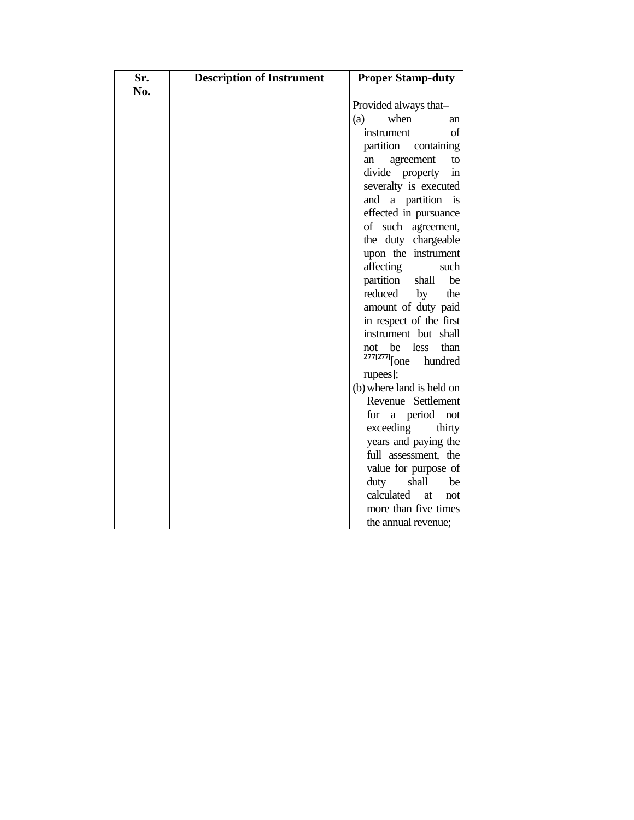| Sr.<br>No. | <b>Description of Instrument</b> | <b>Proper Stamp-duty</b>                                |
|------------|----------------------------------|---------------------------------------------------------|
|            |                                  | Provided always that-                                   |
|            |                                  | when<br>(a)<br>an                                       |
|            |                                  | instrument<br>of                                        |
|            |                                  | partition<br>containing                                 |
|            |                                  | agreement<br>to<br>an                                   |
|            |                                  | divide property<br>in                                   |
|            |                                  | severalty is executed                                   |
|            |                                  | a partition<br>and<br>is                                |
|            |                                  | effected in pursuance                                   |
|            |                                  | of such agreement,                                      |
|            |                                  | the duty chargeable                                     |
|            |                                  | upon the instrument                                     |
|            |                                  | affecting<br>such                                       |
|            |                                  | partition<br>be<br>shall                                |
|            |                                  | reduced<br>by<br>the                                    |
|            |                                  | amount of duty paid                                     |
|            |                                  | in respect of the first                                 |
|            |                                  | instrument but shall                                    |
|            |                                  | be<br>less<br>than<br>not<br>$277[277]$ [one<br>hundred |
|            |                                  | rupees];                                                |
|            |                                  | (b) where land is held on                               |
|            |                                  | Revenue Settlement                                      |
|            |                                  | a period not<br>for                                     |
|            |                                  | exceeding<br>thirty                                     |
|            |                                  | years and paying the                                    |
|            |                                  | full assessment, the                                    |
|            |                                  | value for purpose of                                    |
|            |                                  | duty<br>shall<br>be                                     |
|            |                                  | calculated<br>at<br>not                                 |
|            |                                  | more than five times                                    |
|            |                                  | the annual revenue;                                     |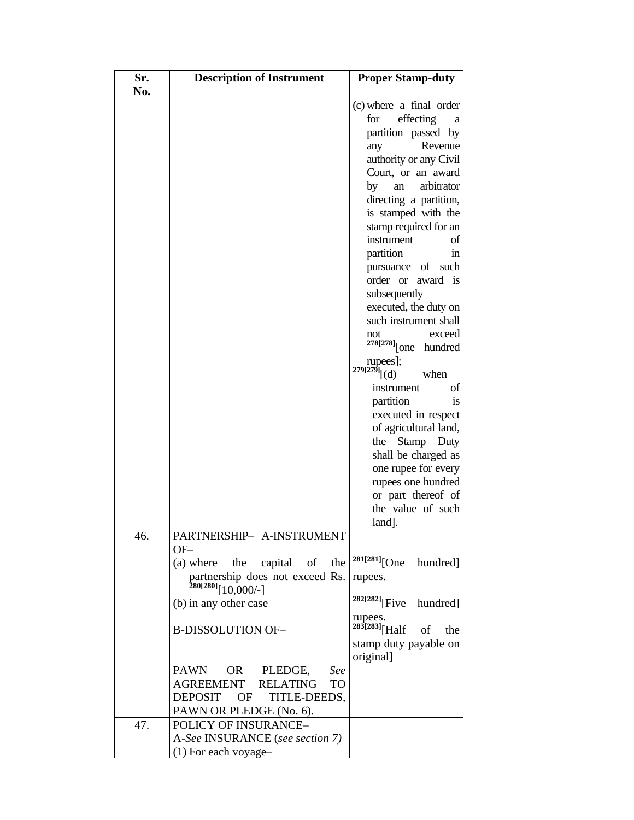| Sr. | <b>Description of Instrument</b>                                  | <b>Proper Stamp-duty</b>              |
|-----|-------------------------------------------------------------------|---------------------------------------|
| No. |                                                                   |                                       |
|     |                                                                   | (c) where a final order               |
|     |                                                                   | effecting<br>for<br>a                 |
|     |                                                                   | partition passed by                   |
|     |                                                                   | Revenue<br>any                        |
|     |                                                                   | authority or any Civil                |
|     |                                                                   | Court, or an award                    |
|     |                                                                   | arbitrator<br>by<br>an                |
|     |                                                                   | directing a partition,                |
|     |                                                                   | is stamped with the                   |
|     |                                                                   | stamp required for an                 |
|     |                                                                   | instrument<br>of                      |
|     |                                                                   | partition<br>ın                       |
|     |                                                                   | pursuance of such                     |
|     |                                                                   | order or<br>award is                  |
|     |                                                                   | subsequently                          |
|     |                                                                   | executed, the duty on                 |
|     |                                                                   | such instrument shall                 |
|     |                                                                   | exceed<br>not                         |
|     |                                                                   | $278[278]$ [one hundred               |
|     |                                                                   | rupees];                              |
|     |                                                                   | $279[279]$ [(d)<br>when               |
|     |                                                                   | οf<br>instrument                      |
|     |                                                                   | partition<br>1S                       |
|     |                                                                   | executed in respect                   |
|     |                                                                   | of agricultural land,                 |
|     |                                                                   | Stamp<br>the<br>Duty                  |
|     |                                                                   | shall be charged as                   |
|     |                                                                   | one rupee for every                   |
|     |                                                                   | rupees one hundred                    |
|     |                                                                   | or part thereof of                    |
|     |                                                                   | the value of such                     |
|     |                                                                   | land].                                |
| 46. | PARTNERSHIP- A-INSTRUMENT                                         |                                       |
|     | $OF-$                                                             |                                       |
|     | (a) where the capital of the                                      | $281[281]$ [One<br>hundred]           |
|     | partnership does not exceed Rs.<br>280[280] <sub>[10,000/-]</sub> | rupees.                               |
|     |                                                                   |                                       |
|     | (b) in any other case                                             | <sup>282[282]</sup> [Five<br>hundred] |
|     |                                                                   | rupees.                               |
|     | <b>B-DISSOLUTION OF-</b>                                          | $283[283]$ [Half]<br>of<br>the        |
|     |                                                                   | stamp duty payable on                 |
|     |                                                                   | original]                             |
|     | <b>PAWN</b><br>OR<br>PLEDGE,<br>See                               |                                       |
|     | AGREEMENT<br><b>RELATING</b><br>TO                                |                                       |
|     | <b>DEPOSIT</b><br>OF<br>TITLE-DEEDS,                              |                                       |
|     | PAWN OR PLEDGE (No. 6).                                           |                                       |
| 47. | POLICY OF INSURANCE-                                              |                                       |
|     | A-See INSURANCE (see section 7)                                   |                                       |
|     | (1) For each voyage-                                              |                                       |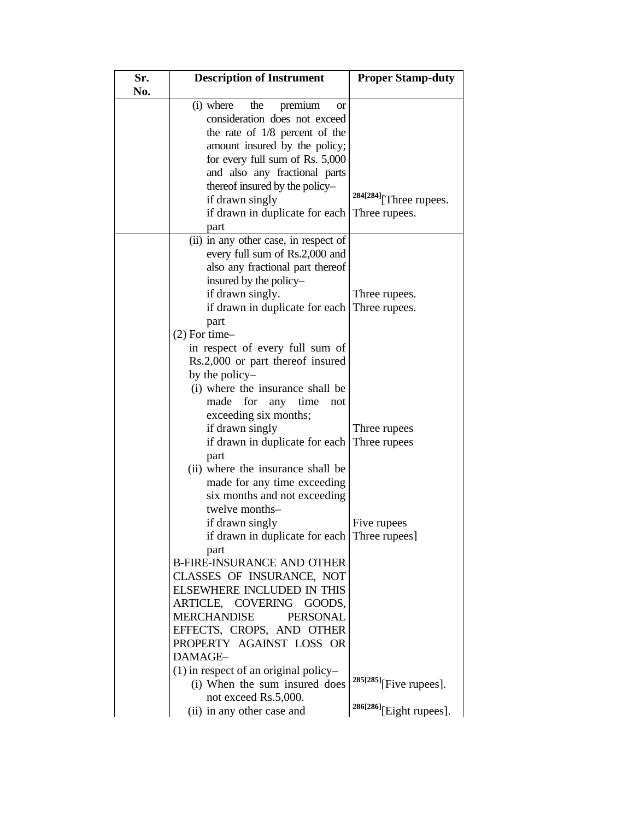| Sr.<br>No. | <b>Description of Instrument</b>                               | <b>Proper Stamp-duty</b>  |
|------------|----------------------------------------------------------------|---------------------------|
|            | (i) where<br>the<br>premium<br><b>or</b>                       |                           |
|            | consideration does not exceed                                  |                           |
|            | the rate of $1/8$ percent of the                               |                           |
|            | amount insured by the policy;                                  |                           |
|            | for every full sum of Rs. 5,000                                |                           |
|            | and also any fractional parts                                  |                           |
|            | thereof insured by the policy-                                 |                           |
|            | if drawn singly                                                | 284[284] [Three rupees.   |
|            | if drawn in duplicate for each<br>part                         | Three rupees.             |
|            | (ii) in any other case, in respect of                          |                           |
|            | every full sum of Rs.2,000 and                                 |                           |
|            | also any fractional part thereof                               |                           |
|            | insured by the policy-                                         |                           |
|            | if drawn singly.                                               | Three rupees.             |
|            | if drawn in duplicate for each                                 | Three rupees.             |
|            | part<br>$(2)$ For time-                                        |                           |
|            | in respect of every full sum of                                |                           |
|            | Rs.2,000 or part thereof insured                               |                           |
|            | by the policy-                                                 |                           |
|            | (i) where the insurance shall be                               |                           |
|            | made<br>for<br>any time<br>not                                 |                           |
|            | exceeding six months;                                          |                           |
|            | if drawn singly                                                | Three rupees              |
|            | if drawn in duplicate for each                                 | Three rupees              |
|            | part                                                           |                           |
|            | (ii) where the insurance shall be                              |                           |
|            | made for any time exceeding                                    |                           |
|            | six months and not exceeding                                   |                           |
|            | twelve months-                                                 |                           |
|            | if drawn singly                                                | Five rupees               |
|            | if drawn in duplicate for each                                 | Three rupees              |
|            | part                                                           |                           |
|            | <b>B-FIRE-INSURANCE AND OTHER</b>                              |                           |
|            | CLASSES OF INSURANCE, NOT<br><b>ELSEWHERE INCLUDED IN THIS</b> |                           |
|            | ARTICLE, COVERING<br>GOODS,                                    |                           |
|            | <b>MERCHANDISE</b><br><b>PERSONAL</b>                          |                           |
|            | EFFECTS, CROPS, AND OTHER                                      |                           |
|            | PROPERTY AGAINST LOSS OR                                       |                           |
|            | DAMAGE-                                                        |                           |
|            | $(1)$ in respect of an original policy-                        |                           |
|            | (i) When the sum insured does                                  | $285[285]$ [Five rupees]. |
|            | not exceed Rs.5,000.                                           |                           |
|            | (ii) in any other case and                                     | 286[286][Eight rupees].   |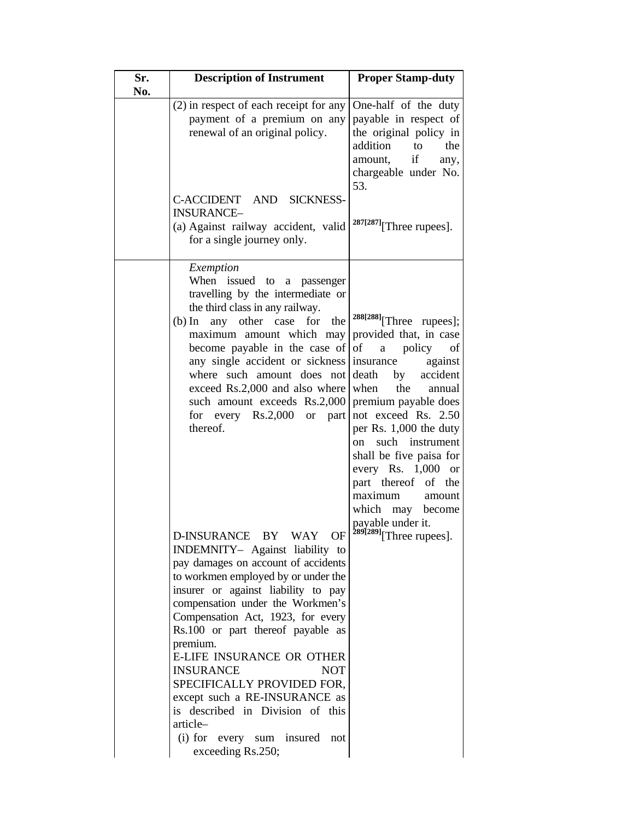| Sr.<br>No. | <b>Description of Instrument</b>                                                                                                                                                                                                                                                                                                                                                                                                                                                                                                                                                                                                                                                                                                                | <b>Proper Stamp-duty</b>                                                                                                                                                                                                                                                                                                                                                                                                       |
|------------|-------------------------------------------------------------------------------------------------------------------------------------------------------------------------------------------------------------------------------------------------------------------------------------------------------------------------------------------------------------------------------------------------------------------------------------------------------------------------------------------------------------------------------------------------------------------------------------------------------------------------------------------------------------------------------------------------------------------------------------------------|--------------------------------------------------------------------------------------------------------------------------------------------------------------------------------------------------------------------------------------------------------------------------------------------------------------------------------------------------------------------------------------------------------------------------------|
|            | $(2)$ in respect of each receipt for any<br>payment of a premium on any<br>renewal of an original policy.                                                                                                                                                                                                                                                                                                                                                                                                                                                                                                                                                                                                                                       | One-half of the duty<br>payable in respect of<br>the original policy in<br>addition<br>the<br>to<br>if<br>amount,<br>any,<br>chargeable under No.<br>53.                                                                                                                                                                                                                                                                       |
|            | C-ACCIDENT AND SICKNESS-<br><b>INSURANCE-</b><br>(a) Against railway accident, valid<br>for a single journey only.                                                                                                                                                                                                                                                                                                                                                                                                                                                                                                                                                                                                                              | $287[287]$ [Three rupees].                                                                                                                                                                                                                                                                                                                                                                                                     |
|            | Exemption<br>When<br>issued to a passenger<br>travelling by the intermediate or<br>the third class in any railway.<br>(b) In any other case for<br>the<br>maximum amount which may<br>become payable in the case of<br>any single accident or sickness<br>where such amount does not<br>exceed Rs.2,000 and also where<br>such amount exceeds Rs.2,000<br>for every $Rs.2,000$<br>or $part$<br>thereof.<br>D-INSURANCE BY WAY OF<br>INDEMNITY- Against liability to<br>pay damages on account of accidents<br>to workmen employed by or under the<br>insurer or against liability to pay<br>compensation under the Workmen's<br>Compensation Act, 1923, for every<br>Rs.100 or part thereof payable as<br>premium.<br>E-LIFE INSURANCE OR OTHER | 288[288] [Three rupees];<br>provided that, in case<br>of a policy<br>of<br>insurance<br>against<br>death<br>accident<br>by<br>when<br>the<br>annual<br>premium payable does<br>not exceed Rs. 2.50<br>per Rs. 1,000 the duty<br>such<br>instrument<br>on<br>shall be five paisa for<br>every Rs. $1,000$ or<br>part thereof of the<br>maximum<br>amount<br>which may become<br>payable under it.<br>$289[289]$ [Three rupees]. |
|            | <b>INSURANCE</b><br><b>NOT</b><br>SPECIFICALLY PROVIDED FOR,<br>except such a RE-INSURANCE as<br>is described in Division of this<br>article-<br>(i) for every sum insured<br>not<br>exceeding Rs.250;                                                                                                                                                                                                                                                                                                                                                                                                                                                                                                                                          |                                                                                                                                                                                                                                                                                                                                                                                                                                |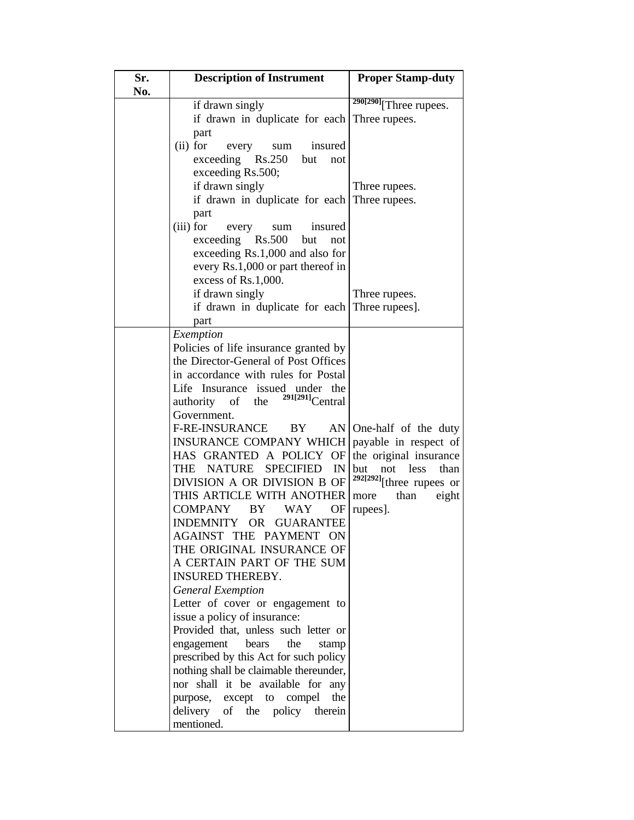| Sr.<br>No. | <b>Description of Instrument</b>              | <b>Proper Stamp-duty</b>          |
|------------|-----------------------------------------------|-----------------------------------|
|            | if drawn singly                               | $290[290]$ Three rupees.          |
|            | if drawn in duplicate for each                | Three rupees.                     |
|            | part                                          |                                   |
|            | $(ii)$ for<br>insured<br>every<br>sum         |                                   |
|            | exceeding Rs.250<br>but<br>not                |                                   |
|            | exceeding Rs.500;                             |                                   |
|            | if drawn singly                               | Three rupees.                     |
|            | if drawn in duplicate for each                | Three rupees.                     |
|            | part                                          |                                   |
|            | (iii) for<br>insured<br>every<br>sum          |                                   |
|            | exceeding Rs.500<br>but<br>not                |                                   |
|            | exceeding Rs.1,000 and also for               |                                   |
|            | every Rs.1,000 or part thereof in             |                                   |
|            | excess of Rs.1,000.                           |                                   |
|            | if drawn singly                               | Three rupees.                     |
|            | if drawn in duplicate for each Three rupees]. |                                   |
|            | part                                          |                                   |
|            | Exemption                                     |                                   |
|            | Policies of life insurance granted by         |                                   |
|            | the Director-General of Post Offices          |                                   |
|            | in accordance with rules for Postal           |                                   |
|            | Life Insurance issued under the               |                                   |
|            | $291[291]$ Central<br>authority of the        |                                   |
|            | Government.                                   |                                   |
|            | F-RE-INSURANCE<br>BY                          | $AN$ One-half of the duty         |
|            | <b>INSURANCE COMPANY WHICH</b>                | payable in respect of             |
|            | HAS GRANTED A POLICY OF                       | the original insurance            |
|            | THE NATURE<br><b>SPECIFIED</b><br>IN          | not<br><b>less</b><br>than<br>but |
|            | DIVISION A OR DIVISION B OF                   | $292[292]$ [three rupees or       |
|            | THIS ARTICLE WITH ANOTHER                     | than<br>eight<br>more             |
|            | <b>COMPANY</b><br>WAY<br>BY<br>OF             | rupees].                          |
|            | OR GUARANTEE<br>INDEMNITY                     |                                   |
|            | AGAINST THE PAYMENT ON                        |                                   |
|            | THE ORIGINAL INSURANCE OF                     |                                   |
|            | A CERTAIN PART OF THE SUM                     |                                   |
|            | <b>INSURED THEREBY.</b>                       |                                   |
|            | <b>General Exemption</b>                      |                                   |
|            | Letter of cover or engagement to              |                                   |
|            | issue a policy of insurance:                  |                                   |
|            | Provided that, unless such letter or          |                                   |
|            | bears<br>engagement<br>the<br>stamp           |                                   |
|            | prescribed by this Act for such policy        |                                   |
|            | nothing shall be claimable thereunder,        |                                   |
|            | nor shall it be available for<br>any          |                                   |
|            | compel<br>the<br>purpose, except to           |                                   |
|            | delivery<br>of the policy<br>therein          |                                   |
|            | mentioned.                                    |                                   |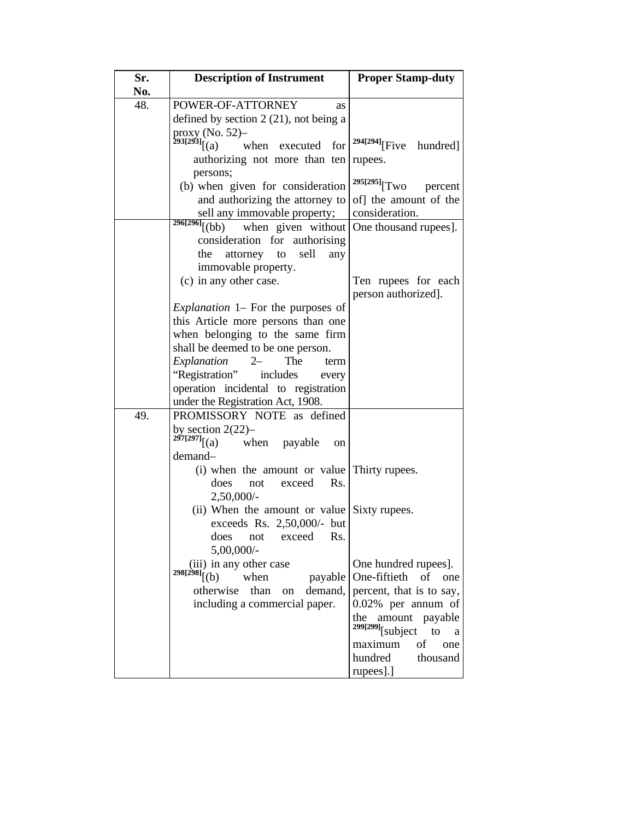| Sr.<br>No. | <b>Description of Instrument</b>                                                   | <b>Proper Stamp-duty</b>                |
|------------|------------------------------------------------------------------------------------|-----------------------------------------|
| 48.        | POWER-OF-ATTORNEY<br>as                                                            |                                         |
|            | defined by section $2(21)$ , not being a                                           |                                         |
|            |                                                                                    |                                         |
|            | proxy (No. 52)–<br>$293[293]$ [(a) w<br>when executed<br>for                       | <sup>294[294]</sup> [Five<br>hundred]   |
|            | authorizing not more than ten                                                      | rupees.                                 |
|            | persons;                                                                           |                                         |
|            | (b) when given for consideration                                                   | $^{295[295]}$ [Two<br>percent           |
|            | and authorizing the attorney to                                                    | of] the amount of the                   |
|            | sell any immovable property;<br>$296[296]$ <sup>[</sup> (bb)<br>when given without | consideration.<br>One thousand rupees]. |
|            | consideration for authorising                                                      |                                         |
|            | sell<br>attorney to<br>the<br>any                                                  |                                         |
|            | immovable property.                                                                |                                         |
|            | (c) in any other case.                                                             | Ten rupees for each                     |
|            |                                                                                    | person authorized].                     |
|            | <i>Explanation</i> 1– For the purposes of                                          |                                         |
|            | this Article more persons than one                                                 |                                         |
|            | when belonging to the same firm                                                    |                                         |
|            | shall be deemed to be one person.                                                  |                                         |
|            | Explanation<br>The<br>$2-$<br>term                                                 |                                         |
|            | "Registration"<br>includes<br>every                                                |                                         |
|            | operation incidental to registration<br>under the Registration Act, 1908.          |                                         |
| 49.        | PROMISSORY NOTE as defined                                                         |                                         |
|            |                                                                                    |                                         |
|            | by section 2(22)-<br>297[297] <sub>[(a)</sub> wh<br>when payable<br>(a)<br>on      |                                         |
|            | demand-                                                                            |                                         |
|            | (i) when the amount or value Thirty rupees.                                        |                                         |
|            | does<br>exceed<br>Rs.<br>not                                                       |                                         |
|            | 2,50,000/-                                                                         |                                         |
|            | (ii) When the amount or value Sixty rupees.                                        |                                         |
|            | exceeds Rs. 2,50,000/- but<br>does<br>Rs.                                          |                                         |
|            | exceed<br>not<br>5,00,000/-                                                        |                                         |
|            | (iii) in any other case                                                            | One hundred rupees].                    |
|            | $298[298]$ [(b)<br>when<br>payable                                                 | One-fiftieth of<br>one                  |
|            | otherwise<br>than<br>demand,<br>on                                                 | percent, that is to say,                |
|            | including a commercial paper.                                                      | 0.02% per annum of                      |
|            |                                                                                    | amount payable<br>the                   |
|            |                                                                                    | $299[299]$ [subject to<br>a             |
|            |                                                                                    | maximum<br>of<br>one                    |
|            |                                                                                    | hundred<br>thousand                     |
|            |                                                                                    | rupees].]                               |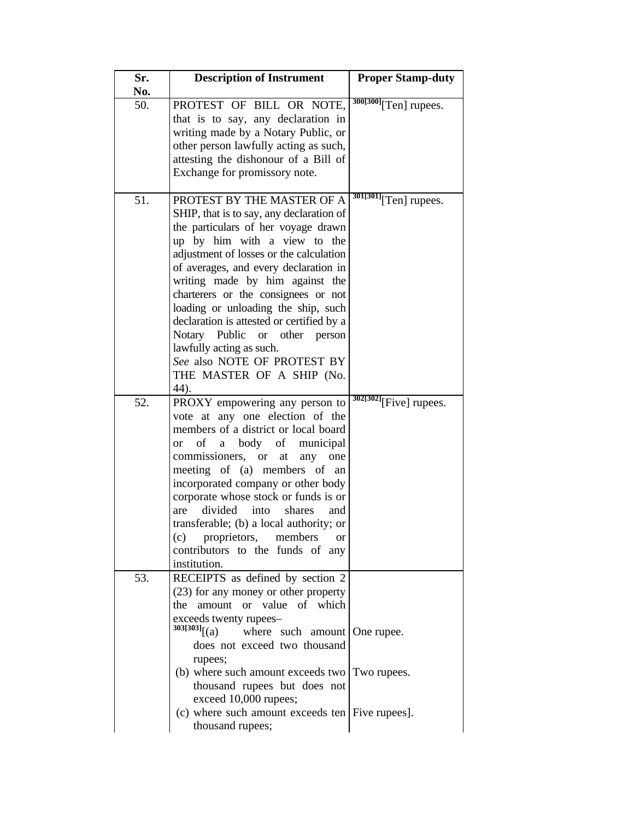| Sr. | <b>Description of Instrument</b>                    | <b>Proper Stamp-duty</b>                 |
|-----|-----------------------------------------------------|------------------------------------------|
| No. |                                                     |                                          |
| 50. | PROTEST OF BILL OR NOTE,                            | $\sqrt[300[300]{\text{Ten}}}$ rupees.    |
|     | that is to say, any declaration in                  |                                          |
|     | writing made by a Notary Public, or                 |                                          |
|     | other person lawfully acting as such,               |                                          |
|     | attesting the dishonour of a Bill of                |                                          |
|     | Exchange for promissory note.                       |                                          |
|     |                                                     |                                          |
| 51. | PROTEST BY THE MASTER OF A                          | $\frac{301[301]}{[Ten]}$ rupees.         |
|     | SHIP, that is to say, any declaration of            |                                          |
|     |                                                     |                                          |
|     | the particulars of her voyage drawn                 |                                          |
|     | up by him with a view to the                        |                                          |
|     | adjustment of losses or the calculation             |                                          |
|     | of averages, and every declaration in               |                                          |
|     | writing made by him against the                     |                                          |
|     | charterers or the consignees or not                 |                                          |
|     | loading or unloading the ship, such                 |                                          |
|     | declaration is attested or certified by a           |                                          |
|     | Notary Public or other<br>person                    |                                          |
|     | lawfully acting as such.                            |                                          |
|     | See also NOTE OF PROTEST BY                         |                                          |
|     | THE MASTER OF A SHIP (No.                           |                                          |
|     | 44).                                                |                                          |
| 52. | PROXY empowering any person to                      | $\frac{302[302]}{[\text{Five}]}$ rupees. |
|     | vote at any one election of the                     |                                          |
|     | members of a district or local board                |                                          |
|     | body<br>οf<br>of<br>municipal<br>a<br><sub>or</sub> |                                          |
|     | commissioners, or<br>at<br>any one                  |                                          |
|     | meeting of (a) members of an                        |                                          |
|     | incorporated company or other body                  |                                          |
|     | corporate whose stock or funds is or                |                                          |
|     | divided                                             |                                          |
|     | are<br>into<br>shares<br>and                        |                                          |
|     | transferable; (b) a local authority; or             |                                          |
|     | proprietors,<br>(c)<br>members<br><sub>or</sub>     |                                          |
|     | contributors to the funds of<br>any                 |                                          |
|     | institution.                                        |                                          |
| 53. | RECEIPTS as defined by section 2                    |                                          |
|     | (23) for any money or other property                |                                          |
|     | amount or value of which<br>the                     |                                          |
|     | exceeds twenty rupees-                              |                                          |
|     | $303[303]$ [(a)<br>where such amount   One rupee.   |                                          |
|     | does not exceed two thousand                        |                                          |
|     | rupees;                                             |                                          |
|     | (b) where such amount exceeds two Two rupees.       |                                          |
|     | thousand rupees but does not                        |                                          |
|     | exceed 10,000 rupees;                               |                                          |
|     | (c) where such amount exceeds ten Five rupees.      |                                          |
|     | thousand rupees;                                    |                                          |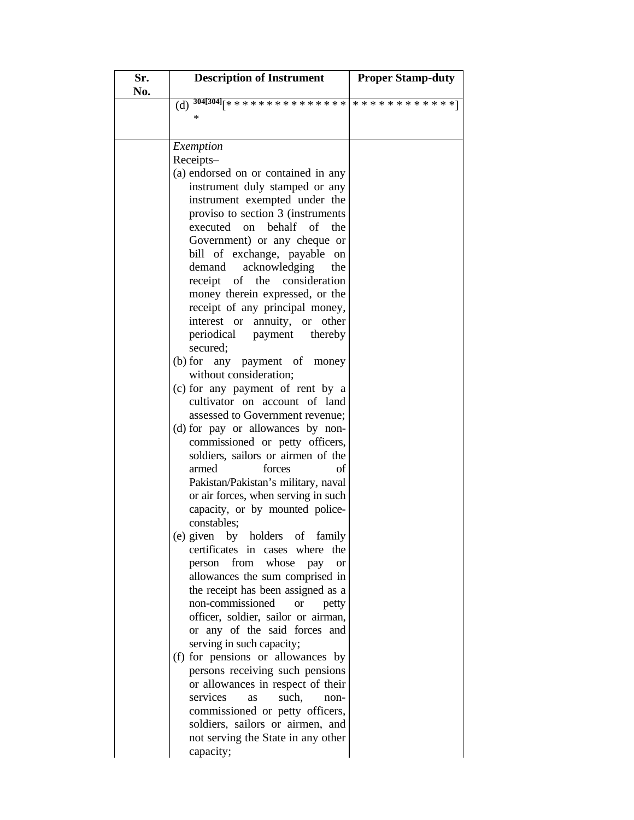| Sr.<br>No. | <b>Description of Instrument</b>                                     | <b>Proper Stamp-duty</b> |
|------------|----------------------------------------------------------------------|--------------------------|
|            | $\overline{(d)}$ 304[304] <sub>[****************************]</sub>  |                          |
|            | *                                                                    |                          |
|            |                                                                      |                          |
|            | Exemption                                                            |                          |
|            | Receipts-                                                            |                          |
|            | (a) endorsed on or contained in any                                  |                          |
|            | instrument duly stamped or any                                       |                          |
|            | instrument exempted under the<br>proviso to section 3 (instruments   |                          |
|            | executed on behalf of<br>the                                         |                          |
|            | Government) or any cheque or                                         |                          |
|            | bill of exchange, payable on                                         |                          |
|            | demand acknowledging<br>the                                          |                          |
|            | receipt of the consideration                                         |                          |
|            | money therein expressed, or the                                      |                          |
|            | receipt of any principal money,                                      |                          |
|            | interest or annuity, or other                                        |                          |
|            | periodical payment thereby                                           |                          |
|            | secured;                                                             |                          |
|            | (b) for any payment of money<br>without consideration;               |                          |
|            | (c) for any payment of rent by a                                     |                          |
|            | cultivator on account of land                                        |                          |
|            | assessed to Government revenue;                                      |                          |
|            | (d) for pay or allowances by non-                                    |                          |
|            | commissioned or petty officers,                                      |                          |
|            | soldiers, sailors or airmen of the                                   |                          |
|            | forces<br>armed<br>of                                                |                          |
|            | Pakistan/Pakistan's military, naval                                  |                          |
|            | or air forces, when serving in such                                  |                          |
|            | capacity, or by mounted police-<br>constables;                       |                          |
|            | (e) given by holders of family                                       |                          |
|            | certificates in cases where<br>the                                   |                          |
|            | whose<br>from<br>person<br>pay<br><b>or</b>                          |                          |
|            | allowances the sum comprised in                                      |                          |
|            | the receipt has been assigned as a                                   |                          |
|            | non-commissioned<br><b>or</b><br>petty                               |                          |
|            | officer, soldier, sailor or airman,                                  |                          |
|            | or any of the said forces and                                        |                          |
|            | serving in such capacity;                                            |                          |
|            | (f) for pensions or allowances by<br>persons receiving such pensions |                          |
|            | or allowances in respect of their                                    |                          |
|            | services<br>such,<br>as<br>non-                                      |                          |
|            | commissioned or petty officers,                                      |                          |
|            | soldiers, sailors or airmen, and                                     |                          |
|            | not serving the State in any other                                   |                          |
|            | capacity;                                                            |                          |
|            |                                                                      |                          |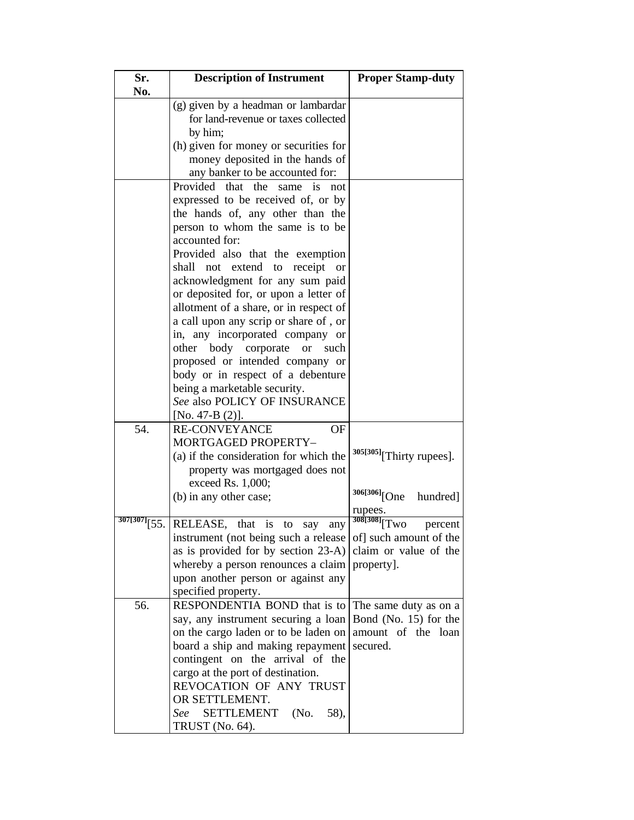| Sr.<br>No.      | <b>Description of Instrument</b>                | <b>Proper Stamp-duty</b>             |
|-----------------|-------------------------------------------------|--------------------------------------|
|                 | (g) given by a headman or lambardar             |                                      |
|                 | for land-revenue or taxes collected             |                                      |
|                 | by him;                                         |                                      |
|                 | (h) given for money or securities for           |                                      |
|                 | money deposited in the hands of                 |                                      |
|                 | any banker to be accounted for:                 |                                      |
|                 | Provided that the<br>is<br>same<br>not          |                                      |
|                 | expressed to be received of, or by              |                                      |
|                 | the hands of, any other than the                |                                      |
|                 | person to whom the same is to be                |                                      |
|                 | accounted for:                                  |                                      |
|                 | Provided also that the exemption                |                                      |
|                 | shall<br>not extend to receipt<br><sub>or</sub> |                                      |
|                 | acknowledgment for any sum paid                 |                                      |
|                 | or deposited for, or upon a letter of           |                                      |
|                 | allotment of a share, or in respect of          |                                      |
|                 | a call upon any scrip or share of, or           |                                      |
|                 | in, any incorporated company or                 |                                      |
|                 | other body corporate<br><b>or</b><br>such       |                                      |
|                 | proposed or intended company or                 |                                      |
|                 | body or in respect of a debenture               |                                      |
|                 | being a marketable security.                    |                                      |
|                 | See also POLICY OF INSURANCE                    |                                      |
|                 | [No. 47-B $(2)$ ].                              |                                      |
| 54.             | <b>RE-CONVEYANCE</b><br>OF                      |                                      |
|                 | <b>MORTGAGED PROPERTY-</b>                      |                                      |
|                 | (a) if the consideration for which the          | 305[305] <sub>[Thirty rupees].</sub> |
|                 | property was mortgaged does not                 |                                      |
|                 | exceed Rs. 1,000;                               | 306[306] <sub>[One</sub><br>hundred] |
|                 | (b) in any other case;                          | rupees.                              |
| $307[307]$ [55. | RELEASE, that<br>is<br>to<br>say<br>any         | 308[308] <sub>[Two</sub><br>percent  |
|                 | instrument (not being such a release            | of] such amount of the               |
|                 | as is provided for by section 23-A)             | claim or value of the                |
|                 | whereby a person renounces a claim              | property].                           |
|                 | upon another person or against any              |                                      |
|                 | specified property.                             |                                      |
| 56.             | RESPONDENTIA BOND that is to                    | The same duty as on a                |
|                 | say, any instrument securing a loan             | Bond (No. 15) for the                |
|                 | on the cargo laden or to be laden on            | amount of the loan                   |
|                 | board a ship and making repayment               | secured.                             |
|                 | contingent on the arrival of the                |                                      |
|                 | cargo at the port of destination.               |                                      |
|                 | REVOCATION OF ANY TRUST                         |                                      |
|                 | OR SETTLEMENT.                                  |                                      |
|                 | See<br><b>SETTLEMENT</b><br>58),<br>(No.        |                                      |
|                 | TRUST (No. 64).                                 |                                      |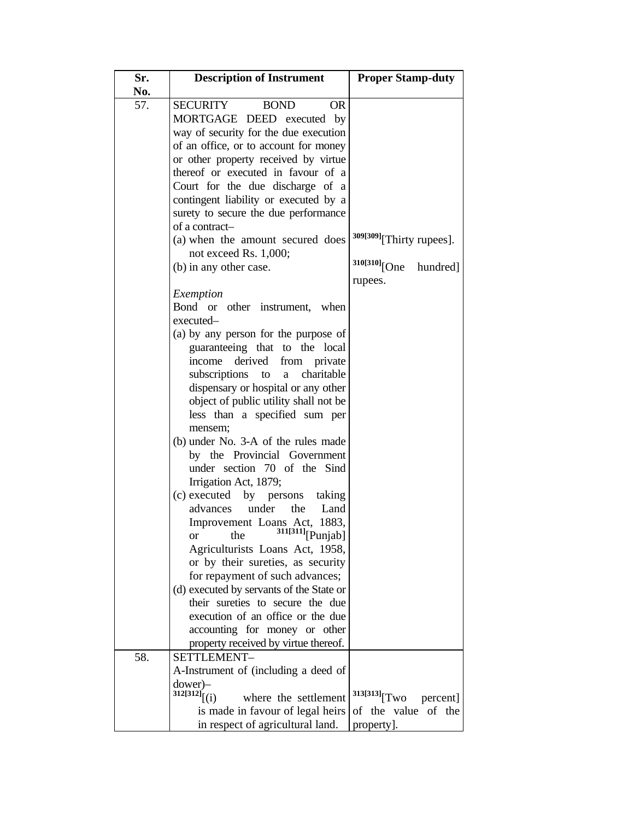| Sr.<br>No. | <b>Description of Instrument</b>                                                                                                                                                                                                                                                                                                                                                                                                                                                                                                                                                                                                                                                                                                                                                                                                                     | <b>Proper Stamp-duty</b>                                                     |
|------------|------------------------------------------------------------------------------------------------------------------------------------------------------------------------------------------------------------------------------------------------------------------------------------------------------------------------------------------------------------------------------------------------------------------------------------------------------------------------------------------------------------------------------------------------------------------------------------------------------------------------------------------------------------------------------------------------------------------------------------------------------------------------------------------------------------------------------------------------------|------------------------------------------------------------------------------|
| 57.        | SECURITY<br><b>BOND</b><br><b>OR</b><br>MORTGAGE DEED executed by<br>way of security for the due execution<br>of an office, or to account for money<br>or other property received by virtue<br>thereof or executed in favour of a<br>Court for the due discharge of a<br>contingent liability or executed by a<br>surety to secure the due performance<br>of a contract-<br>(a) when the amount secured does                                                                                                                                                                                                                                                                                                                                                                                                                                         | 309[309] [Thirty rupees].                                                    |
|            | not exceed Rs. 1,000;<br>(b) in any other case.                                                                                                                                                                                                                                                                                                                                                                                                                                                                                                                                                                                                                                                                                                                                                                                                      | $310[310]$ [One hundred]<br>rupees.                                          |
|            | Exemption<br>Bond or other instrument, when<br>executed-<br>(a) by any person for the purpose of<br>guaranteeing that to the local<br>income derived<br>from private<br>subscriptions<br>charitable<br>to<br>a<br>dispensary or hospital or any other<br>object of public utility shall not be<br>less than a specified sum per<br>mensem;<br>(b) under No. 3-A of the rules made<br>by the Provincial Government<br>under section 70 of the Sind<br>Irrigation Act, 1879;<br>(c) executed by persons taking<br>under<br>the<br>Land<br>advances<br>Improvement Loans Act, 1883,<br>the $^{311[311]}$ [Punjab]<br>or<br>Agriculturists Loans Act, 1958,<br>or by their sureties, as security<br>for repayment of such advances;<br>(d) executed by servants of the State or<br>their sureties to secure the due<br>execution of an office or the due |                                                                              |
|            | accounting for money or other<br>property received by virtue thereof.                                                                                                                                                                                                                                                                                                                                                                                                                                                                                                                                                                                                                                                                                                                                                                                |                                                                              |
| 58.        | SETTLEMENT-<br>A-Instrument of (including a deed of<br>$downer$ ) $-$<br>$312[312]$ [(i)<br>where the settlement<br>is made in favour of legal heirs<br>in respect of agricultural land.                                                                                                                                                                                                                                                                                                                                                                                                                                                                                                                                                                                                                                                             | $313[313]\sqrt{\text{Two}}$<br>percent]<br>of the value of the<br>property]. |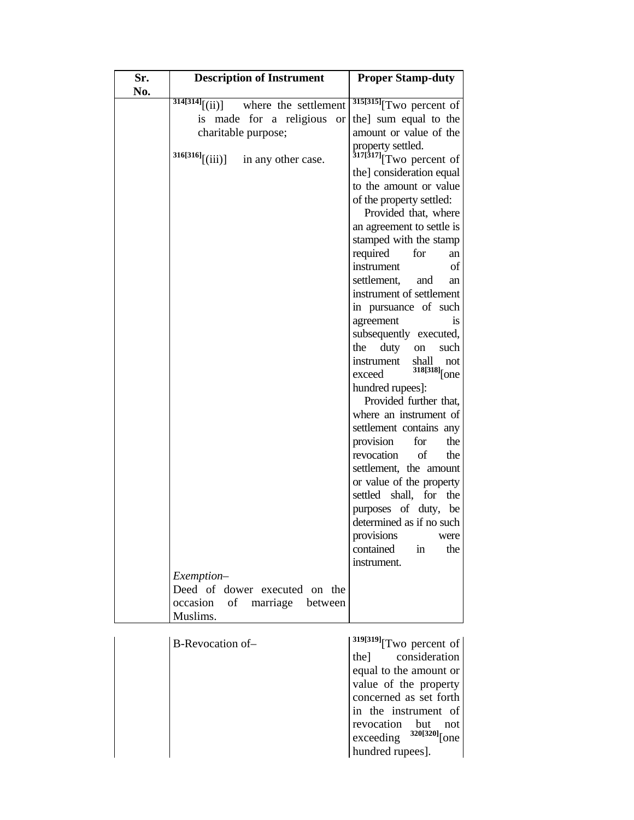| Sr.<br>No. | <b>Description of Instrument</b>                       | <b>Proper Stamp-duty</b>                                 |
|------------|--------------------------------------------------------|----------------------------------------------------------|
|            | $\overline{314[314]}$ $[(ii)]$<br>where the settlement | $\frac{315[315]}{T}$ wo percent of                       |
|            | is made for a religious<br><b>or</b>                   | the] sum equal to the                                    |
|            | charitable purpose;                                    | amount or value of the                                   |
|            |                                                        | property settled.                                        |
|            | $316[316]$ [(iii)]<br>in any other case.               | $\frac{317[317]}{Tw0}$ percent of                        |
|            |                                                        | the] consideration equal                                 |
|            |                                                        | to the amount or value                                   |
|            |                                                        | of the property settled:                                 |
|            |                                                        | Provided that, where                                     |
|            |                                                        | an agreement to settle is                                |
|            |                                                        | stamped with the stamp                                   |
|            |                                                        | required<br>for<br>an                                    |
|            |                                                        | instrument<br>οf                                         |
|            |                                                        | settlement,<br>and<br>an                                 |
|            |                                                        | instrument of settlement                                 |
|            |                                                        | in pursuance of such                                     |
|            |                                                        | agreement<br>1S<br>subsequently executed,                |
|            |                                                        | the<br>duty<br>such<br>on                                |
|            |                                                        | instrument<br>shall<br>not                               |
|            |                                                        | $318[318]$ [one<br>exceed                                |
|            |                                                        | hundred rupees]:                                         |
|            |                                                        | Provided further that,                                   |
|            |                                                        | where an instrument of                                   |
|            |                                                        | settlement contains any                                  |
|            |                                                        | provision<br>the<br>for                                  |
|            |                                                        | revocation<br>of<br>the                                  |
|            |                                                        | settlement, the amount                                   |
|            |                                                        | or value of the property<br>settled shall,<br>the<br>for |
|            |                                                        |                                                          |
|            |                                                        | purposes of duty,<br>be<br>determined as if no such      |
|            |                                                        | provisions<br>were                                       |
|            |                                                        | contained<br>$\operatorname{in}$<br>the                  |
|            |                                                        | instrument.                                              |
|            | Exemption-                                             |                                                          |
|            | Deed of dower executed on the                          |                                                          |
|            | occasion<br>of marriage<br>between                     |                                                          |
|            | Muslims.                                               |                                                          |
|            |                                                        |                                                          |
|            | B-Revocation of-                                       | $319[319]$ <sup>T</sup> wo percent of<br>consideration   |
|            |                                                        | the]<br>equal to the amount or                           |
|            |                                                        | value of the property                                    |
|            |                                                        | concerned as set forth                                   |
|            |                                                        | in the instrument of                                     |
|            |                                                        | revocation but<br>not                                    |
|            |                                                        | $exceeding$ $320[320]$ [one                              |
|            |                                                        | hundred rupees].                                         |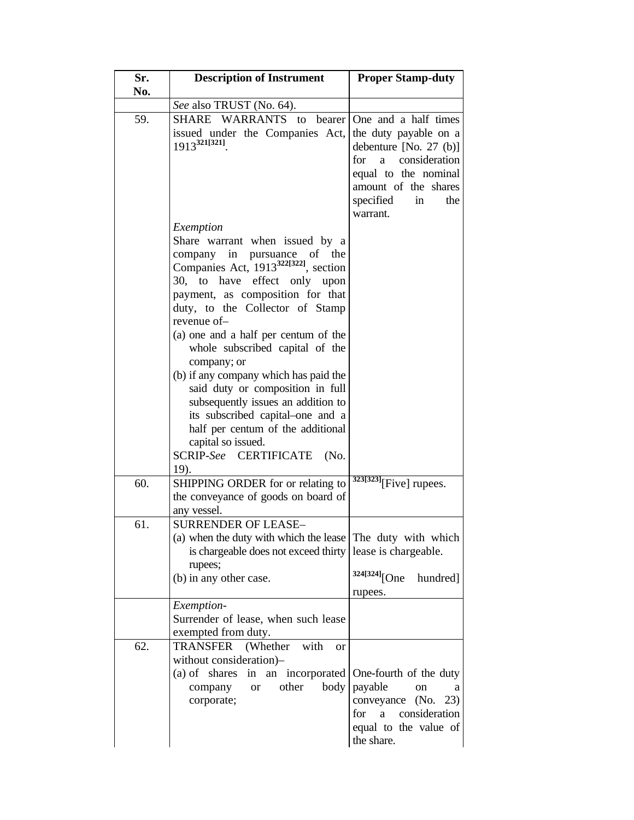| Sr.<br>No. | <b>Description of Instrument</b>                                                                                                                                                                                                                                                                                                                                                                                                                                                                                                                                                                                         | <b>Proper Stamp-duty</b>                                                                                                                                                               |
|------------|--------------------------------------------------------------------------------------------------------------------------------------------------------------------------------------------------------------------------------------------------------------------------------------------------------------------------------------------------------------------------------------------------------------------------------------------------------------------------------------------------------------------------------------------------------------------------------------------------------------------------|----------------------------------------------------------------------------------------------------------------------------------------------------------------------------------------|
|            | See also TRUST (No. 64).                                                                                                                                                                                                                                                                                                                                                                                                                                                                                                                                                                                                 |                                                                                                                                                                                        |
| 59.        | WARRANTS to<br><b>SHARE</b><br>bearer<br>issued under the Companies Act,<br>$1913^{321[321]}$                                                                                                                                                                                                                                                                                                                                                                                                                                                                                                                            | One and a half times<br>the duty payable on a<br>debenture $[No. 27 (b)]$<br>for a consideration<br>equal to the nominal<br>amount of the shares<br>specified<br>in<br>the<br>warrant. |
|            | Exemption<br>Share warrant when issued by a<br>company in<br>pursuance<br>of the<br>Companies Act, 1913 <sup>322[322]</sup> , section<br>effect only upon<br>30, to<br>have<br>payment, as composition for that<br>duty, to the Collector of Stamp<br>revenue of-<br>(a) one and a half per centum of the<br>whole subscribed capital of the<br>company; or<br>(b) if any company which has paid the<br>said duty or composition in full<br>subsequently issues an addition to<br>its subscribed capital-one and a<br>half per centum of the additional<br>capital so issued.<br><b>CERTIFICATE</b><br>SCRIP-See<br>(No. |                                                                                                                                                                                        |
| 60.        | 19).<br>SHIPPING ORDER for or relating to<br>the conveyance of goods on board of<br>any vessel.                                                                                                                                                                                                                                                                                                                                                                                                                                                                                                                          | $323[323]$ [Five] rupees.                                                                                                                                                              |
| 61.        | <b>SURRENDER OF LEASE-</b><br>(a) when the duty with which the lease<br>is chargeable does not exceed thirty<br>rupees;<br>(b) in any other case.                                                                                                                                                                                                                                                                                                                                                                                                                                                                        | The duty with which<br>lease is chargeable.<br>324[324] <sub>[One</sub><br>hundred]<br>rupees.                                                                                         |
|            | Exemption-<br>Surrender of lease, when such lease<br>exempted from duty.                                                                                                                                                                                                                                                                                                                                                                                                                                                                                                                                                 |                                                                                                                                                                                        |
| 62.        | <b>TRANSFER</b><br>(Whether)<br>with<br><b>or</b><br>without consideration)-<br>an incorporated<br>(a) of shares<br>in<br>other<br>body<br>company<br><b>or</b><br>corporate;                                                                                                                                                                                                                                                                                                                                                                                                                                            | One-fourth of the duty<br>payable<br>on<br>a<br>conveyance<br>(No.<br>23)<br>consideration<br>a<br>for<br>equal to the value of<br>the share.                                          |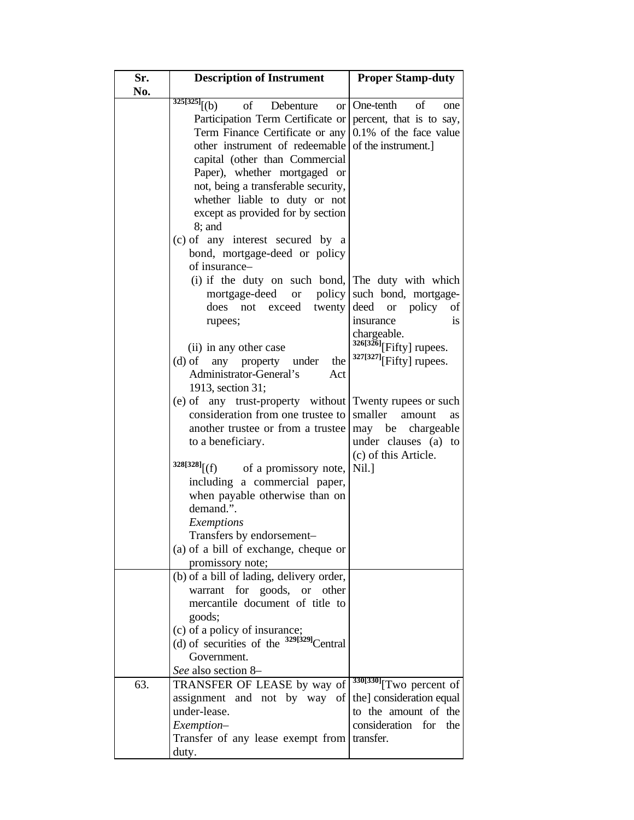| Sr. | <b>Description of Instrument</b>                                                                                                                                                                                                                                                                                                                                                                                                                                                  | <b>Proper Stamp-duty</b>                                                                                                                                           |
|-----|-----------------------------------------------------------------------------------------------------------------------------------------------------------------------------------------------------------------------------------------------------------------------------------------------------------------------------------------------------------------------------------------------------------------------------------------------------------------------------------|--------------------------------------------------------------------------------------------------------------------------------------------------------------------|
| No. |                                                                                                                                                                                                                                                                                                                                                                                                                                                                                   |                                                                                                                                                                    |
|     | $325[325]$ <sup>(b)</sup><br>$\sigma$<br>Debenture<br>or l<br>Participation Term Certificate or percent, that is to say,<br>Term Finance Certificate or any<br>other instrument of redeemable of the instrument.<br>capital (other than Commercial<br>Paper), whether mortgaged or<br>not, being a transferable security,<br>whether liable to duty or not<br>except as provided for by section<br>$8$ ; and<br>(c) of any interest secured by a<br>bond, mortgage-deed or policy | One-tenth<br>of<br>one<br>0.1% of the face value                                                                                                                   |
|     | of insurance-<br>(i) if the duty on such bond, The duty with which<br>mortgage-deed<br>or<br>policy  <br>does<br>exceed<br>twenty<br>not<br>rupees;<br>(ii) in any other case<br>(d) of any property under<br>the<br>Administrator-General's<br>Act<br>1913, section 31;                                                                                                                                                                                                          | such bond, mortgage-<br>policy<br>deed<br><b>or</b><br>of<br>insurance<br><sup>is</sup><br>chargeable.<br>$326[326]$ [Fifty] rupees.<br>$327[327]$ [Fifty] rupees. |
|     | (e) of any trust-property without Twenty rupees or such<br>consideration from one trustee to<br>another trustee or from a trustee<br>to a beneficiary.<br>$328[328]$ [(f)<br>of a promissory note,                                                                                                                                                                                                                                                                                | smaller<br>amount<br><b>as</b><br>may be chargeable<br>under clauses (a)<br>to<br>(c) of this Article.<br>Nil.]                                                    |
|     | including a commercial paper,<br>when payable otherwise than on<br>demand.".<br><b>Exemptions</b><br>Transfers by endorsement-<br>(a) of a bill of exchange, cheque or<br>promissory note;                                                                                                                                                                                                                                                                                        |                                                                                                                                                                    |
|     | (b) of a bill of lading, delivery order,<br>warrant for goods, or other<br>mercantile document of title to<br>goods;<br>(c) of a policy of insurance;<br>(d) of securities of the $329[329]$ Central<br>Government.                                                                                                                                                                                                                                                               |                                                                                                                                                                    |
| 63. | See also section 8–<br>TRANSFER OF LEASE by way of<br>assignment and not by way of<br>under-lease.<br>Exemption-<br>Transfer of any lease exempt from transfer.<br>duty.                                                                                                                                                                                                                                                                                                          | $330[330]$ <sup>T</sup> WO percent of<br>the] consideration equal<br>to the amount of the<br>consideration for the                                                 |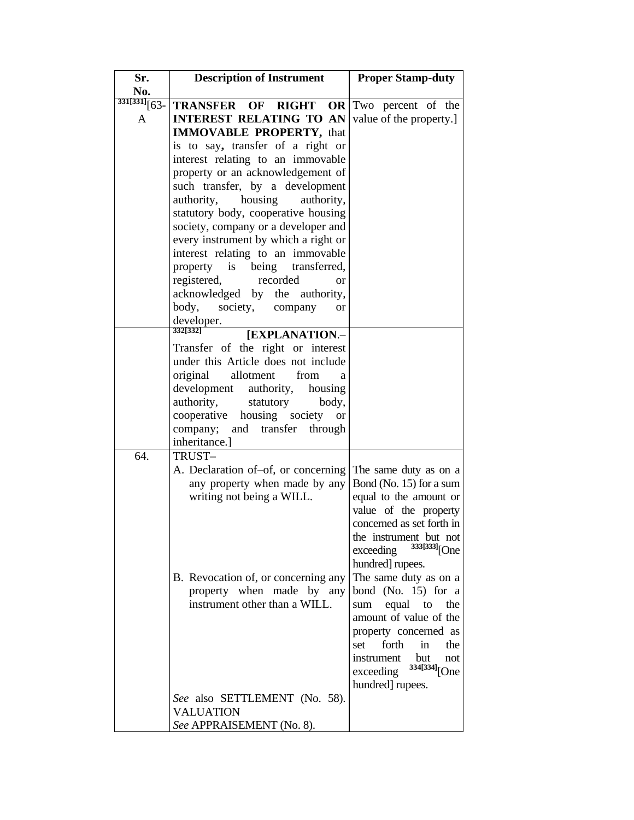| Sr.                     | <b>Description of Instrument</b>               | <b>Proper Stamp-duty</b>              |
|-------------------------|------------------------------------------------|---------------------------------------|
| No.                     |                                                |                                       |
| $\frac{331[331]}{63}$ - | <b>TRANSFER OF RIGHT OR Two percent of the</b> |                                       |
| A                       | <b>INTEREST RELATING TO AN</b>                 | value of the property.]               |
|                         | <b>IMMOVABLE PROPERTY, that</b>                |                                       |
|                         | is to say, transfer of a right or              |                                       |
|                         | interest relating to an immovable              |                                       |
|                         | property or an acknowledgement of              |                                       |
|                         | such transfer, by a development                |                                       |
|                         | authority,<br>housing<br>authority,            |                                       |
|                         | statutory body, cooperative housing            |                                       |
|                         | society, company or a developer and            |                                       |
|                         | every instrument by which a right or           |                                       |
|                         | interest relating to an immovable              |                                       |
|                         | being transferred,<br>property is              |                                       |
|                         | registered,<br>recorded<br>or                  |                                       |
|                         | acknowledged by the authority,                 |                                       |
|                         | body,<br>society,<br>company<br><b>or</b>      |                                       |
|                         | developer.<br>332[332]                         |                                       |
|                         | [EXPLANATION.-                                 |                                       |
|                         | Transfer of the right or interest              |                                       |
|                         | under this Article does not include            |                                       |
|                         | allotment<br>original<br>from<br>a             |                                       |
|                         | development<br>authority, housing              |                                       |
|                         | authority,<br>statutory<br>body,               |                                       |
|                         | cooperative housing society<br><b>or</b>       |                                       |
|                         | company;<br>and transfer<br>through            |                                       |
|                         | inheritance.]                                  |                                       |
| 64.                     | TRUST-                                         |                                       |
|                         | A. Declaration of-of, or concerning            | The same duty as on a                 |
|                         | any property when made by any                  | Bond (No. 15) for a sum               |
|                         | writing not being a WILL.                      | equal to the amount or                |
|                         |                                                | value of the property                 |
|                         |                                                | concerned as set forth in             |
|                         |                                                | the instrument but not                |
|                         |                                                | 333[333] <sub>[One</sub><br>exceeding |
|                         |                                                | hundred] rupees.                      |
|                         | B. Revocation of, or concerning any            | The same duty as on a                 |
|                         | property when made by any                      | bond (No. $15$ ) for a                |
|                         | instrument other than a WILL.                  | equal<br>sum<br>to<br>the             |
|                         |                                                | amount of value of the                |
|                         |                                                | property concerned as                 |
|                         |                                                | forth<br>in<br>set<br>the             |
|                         |                                                | instrument<br>but<br>not              |
|                         |                                                | 334[334] <sub>[One</sub><br>exceeding |
|                         |                                                | hundred] rupees.                      |
|                         | See also SETTLEMENT (No. 58).                  |                                       |
|                         | <b>VALUATION</b>                               |                                       |
|                         | See APPRAISEMENT (No. 8).                      |                                       |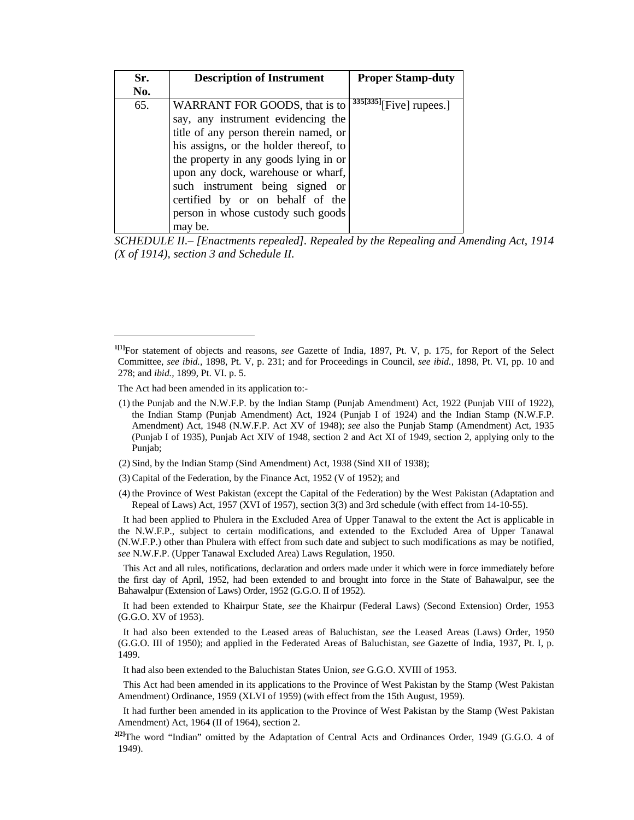| Sr. | <b>Description of Instrument</b>       | <b>Proper Stamp-duty</b>   |
|-----|----------------------------------------|----------------------------|
| No. |                                        |                            |
| 65. | WARRANT FOR GOODS, that is to          | $335[335]$ [Five] rupees.] |
|     | say, any instrument evidencing the     |                            |
|     | title of any person therein named, or  |                            |
|     | his assigns, or the holder thereof, to |                            |
|     | the property in any goods lying in or  |                            |
|     | upon any dock, warehouse or wharf,     |                            |
|     | such instrument being signed or        |                            |
|     | certified by or on behalf of the       |                            |
|     | person in whose custody such goods     |                            |
|     | may be.                                |                            |

*SCHEDULE II.– [Enactments repealed]. Repealed by the Repealing and Amending Act, 1914 (X of 1914), section 3 and Schedule II.* 

 $\overline{a}$ 

- (2) Sind, by the Indian Stamp (Sind Amendment) Act, 1938 (Sind XII of 1938);
- (3) Capital of the Federation, by the Finance Act, 1952 (V of 1952); and
- (4) the Province of West Pakistan (except the Capital of the Federation) by the West Pakistan (Adaptation and Repeal of Laws) Act, 1957 (XVI of 1957), section 3(3) and 3rd schedule (with effect from 14-10-55).

 It had been applied to Phulera in the Excluded Area of Upper Tanawal to the extent the Act is applicable in the N.W.F.P., subject to certain modifications, and extended to the Excluded Area of Upper Tanawal (N.W.F.P.) other than Phulera with effect from such date and subject to such modifications as may be notified, *see* N.W.F.P. (Upper Tanawal Excluded Area) Laws Regulation, 1950.

 This Act and all rules, notifications, declaration and orders made under it which were in force immediately before the first day of April, 1952, had been extended to and brought into force in the State of Bahawalpur, see the Bahawalpur (Extension of Laws) Order, 1952 (G.G.O. II of 1952).

 It had been extended to Khairpur State, *see* the Khairpur (Federal Laws) (Second Extension) Order, 1953 (G.G.O. XV of 1953).

 It had also been extended to the Leased areas of Baluchistan, *see* the Leased Areas (Laws) Order, 1950 (G.G.O. III of 1950); and applied in the Federated Areas of Baluchistan, *see* Gazette of India, 1937, Pt. I, p. 1499.

It had also been extended to the Baluchistan States Union, *see* G.G.O. XVIII of 1953.

 This Act had been amended in its applications to the Province of West Pakistan by the Stamp (West Pakistan Amendment) Ordinance, 1959 (XLVI of 1959) (with effect from the 15th August, 1959).

 It had further been amended in its application to the Province of West Pakistan by the Stamp (West Pakistan Amendment) Act, 1964 (II of 1964), section 2.

<sup>2[2]</sup>The word "Indian" omitted by the Adaptation of Central Acts and Ordinances Order, 1949 (G.G.O. 4 of 1949).

**<sup>1[1]</sup>**For statement of objects and reasons, *see* Gazette of India, 1897, Pt. V, p. 175, for Report of the Select Committee, *see ibid.,* 1898, Pt. V, p. 231; and for Proceedings in Council, *see ibid.,* 1898, Pt. VI, pp. 10 and 278; and *ibid.,* 1899, Pt. VI. p. 5.

The Act had been amended in its application to:-

 <sup>(1)</sup> the Punjab and the N.W.F.P. by the Indian Stamp (Punjab Amendment) Act, 1922 (Punjab VIII of 1922), the Indian Stamp (Punjab Amendment) Act, 1924 (Punjab I of 1924) and the Indian Stamp (N.W.F.P. Amendment) Act, 1948 (N.W.F.P. Act XV of 1948); *see* also the Punjab Stamp (Amendment) Act, 1935 (Punjab I of 1935), Punjab Act XIV of 1948, section 2 and Act XI of 1949, section 2, applying only to the Punjab;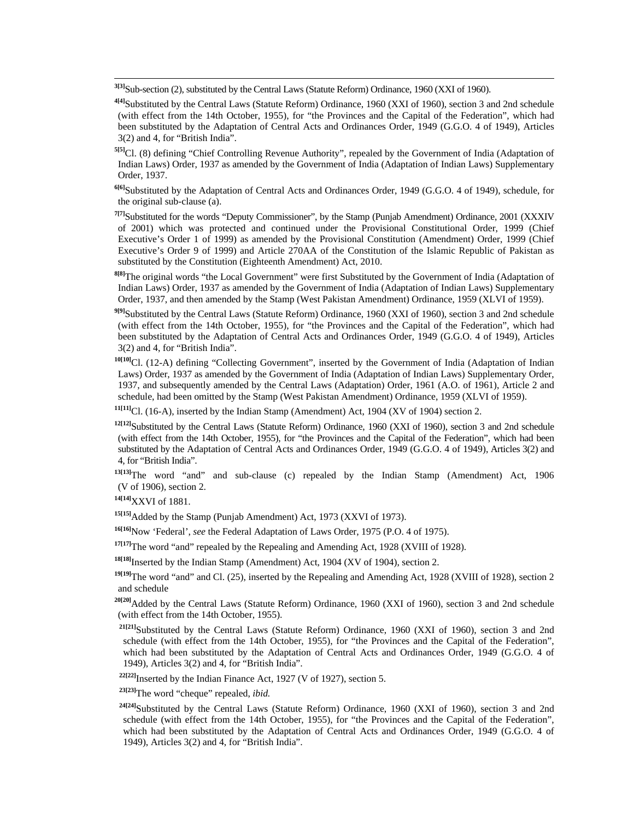**3[3]**Sub-section (2), substituted by the Central Laws (Statute Reform) Ordinance, 1960 (XXI of 1960).

**4[4]**Substituted by the Central Laws (Statute Reform) Ordinance, 1960 (XXI of 1960), section 3 and 2nd schedule (with effect from the 14th October, 1955), for "the Provinces and the Capital of the Federation", which had been substituted by the Adaptation of Central Acts and Ordinances Order, 1949 (G.G.O. 4 of 1949), Articles 3(2) and 4, for "British India".

**5[5]**Cl. (8) defining "Chief Controlling Revenue Authority", repealed by the Government of India (Adaptation of Indian Laws) Order, 1937 as amended by the Government of India (Adaptation of Indian Laws) Supplementary Order, 1937.

**6[6]**Substituted by the Adaptation of Central Acts and Ordinances Order, 1949 (G.G.O. 4 of 1949), schedule, for the original sub-clause (a).

**7[7]**Substituted for the words "Deputy Commissioner", by the Stamp (Punjab Amendment) Ordinance, 2001 (XXXIV of 2001) which was protected and continued under the Provisional Constitutional Order, 1999 (Chief Executive's Order 1 of 1999) as amended by the Provisional Constitution (Amendment) Order, 1999 (Chief Executive's Order 9 of 1999) and Article 270AA of the Constitution of the Islamic Republic of Pakistan as substituted by the Constitution (Eighteenth Amendment) Act, 2010.

**8[8]**The original words "the Local Government" were first Substituted by the Government of India (Adaptation of Indian Laws) Order, 1937 as amended by the Government of India (Adaptation of Indian Laws) Supplementary Order, 1937, and then amended by the Stamp (West Pakistan Amendment) Ordinance, 1959 (XLVI of 1959).

**9[9]**Substituted by the Central Laws (Statute Reform) Ordinance, 1960 (XXI of 1960), section 3 and 2nd schedule (with effect from the 14th October, 1955), for "the Provinces and the Capital of the Federation", which had been substituted by the Adaptation of Central Acts and Ordinances Order, 1949 (G.G.O. 4 of 1949), Articles 3(2) and 4, for "British India".

<sup>10[10]</sup>Cl. (12-A) defining "Collecting Government", inserted by the Government of India (Adaptation of Indian Laws) Order, 1937 as amended by the Government of India (Adaptation of Indian Laws) Supplementary Order, 1937, and subsequently amended by the Central Laws (Adaptation) Order, 1961 (A.O. of 1961), Article 2 and schedule, had been omitted by the Stamp (West Pakistan Amendment) Ordinance, 1959 (XLVI of 1959).

**11[11]**Cl. (16-A), inserted by the Indian Stamp (Amendment) Act, 1904 (XV of 1904) section 2.

**12[12]**Substituted by the Central Laws (Statute Reform) Ordinance, 1960 (XXI of 1960), section 3 and 2nd schedule (with effect from the 14th October, 1955), for "the Provinces and the Capital of the Federation", which had been substituted by the Adaptation of Central Acts and Ordinances Order, 1949 (G.G.O. 4 of 1949), Articles 3(2) and 4, for "British India".

**13[13]**The word "and" and sub-clause (c) repealed by the Indian Stamp (Amendment) Act, 1906 (V of 1906), section 2.

**14[14]**XXVI of 1881.

**15[15]**Added by the Stamp (Punjab Amendment) Act, 1973 (XXVI of 1973).

**16[16]**Now 'Federal', *see* the Federal Adaptation of Laws Order, 1975 (P.O. 4 of 1975).

**17[17]**The word "and" repealed by the Repealing and Amending Act, 1928 (XVIII of 1928).

**18[18]**Inserted by the Indian Stamp (Amendment) Act, 1904 (XV of 1904), section 2.

**19[19]**The word "and" and Cl. (25), inserted by the Repealing and Amending Act, 1928 (XVIII of 1928), section 2 and schedule

**20[20]**Added by the Central Laws (Statute Reform) Ordinance, 1960 (XXI of 1960), section 3 and 2nd schedule (with effect from the 14th October, 1955).

 **21[21]**Substituted by the Central Laws (Statute Reform) Ordinance, 1960 (XXI of 1960), section 3 and 2nd schedule (with effect from the 14th October, 1955), for "the Provinces and the Capital of the Federation", which had been substituted by the Adaptation of Central Acts and Ordinances Order, 1949 (G.G.O. 4 of 1949), Articles 3(2) and 4, for "British India".

<sup>22[22]</sup>Inserted by the Indian Finance Act, 1927 (V of 1927), section 5.

**23[23]**The word "cheque" repealed, *ibid.*

 **24[24]**Substituted by the Central Laws (Statute Reform) Ordinance, 1960 (XXI of 1960), section 3 and 2nd schedule (with effect from the 14th October, 1955), for "the Provinces and the Capital of the Federation", which had been substituted by the Adaptation of Central Acts and Ordinances Order, 1949 (G.G.O. 4 of 1949), Articles 3(2) and 4, for "British India".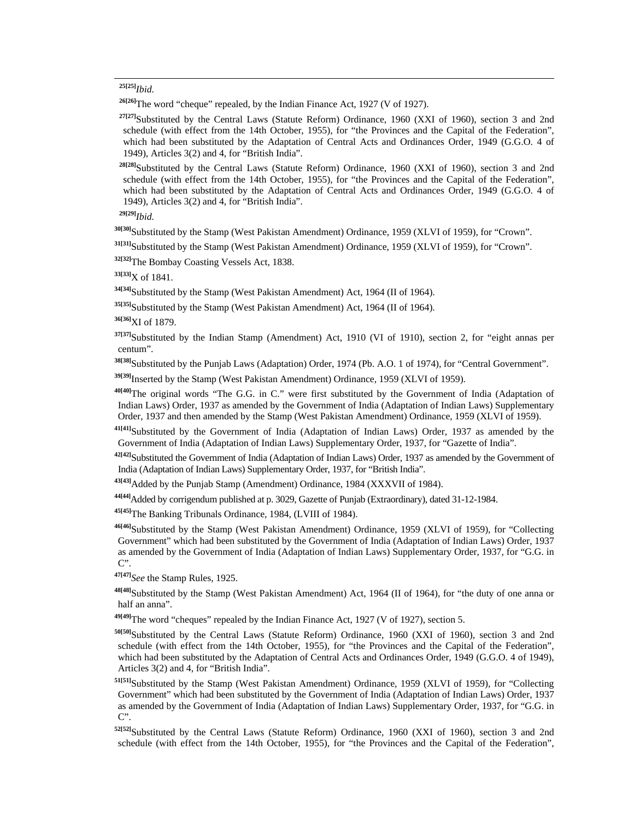#### **25[25]***Ibid.*

**26[26]**The word "cheque" repealed, by the Indian Finance Act, 1927 (V of 1927).

<sup>27[27]</sup>Substituted by the Central Laws (Statute Reform) Ordinance, 1960 (XXI of 1960), section 3 and 2nd schedule (with effect from the 14th October, 1955), for "the Provinces and the Capital of the Federation", which had been substituted by the Adaptation of Central Acts and Ordinances Order, 1949 (G.G.O. 4 of 1949), Articles 3(2) and 4, for "British India".

 **28[28]**Substituted by the Central Laws (Statute Reform) Ordinance, 1960 (XXI of 1960), section 3 and 2nd schedule (with effect from the 14th October, 1955), for "the Provinces and the Capital of the Federation", which had been substituted by the Adaptation of Central Acts and Ordinances Order, 1949 (G.G.O. 4 of 1949), Articles 3(2) and 4, for "British India".

**29[29]***Ibid.*

**30[30]**Substituted by the Stamp (West Pakistan Amendment) Ordinance, 1959 (XLVI of 1959), for "Crown".

**31[31]**Substituted by the Stamp (West Pakistan Amendment) Ordinance, 1959 (XLVI of 1959), for "Crown".

**32[32]**The Bombay Coasting Vessels Act, 1838.

**33[33]**X of 1841.

**34[34]**Substituted by the Stamp (West Pakistan Amendment) Act, 1964 (II of 1964).

**35[35]**Substituted by the Stamp (West Pakistan Amendment) Act, 1964 (II of 1964).

**36[36]**XI of 1879.

**37[37]**Substituted by the Indian Stamp (Amendment) Act, 1910 (VI of 1910), section 2, for "eight annas per centum".

**38[38]**Substituted by the Punjab Laws (Adaptation) Order, 1974 (Pb. A.O. 1 of 1974), for "Central Government".

**39[39]**Inserted by the Stamp (West Pakistan Amendment) Ordinance, 1959 (XLVI of 1959).

**40[40]**The original words "The G.G. in C." were first substituted by the Government of India (Adaptation of Indian Laws) Order, 1937 as amended by the Government of India (Adaptation of Indian Laws) Supplementary Order, 1937 and then amended by the Stamp (West Pakistan Amendment) Ordinance, 1959 (XLVI of 1959).

**41[41]**Substituted by the Government of India (Adaptation of Indian Laws) Order, 1937 as amended by the Government of India (Adaptation of Indian Laws) Supplementary Order, 1937, for "Gazette of India".

**42[42]**Substituted the Government of India (Adaptation of Indian Laws) Order, 1937 as amended by the Government of India (Adaptation of Indian Laws) Supplementary Order, 1937, for "British India".

**43[43]**Added by the Punjab Stamp (Amendment) Ordinance, 1984 (XXXVII of 1984).

**44[44]**Added by corrigendum published at p. 3029, Gazette of Punjab (Extraordinary), dated 31-12-1984.

**45[45]**The Banking Tribunals Ordinance, 1984, (LVIII of 1984).

**46[46]**Substituted by the Stamp (West Pakistan Amendment) Ordinance, 1959 (XLVI of 1959), for "Collecting Government" which had been substituted by the Government of India (Adaptation of Indian Laws) Order, 1937 as amended by the Government of India (Adaptation of Indian Laws) Supplementary Order, 1937, for "G.G. in C".

**47[47]***See* the Stamp Rules, 1925.

**48[48]**Substituted by the Stamp (West Pakistan Amendment) Act, 1964 (II of 1964), for "the duty of one anna or half an anna".

**49[49]**The word "cheques" repealed by the Indian Finance Act, 1927 (V of 1927), section 5.

**50[50]**Substituted by the Central Laws (Statute Reform) Ordinance, 1960 (XXI of 1960), section 3 and 2nd schedule (with effect from the 14th October, 1955), for "the Provinces and the Capital of the Federation", which had been substituted by the Adaptation of Central Acts and Ordinances Order, 1949 (G.G.O. 4 of 1949), Articles 3(2) and 4, for "British India".

**51[51]**Substituted by the Stamp (West Pakistan Amendment) Ordinance, 1959 (XLVI of 1959), for "Collecting Government" which had been substituted by the Government of India (Adaptation of Indian Laws) Order, 1937 as amended by the Government of India (Adaptation of Indian Laws) Supplementary Order, 1937, for "G.G. in C".

**52[52]**Substituted by the Central Laws (Statute Reform) Ordinance, 1960 (XXI of 1960), section 3 and 2nd schedule (with effect from the 14th October, 1955), for "the Provinces and the Capital of the Federation",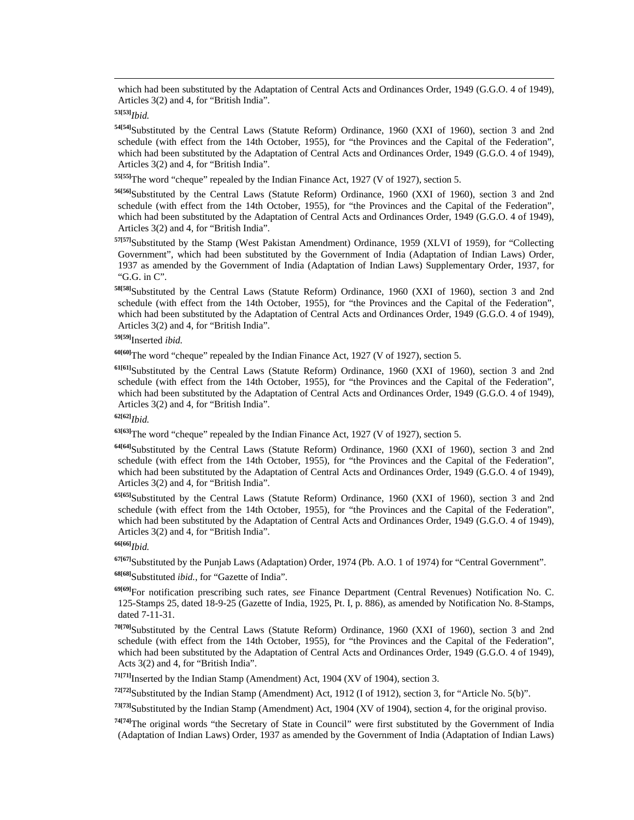which had been substituted by the Adaptation of Central Acts and Ordinances Order, 1949 (G.G.O. 4 of 1949), Articles 3(2) and 4, for "British India".

# **53[53]***Ibid.*

**54[54]**Substituted by the Central Laws (Statute Reform) Ordinance, 1960 (XXI of 1960), section 3 and 2nd schedule (with effect from the 14th October, 1955), for "the Provinces and the Capital of the Federation", which had been substituted by the Adaptation of Central Acts and Ordinances Order, 1949 (G.G.O. 4 of 1949), Articles 3(2) and 4, for "British India".

**55[55]**The word "cheque" repealed by the Indian Finance Act, 1927 (V of 1927), section 5.

**56[56]**Substituted by the Central Laws (Statute Reform) Ordinance, 1960 (XXI of 1960), section 3 and 2nd schedule (with effect from the 14th October, 1955), for "the Provinces and the Capital of the Federation", which had been substituted by the Adaptation of Central Acts and Ordinances Order, 1949 (G.G.O. 4 of 1949), Articles 3(2) and 4, for "British India".

**57[57]**Substituted by the Stamp (West Pakistan Amendment) Ordinance, 1959 (XLVI of 1959), for "Collecting Government", which had been substituted by the Government of India (Adaptation of Indian Laws) Order, 1937 as amended by the Government of India (Adaptation of Indian Laws) Supplementary Order, 1937, for "G.G. in C".

**58[58]**Substituted by the Central Laws (Statute Reform) Ordinance, 1960 (XXI of 1960), section 3 and 2nd schedule (with effect from the 14th October, 1955), for "the Provinces and the Capital of the Federation", which had been substituted by the Adaptation of Central Acts and Ordinances Order, 1949 (G.G.O. 4 of 1949), Articles 3(2) and 4, for "British India".

# **59[59]**Inserted *ibid.*

**60[60]**The word "cheque" repealed by the Indian Finance Act, 1927 (V of 1927), section 5.

**61[61]**Substituted by the Central Laws (Statute Reform) Ordinance, 1960 (XXI of 1960), section 3 and 2nd schedule (with effect from the 14th October, 1955), for "the Provinces and the Capital of the Federation", which had been substituted by the Adaptation of Central Acts and Ordinances Order, 1949 (G.G.O. 4 of 1949), Articles 3(2) and 4, for "British India".

# **62[62]***Ibid.*

**63[63]**The word "cheque" repealed by the Indian Finance Act, 1927 (V of 1927), section 5.

**64[64]**Substituted by the Central Laws (Statute Reform) Ordinance, 1960 (XXI of 1960), section 3 and 2nd schedule (with effect from the 14th October, 1955), for "the Provinces and the Capital of the Federation", which had been substituted by the Adaptation of Central Acts and Ordinances Order, 1949 (G.G.O. 4 of 1949), Articles 3(2) and 4, for "British India".

**65[65]**Substituted by the Central Laws (Statute Reform) Ordinance, 1960 (XXI of 1960), section 3 and 2nd schedule (with effect from the 14th October, 1955), for "the Provinces and the Capital of the Federation", which had been substituted by the Adaptation of Central Acts and Ordinances Order, 1949 (G.G.O. 4 of 1949), Articles 3(2) and 4, for "British India".

**67[67]**Substituted by the Punjab Laws (Adaptation) Order, 1974 (Pb. A.O. 1 of 1974) for "Central Government".

**68[68]**Substituted *ibid.*, for "Gazette of India".

**69[69]**For notification prescribing such rates, *see* Finance Department (Central Revenues) Notification No. C. 125-Stamps 25, dated 18-9-25 (Gazette of India, 1925, Pt. I, p. 886), as amended by Notification No. 8-Stamps, dated 7-11-31.

**70[70]**Substituted by the Central Laws (Statute Reform) Ordinance, 1960 (XXI of 1960), section 3 and 2nd schedule (with effect from the 14th October, 1955), for "the Provinces and the Capital of the Federation", which had been substituted by the Adaptation of Central Acts and Ordinances Order, 1949 (G.G.O. 4 of 1949), Acts 3(2) and 4, for "British India".

**71[71]**Inserted by the Indian Stamp (Amendment) Act, 1904 (XV of 1904), section 3.

**72[72]**Substituted by the Indian Stamp (Amendment) Act, 1912 (I of 1912), section 3, for "Article No. 5(b)".

**73[73]**Substituted by the Indian Stamp (Amendment) Act, 1904 (XV of 1904), section 4, for the original proviso.

**74[74]**The original words "the Secretary of State in Council" were first substituted by the Government of India (Adaptation of Indian Laws) Order, 1937 as amended by the Government of India (Adaptation of Indian Laws)

**<sup>66[66]</sup>***Ibid.*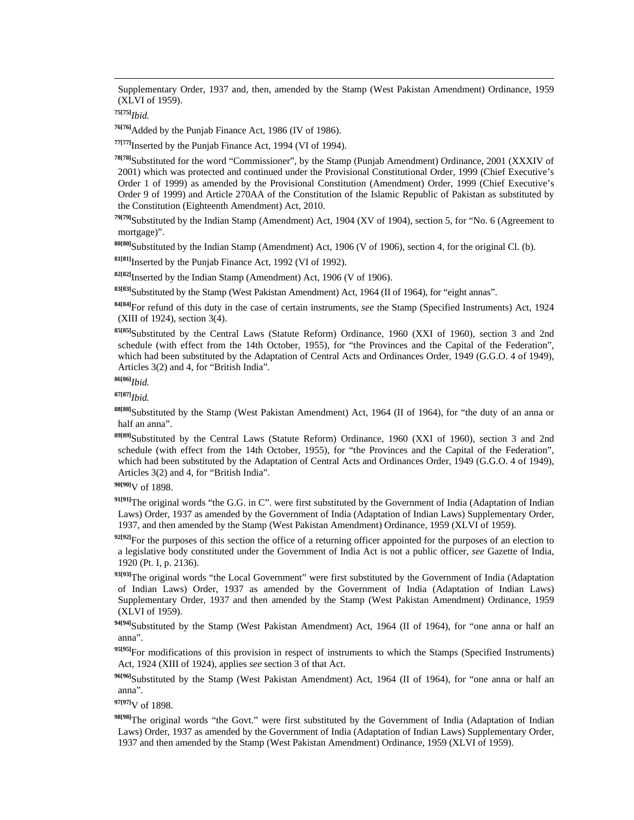Supplementary Order, 1937 and, then, amended by the Stamp (West Pakistan Amendment) Ordinance, 1959 (XLVI of 1959).

**75[75]***Ibid.*

**76[76]**Added by the Punjab Finance Act, 1986 (IV of 1986).

**77[77]**Inserted by the Punjab Finance Act, 1994 (VI of 1994).

**78[78]**Substituted for the word "Commissioner", by the Stamp (Punjab Amendment) Ordinance, 2001 (XXXIV of 2001) which was protected and continued under the Provisional Constitutional Order, 1999 (Chief Executive's Order 1 of 1999) as amended by the Provisional Constitution (Amendment) Order, 1999 (Chief Executive's Order 9 of 1999) and Article 270AA of the Constitution of the Islamic Republic of Pakistan as substituted by the Constitution (Eighteenth Amendment) Act, 2010.

**79[79]**Substituted by the Indian Stamp (Amendment) Act, 1904 (XV of 1904), section 5, for "No. 6 (Agreement to mortgage)".

**80[80]**Substituted by the Indian Stamp (Amendment) Act, 1906 (V of 1906), section 4, for the original Cl. (b).

**81[81]**Inserted by the Punjab Finance Act, 1992 (VI of 1992).

**82[82]**Inserted by the Indian Stamp (Amendment) Act, 1906 (V of 1906).

**83[83]**Substituted by the Stamp (West Pakistan Amendment) Act, 1964 (II of 1964), for "eight annas".

**84[84]**For refund of this duty in the case of certain instruments, *see* the Stamp (Specified Instruments) Act, 1924 (XIII of 1924), section 3(4).

**85[85]**Substituted by the Central Laws (Statute Reform) Ordinance, 1960 (XXI of 1960), section 3 and 2nd schedule (with effect from the 14th October, 1955), for "the Provinces and the Capital of the Federation", which had been substituted by the Adaptation of Central Acts and Ordinances Order, 1949 (G.G.O. 4 of 1949), Articles 3(2) and 4, for "British India".

**86[86]***Ibid.*

**87[87]***Ibid.*

**88[88]**Substituted by the Stamp (West Pakistan Amendment) Act, 1964 (II of 1964), for "the duty of an anna or half an anna".

**89[89]**Substituted by the Central Laws (Statute Reform) Ordinance, 1960 (XXI of 1960), section 3 and 2nd schedule (with effect from the 14th October, 1955), for "the Provinces and the Capital of the Federation", which had been substituted by the Adaptation of Central Acts and Ordinances Order, 1949 (G.G.O. 4 of 1949), Articles 3(2) and 4, for "British India".

**90[90]**V of 1898.

**91[91]**The original words "the G.G. in C". were first substituted by the Government of India (Adaptation of Indian Laws) Order, 1937 as amended by the Government of India (Adaptation of Indian Laws) Supplementary Order, 1937, and then amended by the Stamp (West Pakistan Amendment) Ordinance, 1959 (XLVI of 1959).

<sup>92[92]</sup>For the purposes of this section the office of a returning officer appointed for the purposes of an election to a legislative body constituted under the Government of India Act is not a public officer, *see* Gazette of India, 1920 (Pt. I, p. 2136).

93[93]The original words "the Local Government" were first substituted by the Government of India (Adaptation of Indian Laws) Order, 1937 as amended by the Government of India (Adaptation of Indian Laws) Supplementary Order, 1937 and then amended by the Stamp (West Pakistan Amendment) Ordinance, 1959 (XLVI of 1959).

**94[94]**Substituted by the Stamp (West Pakistan Amendment) Act, 1964 (II of 1964), for "one anna or half an anna".

95[95]For modifications of this provision in respect of instruments to which the Stamps (Specified Instruments) Act, 1924 (XIII of 1924), applies *see* section 3 of that Act.

**96[96]**Substituted by the Stamp (West Pakistan Amendment) Act, 1964 (II of 1964), for "one anna or half an anna".

**97[97]**V of 1898.

**98[98]**The original words "the Govt." were first substituted by the Government of India (Adaptation of Indian Laws) Order, 1937 as amended by the Government of India (Adaptation of Indian Laws) Supplementary Order, 1937 and then amended by the Stamp (West Pakistan Amendment) Ordinance, 1959 (XLVI of 1959).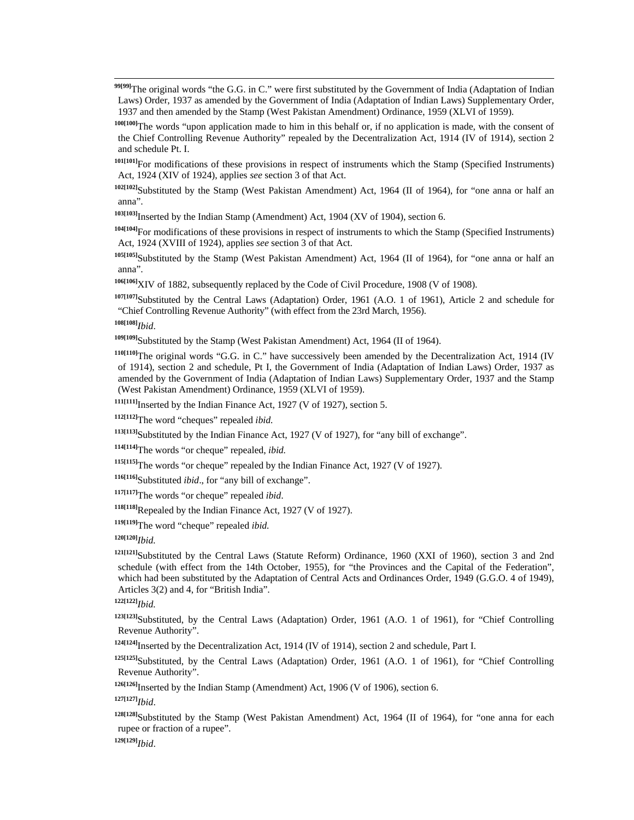**99[99]**The original words "the G.G. in C." were first substituted by the Government of India (Adaptation of Indian Laws) Order, 1937 as amended by the Government of India (Adaptation of Indian Laws) Supplementary Order, 1937 and then amended by the Stamp (West Pakistan Amendment) Ordinance, 1959 (XLVI of 1959).

**100[100]**The words "upon application made to him in this behalf or, if no application is made, with the consent of the Chief Controlling Revenue Authority" repealed by the Decentralization Act, 1914 (IV of 1914), section 2 and schedule Pt. I.

**101[101]**For modifications of these provisions in respect of instruments which the Stamp (Specified Instruments) Act, 1924 (XIV of 1924), applies *see* section 3 of that Act.

**102[102]**Substituted by the Stamp (West Pakistan Amendment) Act, 1964 (II of 1964), for "one anna or half an anna".

**103[103]**Inserted by the Indian Stamp (Amendment) Act, 1904 (XV of 1904), section 6.

**104[104]**For modifications of these provisions in respect of instruments to which the Stamp (Specified Instruments) Act, 1924 (XVIII of 1924), applies *see* section 3 of that Act.

**105[105]**Substituted by the Stamp (West Pakistan Amendment) Act, 1964 (II of 1964), for "one anna or half an anna".

**106[106]**XIV of 1882, subsequently replaced by the Code of Civil Procedure, 1908 (V of 1908).

**107[107]**Substituted by the Central Laws (Adaptation) Order, 1961 (A.O. 1 of 1961), Article 2 and schedule for "Chief Controlling Revenue Authority" (with effect from the 23rd March, 1956).

**108[108]***Ibid*.

**109[109]**Substituted by the Stamp (West Pakistan Amendment) Act, 1964 (II of 1964).

**110[110]**The original words "G.G. in C." have successively been amended by the Decentralization Act, 1914 (IV of 1914), section 2 and schedule, Pt I, the Government of India (Adaptation of Indian Laws) Order, 1937 as amended by the Government of India (Adaptation of Indian Laws) Supplementary Order, 1937 and the Stamp (West Pakistan Amendment) Ordinance, 1959 (XLVI of 1959).

**111[111]**Inserted by the Indian Finance Act, 1927 (V of 1927), section 5.

**112[112]**The word "cheques" repealed *ibid.*

**113[113]**Substituted by the Indian Finance Act, 1927 (V of 1927), for "any bill of exchange".

**114[114]**The words "or cheque" repealed, *ibid.*

**115[115]**The words "or cheque" repealed by the Indian Finance Act, 1927 (V of 1927).

**116[116]**Substituted *ibid*., for "any bill of exchange".

**117[117]**The words "or cheque" repealed *ibid*.

**118[118]**Repealed by the Indian Finance Act, 1927 (V of 1927).

**119[119]**The word "cheque" repealed *ibid.*

**120[120]***Ibid.*

**121[121]**Substituted by the Central Laws (Statute Reform) Ordinance, 1960 (XXI of 1960), section 3 and 2nd schedule (with effect from the 14th October, 1955), for "the Provinces and the Capital of the Federation", which had been substituted by the Adaptation of Central Acts and Ordinances Order, 1949 (G.G.O. 4 of 1949), Articles 3(2) and 4, for "British India".

**122[122]***Ibid.*

**123[123]**Substituted, by the Central Laws (Adaptation) Order, 1961 (A.O. 1 of 1961), for "Chief Controlling Revenue Authority".

**124[124]**Inserted by the Decentralization Act, 1914 (IV of 1914), section 2 and schedule, Part I.

**125[125]**Substituted, by the Central Laws (Adaptation) Order, 1961 (A.O. 1 of 1961), for "Chief Controlling Revenue Authority".

**126[126]**Inserted by the Indian Stamp (Amendment) Act, 1906 (V of 1906), section 6.

**127[127]***Ibid*.

**128[128]**Substituted by the Stamp (West Pakistan Amendment) Act, 1964 (II of 1964), for "one anna for each rupee or fraction of a rupee".

**129[129]***Ibid*.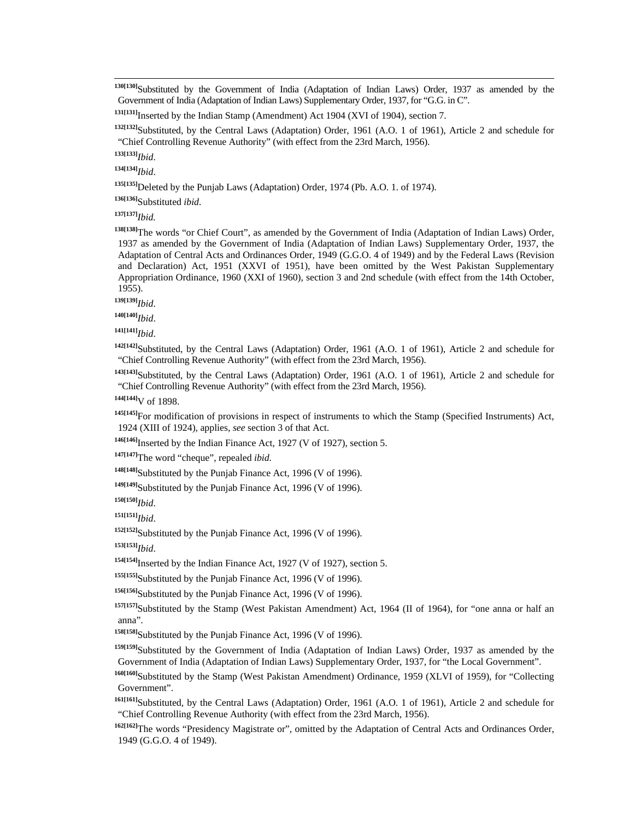**130[130]**Substituted by the Government of India (Adaptation of Indian Laws) Order, 1937 as amended by the Government of India (Adaptation of Indian Laws) Supplementary Order, 1937, for "G.G. in C".

**132[132]**Substituted, by the Central Laws (Adaptation) Order, 1961 (A.O. 1 of 1961), Article 2 and schedule for "Chief Controlling Revenue Authority" (with effect from the 23rd March, 1956).

**133[133]***Ibid*.

**134[134]***Ibid*.

**135[135]**Deleted by the Punjab Laws (Adaptation) Order, 1974 (Pb. A.O. 1. of 1974).

**136[136]**Substituted *ibid.*

**137[137]***Ibid.*

**138[138]**The words "or Chief Court", as amended by the Government of India (Adaptation of Indian Laws) Order, 1937 as amended by the Government of India (Adaptation of Indian Laws) Supplementary Order, 1937, the Adaptation of Central Acts and Ordinances Order, 1949 (G.G.O. 4 of 1949) and by the Federal Laws (Revision and Declaration) Act, 1951 (XXVI of 1951), have been omitted by the West Pakistan Supplementary Appropriation Ordinance, 1960 (XXI of 1960), section 3 and 2nd schedule (with effect from the 14th October, 1955).

**139[139]***Ibid*.

**140[140]***Ibid*.

**141[141]***Ibid*.

**142[142]**Substituted, by the Central Laws (Adaptation) Order, 1961 (A.O. 1 of 1961), Article 2 and schedule for "Chief Controlling Revenue Authority" (with effect from the 23rd March, 1956).

**143[143]**Substituted, by the Central Laws (Adaptation) Order, 1961 (A.O. 1 of 1961), Article 2 and schedule for "Chief Controlling Revenue Authority" (with effect from the 23rd March, 1956).

**144[144]**V of 1898.

**145[145]**For modification of provisions in respect of instruments to which the Stamp (Specified Instruments) Act, 1924 (XIII of 1924), applies, *see* section 3 of that Act.

**146[146]**Inserted by the Indian Finance Act, 1927 (V of 1927), section 5.

**147[147]**The word "cheque", repealed *ibid.*

**148[148]**Substituted by the Punjab Finance Act, 1996 (V of 1996).

**149[149]**Substituted by the Punjab Finance Act, 1996 (V of 1996).

**150[150]***Ibid*.

**151[151]***Ibid*.

**152[152]**Substituted by the Punjab Finance Act, 1996 (V of 1996).

**153[153]***Ibid*.

**154[154]**Inserted by the Indian Finance Act, 1927 (V of 1927), section 5.

**155[155]**Substituted by the Punjab Finance Act, 1996 (V of 1996).

**156[156]**Substituted by the Punjab Finance Act, 1996 (V of 1996).

**157[157]**Substituted by the Stamp (West Pakistan Amendment) Act, 1964 (II of 1964), for "one anna or half an anna".

**158[158]**Substituted by the Punjab Finance Act, 1996 (V of 1996).

**159[159]**Substituted by the Government of India (Adaptation of Indian Laws) Order, 1937 as amended by the Government of India (Adaptation of Indian Laws) Supplementary Order, 1937, for "the Local Government".

**160[160]**Substituted by the Stamp (West Pakistan Amendment) Ordinance, 1959 (XLVI of 1959), for "Collecting Government".

**161[161]**Substituted, by the Central Laws (Adaptation) Order, 1961 (A.O. 1 of 1961), Article 2 and schedule for "Chief Controlling Revenue Authority (with effect from the 23rd March, 1956).

**162[162]**The words "Presidency Magistrate or", omitted by the Adaptation of Central Acts and Ordinances Order, 1949 (G.G.O. 4 of 1949).

**<sup>131[131]</sup>**Inserted by the Indian Stamp (Amendment) Act 1904 (XVI of 1904), section 7.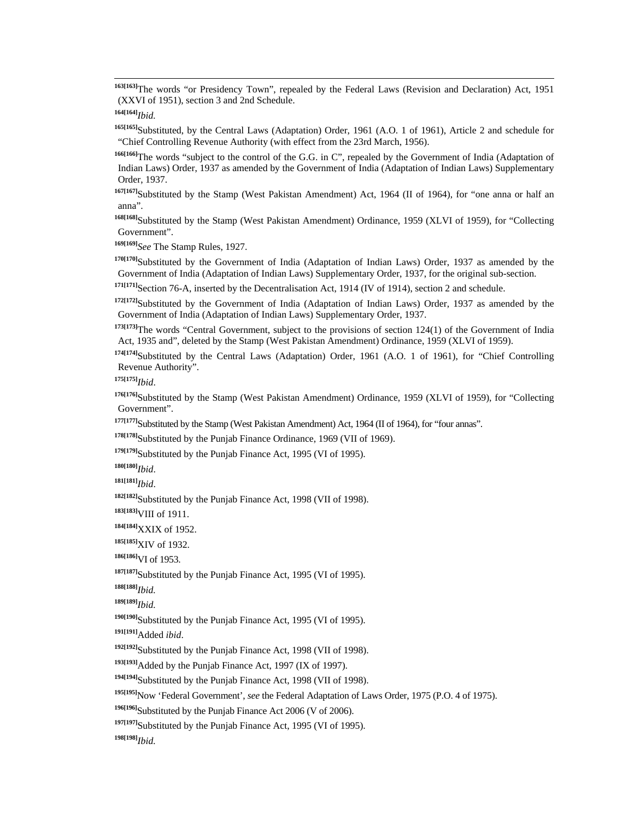**163[163]**The words "or Presidency Town", repealed by the Federal Laws (Revision and Declaration) Act, 1951 (XXVI of 1951), section 3 and 2nd Schedule.

**164[164]***Ibid.*

**165[165]**Substituted, by the Central Laws (Adaptation) Order, 1961 (A.O. 1 of 1961), Article 2 and schedule for "Chief Controlling Revenue Authority (with effect from the 23rd March, 1956).

**166[166]**The words "subject to the control of the G.G. in C", repealed by the Government of India (Adaptation of Indian Laws) Order, 1937 as amended by the Government of India (Adaptation of Indian Laws) Supplementary Order, 1937.

**167[167]**Substituted by the Stamp (West Pakistan Amendment) Act, 1964 (II of 1964), for "one anna or half an anna".

**168[168]**Substituted by the Stamp (West Pakistan Amendment) Ordinance, 1959 (XLVI of 1959), for "Collecting Government".

**169[169]***See* The Stamp Rules, 1927.

**170[170]**Substituted by the Government of India (Adaptation of Indian Laws) Order, 1937 as amended by the Government of India (Adaptation of Indian Laws) Supplementary Order, 1937, for the original sub-section.

**171[171]**Section 76-A, inserted by the Decentralisation Act, 1914 (IV of 1914), section 2 and schedule.

**172[172]**Substituted by the Government of India (Adaptation of Indian Laws) Order, 1937 as amended by the Government of India (Adaptation of Indian Laws) Supplementary Order, 1937.

**173[173]**The words "Central Government, subject to the provisions of section 124(1) of the Government of India Act, 1935 and", deleted by the Stamp (West Pakistan Amendment) Ordinance, 1959 (XLVI of 1959).

**174[174]**Substituted by the Central Laws (Adaptation) Order, 1961 (A.O. 1 of 1961), for "Chief Controlling Revenue Authority".

**175[175]***Ibid*.

**176[176]**Substituted by the Stamp (West Pakistan Amendment) Ordinance, 1959 (XLVI of 1959), for "Collecting Government".

**177[177]**Substituted by the Stamp (West Pakistan Amendment) Act, 1964 (II of 1964), for "four annas".

**178[178]**Substituted by the Punjab Finance Ordinance, 1969 (VII of 1969).

**179[179]**Substituted by the Punjab Finance Act, 1995 (VI of 1995).

**180[180]***Ibid*.

**181[181]***Ibid*.

**182[182]**Substituted by the Punjab Finance Act, 1998 (VII of 1998).

**183[183]**VIII of 1911.

**184[184]**XXIX of 1952.

**185[185]**XIV of 1932.

**186[186]**VI of 1953.

**187[187]**Substituted by the Punjab Finance Act, 1995 (VI of 1995).

**188[188]***Ibid.*

**189[189]***Ibid.*

<sup>190[190]</sup>Substituted by the Punjab Finance Act, 1995 (VI of 1995).

**191[191]**Added *ibid*.

<sup>192[192]</sup>Substituted by the Punjab Finance Act, 1998 (VII of 1998).

**193[193]**Added by the Punjab Finance Act, 1997 (IX of 1997).

**194[194]**Substituted by the Punjab Finance Act, 1998 (VII of 1998).

**195[195]**Now 'Federal Government', *see* the Federal Adaptation of Laws Order, 1975 (P.O. 4 of 1975).

**196[196]**Substituted by the Punjab Finance Act 2006 (V of 2006).

<sup>197[197]</sup>Substituted by the Punjab Finance Act, 1995 (VI of 1995).

**198[198]***Ibid.*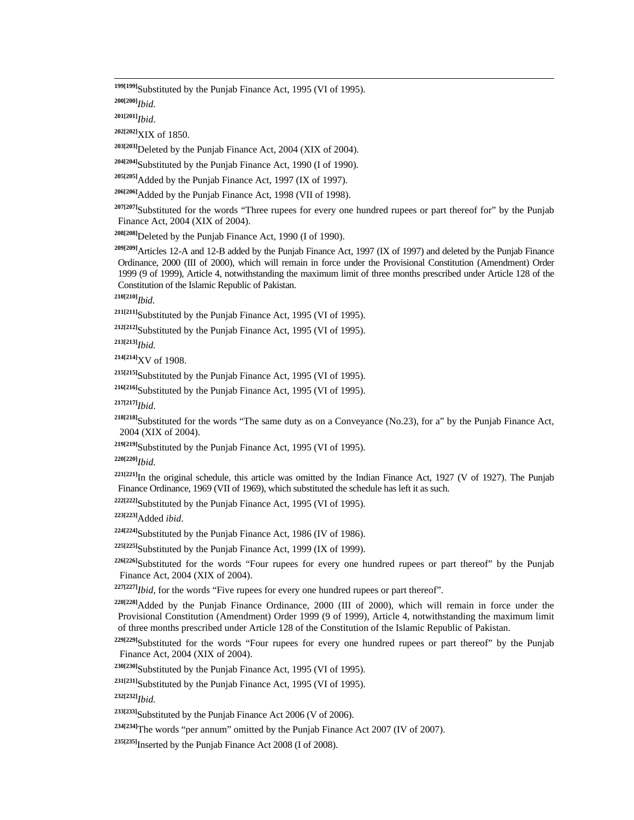<sup>199[199]</sup>Substituted by the Punjab Finance Act, 1995 (VI of 1995).

**200[200]***Ibid.*

**201[201]***Ibid*.

**202[202]**XIX of 1850.

**203[203]**Deleted by the Punjab Finance Act, 2004 (XIX of 2004).

**204[204]**Substituted by the Punjab Finance Act, 1990 (I of 1990).

**205[205]**Added by the Punjab Finance Act, 1997 (IX of 1997).

**206[206]**Added by the Punjab Finance Act, 1998 (VII of 1998).

**207[207]**Substituted for the words "Three rupees for every one hundred rupees or part thereof for" by the Punjab Finance Act, 2004 (XIX of 2004).

**208[208]**Deleted by the Punjab Finance Act, 1990 (I of 1990).

**209[209]**Articles 12-A and 12-B added by the Punjab Finance Act, 1997 (IX of 1997) and deleted by the Punjab Finance Ordinance, 2000 (III of 2000), which will remain in force under the Provisional Constitution (Amendment) Order 1999 (9 of 1999), Article 4, notwithstanding the maximum limit of three months prescribed under Article 128 of the Constitution of the Islamic Republic of Pakistan.

**210[210]***Ibid*.

**211[211]**Substituted by the Punjab Finance Act, 1995 (VI of 1995).

**212[212]**Substituted by the Punjab Finance Act, 1995 (VI of 1995).

**213[213]***Ibid.*

**214[214]**XV of 1908.

**215[215]**Substituted by the Punjab Finance Act, 1995 (VI of 1995).

**216[216]**Substituted by the Punjab Finance Act, 1995 (VI of 1995).

**217[217]***Ibid*.

**218[218]**Substituted for the words "The same duty as on a Conveyance (No.23), for a" by the Punjab Finance Act, 2004 (XIX of 2004).

**219[219]**Substituted by the Punjab Finance Act, 1995 (VI of 1995).

**220[220]***Ibid.*

<sup>221[221]</sup>In the original schedule, this article was omitted by the Indian Finance Act, 1927 (V of 1927). The Punjab Finance Ordinance, 1969 (VII of 1969), which substituted the schedule has left it as such.

**222[222]**Substituted by the Punjab Finance Act, 1995 (VI of 1995).

**223[223]**Added *ibid*.

**224[224]**Substituted by the Punjab Finance Act, 1986 (IV of 1986).

**225[225]**Substituted by the Punjab Finance Act, 1999 (IX of 1999).

**226[226]**Substituted for the words "Four rupees for every one hundred rupees or part thereof" by the Punjab Finance Act, 2004 (XIX of 2004).

**227[227]***Ibid*, for the words "Five rupees for every one hundred rupees or part thereof".

**228[228]**Added by the Punjab Finance Ordinance, 2000 (III of 2000), which will remain in force under the Provisional Constitution (Amendment) Order 1999 (9 of 1999), Article 4, notwithstanding the maximum limit of three months prescribed under Article 128 of the Constitution of the Islamic Republic of Pakistan.

<sup>229[229]</sup>Substituted for the words "Four rupees for every one hundred rupees or part thereof" by the Punjab Finance Act, 2004 (XIX of 2004).

**230[230]**Substituted by the Punjab Finance Act, 1995 (VI of 1995).

**231[231]**Substituted by the Punjab Finance Act, 1995 (VI of 1995).

**232[232]***Ibid.*

**233[233]**Substituted by the Punjab Finance Act 2006 (V of 2006).

**234[234]**The words "per annum" omitted by the Punjab Finance Act 2007 (IV of 2007).

**235[235]**Inserted by the Punjab Finance Act 2008 (I of 2008).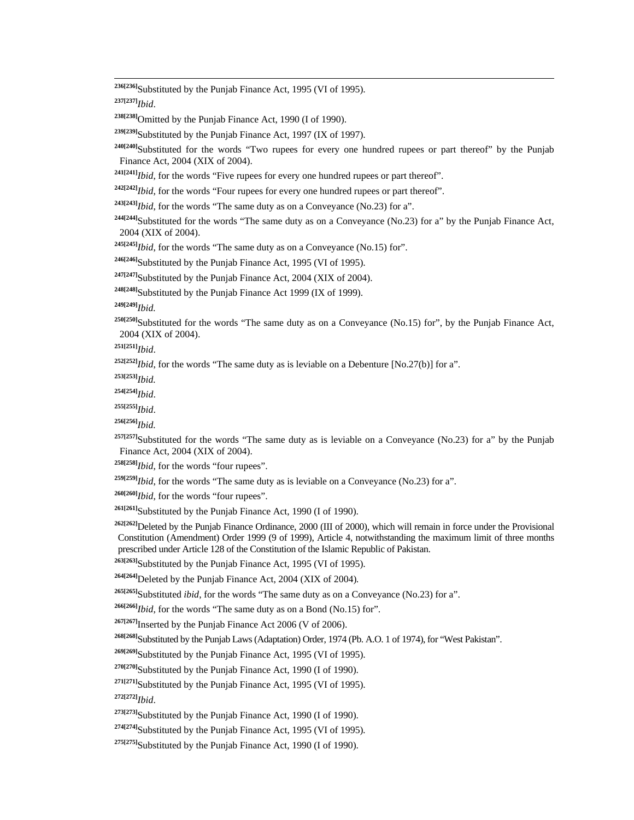**236[236]**Substituted by the Punjab Finance Act, 1995 (VI of 1995).

**237[237]***Ibid*.

**238[238]**Omitted by the Punjab Finance Act, 1990 (I of 1990).

**239[239]**Substituted by the Punjab Finance Act, 1997 (IX of 1997).

**240[240]**Substituted for the words "Two rupees for every one hundred rupees or part thereof" by the Punjab Finance Act, 2004 (XIX of 2004).

**241[241]***Ibid*, for the words "Five rupees for every one hundred rupees or part thereof".

**242[242]***Ibid*, for the words "Four rupees for every one hundred rupees or part thereof".

**243[243]***Ibid*, for the words "The same duty as on a Conveyance (No.23) for a".

<sup>244[244]</sup>Substituted for the words "The same duty as on a Conveyance (No.23) for a" by the Punjab Finance Act, 2004 (XIX of 2004).

**245[245]***Ibid*, for the words "The same duty as on a Conveyance (No.15) for".

**246[246]**Substituted by the Punjab Finance Act, 1995 (VI of 1995).

<sup>247[247]</sup>Substituted by the Punjab Finance Act, 2004 (XIX of 2004).

**248[248]**Substituted by the Punjab Finance Act 1999 (IX of 1999).

**249[249]***Ibid.*

<sup>250[250]</sup>Substituted for the words "The same duty as on a Conveyance (No.15) for", by the Punjab Finance Act, 2004 (XIX of 2004).

**251[251]***Ibid*.

 $252[252]$ *Ibid*, for the words "The same duty as is leviable on a Debenture [No.27(b)] for a".

**253[253]***Ibid.*

**254[254]***Ibid*.

**255[255]***Ibid*.

**256[256]***Ibid.*

<sup>257[257]</sup>Substituted for the words "The same duty as is leviable on a Conveyance (No.23) for a" by the Punjab Finance Act, 2004 (XIX of 2004).

**258[258]***Ibid*, for the words "four rupees".

**259[259]***Ibid*, for the words "The same duty as is leviable on a Conveyance (No.23) for a"*.*

**260[260]***Ibid*, for the words "four rupees".

**261[261]**Substituted by the Punjab Finance Act, 1990 (I of 1990).

<sup>262[262]</sup>Deleted by the Punjab Finance Ordinance, 2000 (III of 2000), which will remain in force under the Provisional Constitution (Amendment) Order 1999 (9 of 1999), Article 4, notwithstanding the maximum limit of three months prescribed under Article 128 of the Constitution of the Islamic Republic of Pakistan.

**263[263]**Substituted by the Punjab Finance Act, 1995 (VI of 1995).

**264[264]**Deleted by the Punjab Finance Act, 2004 (XIX of 2004)*.*

**265[265]**Substituted *ibid*, for the words "The same duty as on a Conveyance (No.23) for a".

**266[266]***Ibid*, for the words "The same duty as on a Bond (No.15) for".

<sup>267[267]</sup>Inserted by the Punjab Finance Act 2006 (V of 2006).

**268[268]**Substituted by the Punjab Laws (Adaptation) Order, 1974 (Pb. A.O. 1 of 1974), for "West Pakistan".

**269[269]**Substituted by the Punjab Finance Act, 1995 (VI of 1995).

<sup>270[270]</sup>Substituted by the Punjab Finance Act, 1990 (I of 1990).

**271[271]**Substituted by the Punjab Finance Act, 1995 (VI of 1995).

**272[272]***Ibid*.

**273[273]**Substituted by the Punjab Finance Act, 1990 (I of 1990).

**274[274]**Substituted by the Punjab Finance Act, 1995 (VI of 1995)*.*

**275[275]**Substituted by the Punjab Finance Act, 1990 (I of 1990).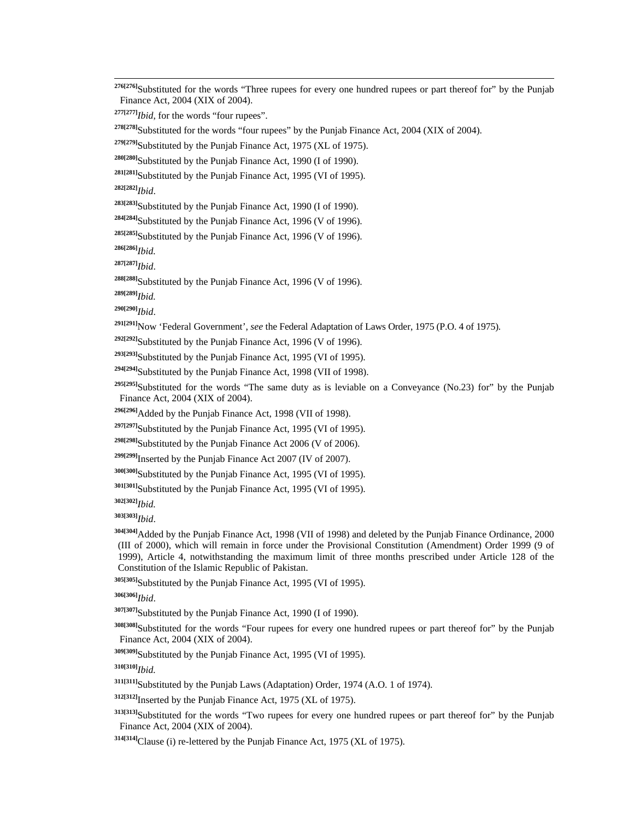<sup>276[276</sup>]Substituted for the words "Three rupees for every one hundred rupees or part thereof for" by the Punjab Finance Act, 2004 (XIX of 2004).

**277[277]***Ibid*, for the words "four rupees".

**278[278]**Substituted for the words "four rupees" by the Punjab Finance Act, 2004 (XIX of 2004).

<sup>279[279]</sup>Substituted by the Punjab Finance Act, 1975 (XL of 1975).

**280[280]**Substituted by the Punjab Finance Act, 1990 (I of 1990).

**281[281]**Substituted by the Punjab Finance Act, 1995 (VI of 1995).

**282[282]***Ibid*.

**283[283]**Substituted by the Punjab Finance Act, 1990 (I of 1990).

**284[284]**Substituted by the Punjab Finance Act, 1996 (V of 1996).

**285[285]**Substituted by the Punjab Finance Act, 1996 (V of 1996).

**286[286]***Ibid.*

**287[287]***Ibid*.

**288[288]**Substituted by the Punjab Finance Act, 1996 (V of 1996).

**289[289]***Ibid.*

**290[290]***Ibid*.

**291[291]**Now 'Federal Government', *see* the Federal Adaptation of Laws Order, 1975 (P.O. 4 of 1975).

**292[292]**Substituted by the Punjab Finance Act, 1996 (V of 1996).

**293[293]**Substituted by the Punjab Finance Act, 1995 (VI of 1995).

**294[294]**Substituted by the Punjab Finance Act, 1998 (VII of 1998).

**295[295]**Substituted for the words "The same duty as is leviable on a Conveyance (No.23) for" by the Punjab Finance Act, 2004 (XIX of 2004).

**296[296]**Added by the Punjab Finance Act, 1998 (VII of 1998).

<sup>297[297]</sup>Substituted by the Punjab Finance Act, 1995 (VI of 1995).

**298[298]**Substituted by the Punjab Finance Act 2006 (V of 2006).

**299[299]**Inserted by the Punjab Finance Act 2007 (IV of 2007).

**300[300]**Substituted by the Punjab Finance Act, 1995 (VI of 1995).

**301[301]**Substituted by the Punjab Finance Act, 1995 (VI of 1995).

**302[302]***Ibid.*

**303[303]***Ibid*.

**304[304]**Added by the Punjab Finance Act, 1998 (VII of 1998) and deleted by the Punjab Finance Ordinance, 2000 (III of 2000), which will remain in force under the Provisional Constitution (Amendment) Order 1999 (9 of 1999), Article 4, notwithstanding the maximum limit of three months prescribed under Article 128 of the Constitution of the Islamic Republic of Pakistan.

**305[305]**Substituted by the Punjab Finance Act, 1995 (VI of 1995).

**306[306]***Ibid*.

**307[307]**Substituted by the Punjab Finance Act, 1990 (I of 1990).

**308[308]**Substituted for the words "Four rupees for every one hundred rupees or part thereof for" by the Punjab Finance Act, 2004 (XIX of 2004).

**309[309]**Substituted by the Punjab Finance Act, 1995 (VI of 1995).

**310[310]***Ibid.*

**311[311]**Substituted by the Punjab Laws (Adaptation) Order, 1974 (A.O. 1 of 1974).

**312[312]**Inserted by the Punjab Finance Act, 1975 (XL of 1975).

**313[313]**Substituted for the words "Two rupees for every one hundred rupees or part thereof for" by the Punjab Finance Act, 2004 (XIX of 2004).

**314[314]**Clause (i) re-lettered by the Punjab Finance Act, 1975 (XL of 1975).